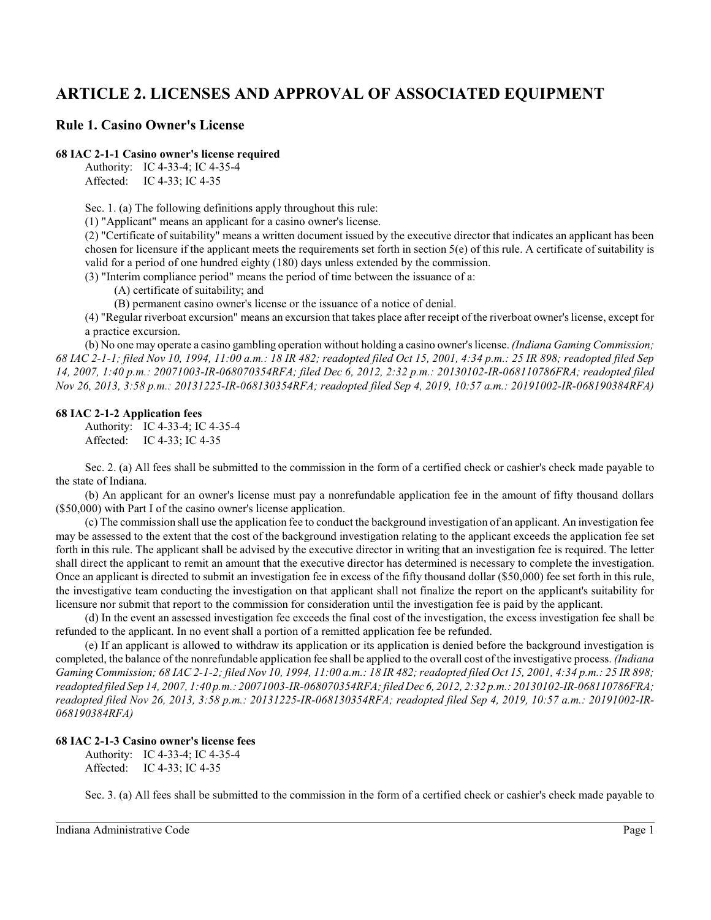# **ARTICLE 2. LICENSES AND APPROVAL OF ASSOCIATED EQUIPMENT**

# **Rule 1. Casino Owner's License**

# **68 IAC 2-1-1 Casino owner's license required**

Authority: IC 4-33-4; IC 4-35-4 Affected: IC 4-33; IC 4-35

Sec. 1. (a) The following definitions apply throughout this rule:

(1) "Applicant" means an applicant for a casino owner's license.

(2) "Certificate of suitability" means a written document issued by the executive director that indicates an applicant has been chosen for licensure if the applicant meets the requirements set forth in section 5(e) of this rule. A certificate of suitability is valid for a period of one hundred eighty (180) days unless extended by the commission.

(3) "Interim compliance period" means the period of time between the issuance of a:

(A) certificate of suitability; and

(B) permanent casino owner's license or the issuance of a notice of denial.

(4) "Regular riverboat excursion" means an excursion that takes place after receipt of the riverboat owner'slicense, except for a practice excursion.

(b) No one may operate a casino gambling operation without holding a casino owner's license. *(Indiana Gaming Commission; 68 IAC 2-1-1; filed Nov 10, 1994, 11:00 a.m.: 18 IR 482; readopted filed Oct 15, 2001, 4:34 p.m.: 25 IR 898; readopted filed Sep 14, 2007, 1:40 p.m.: 20071003-IR-068070354RFA; filed Dec 6, 2012, 2:32 p.m.: 20130102-IR-068110786FRA; readopted filed Nov 26, 2013, 3:58 p.m.: 20131225-IR-068130354RFA; readopted filed Sep 4, 2019, 10:57 a.m.: 20191002-IR-068190384RFA)*

#### **68 IAC 2-1-2 Application fees**

Authority: IC 4-33-4; IC 4-35-4 Affected: IC 4-33; IC 4-35

Sec. 2. (a) All fees shall be submitted to the commission in the form of a certified check or cashier's check made payable to the state of Indiana.

(b) An applicant for an owner's license must pay a nonrefundable application fee in the amount of fifty thousand dollars (\$50,000) with Part I of the casino owner's license application.

(c) The commission shall use the application fee to conduct the background investigation of an applicant. An investigation fee may be assessed to the extent that the cost of the background investigation relating to the applicant exceeds the application fee set forth in this rule. The applicant shall be advised by the executive director in writing that an investigation fee is required. The letter shall direct the applicant to remit an amount that the executive director has determined is necessary to complete the investigation. Once an applicant is directed to submit an investigation fee in excess of the fifty thousand dollar (\$50,000) fee set forth in this rule, the investigative team conducting the investigation on that applicant shall not finalize the report on the applicant's suitability for licensure nor submit that report to the commission for consideration until the investigation fee is paid by the applicant.

(d) In the event an assessed investigation fee exceeds the final cost of the investigation, the excess investigation fee shall be refunded to the applicant. In no event shall a portion of a remitted application fee be refunded.

(e) If an applicant is allowed to withdraw its application or its application is denied before the background investigation is completed, the balance of the nonrefundable application fee shall be applied to the overall cost of the investigative process. *(Indiana Gaming Commission; 68 IAC 2-1-2; filed Nov 10, 1994, 11:00 a.m.: 18 IR 482; readopted filed Oct 15, 2001, 4:34 p.m.: 25 IR 898; readopted filed Sep 14, 2007, 1:40 p.m.: 20071003-IR-068070354RFA; filed Dec 6, 2012, 2:32 p.m.: 20130102-IR-068110786FRA; readopted filed Nov 26, 2013, 3:58 p.m.: 20131225-IR-068130354RFA; readopted filed Sep 4, 2019, 10:57 a.m.: 20191002-IR-068190384RFA)*

## **68 IAC 2-1-3 Casino owner's license fees**

Authority: IC 4-33-4; IC 4-35-4 Affected: IC 4-33; IC 4-35

Sec. 3. (a) All fees shall be submitted to the commission in the form of a certified check or cashier's check made payable to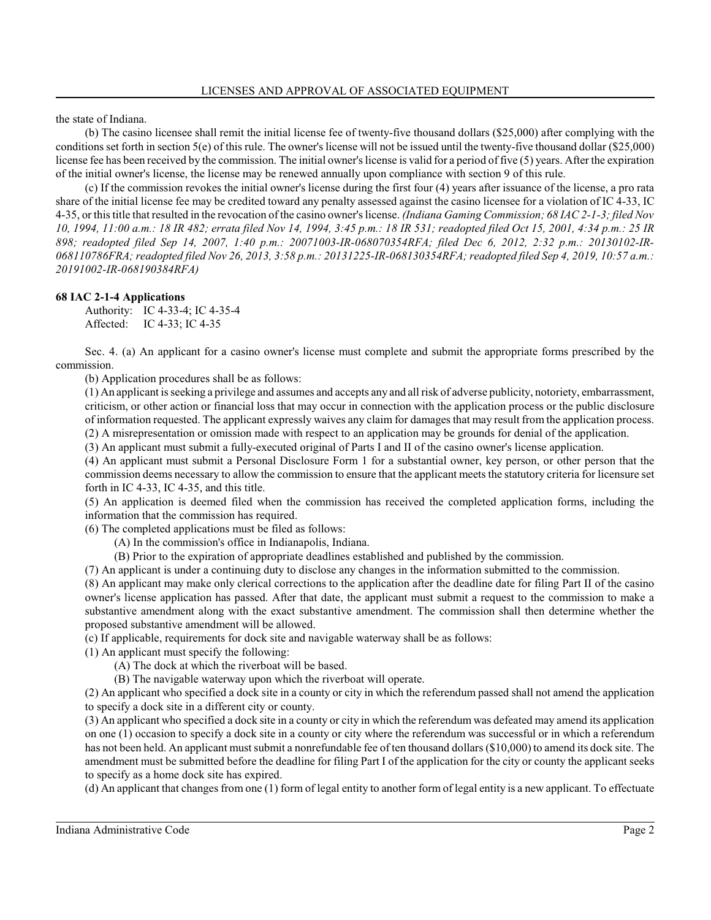the state of Indiana.

(b) The casino licensee shall remit the initial license fee of twenty-five thousand dollars (\$25,000) after complying with the conditions set forth in section 5(e) of this rule. The owner's license will not be issued until the twenty-five thousand dollar (\$25,000) license fee has been received by the commission. The initial owner's license is valid for a period of five (5) years. After the expiration of the initial owner's license, the license may be renewed annually upon compliance with section 9 of this rule.

(c) If the commission revokes the initial owner's license during the first four (4) years after issuance of the license, a pro rata share of the initial license fee may be credited toward any penalty assessed against the casino licensee for a violation of IC 4-33, IC 4-35, or this title that resulted in the revocation of the casino owner's license. *(Indiana Gaming Commission; 68 IAC 2-1-3; filed Nov 10, 1994, 11:00 a.m.: 18 IR 482; errata filed Nov 14, 1994, 3:45 p.m.: 18 IR 531; readopted filed Oct 15, 2001, 4:34 p.m.: 25 IR 898; readopted filed Sep 14, 2007, 1:40 p.m.: 20071003-IR-068070354RFA; filed Dec 6, 2012, 2:32 p.m.: 20130102-IR-068110786FRA; readopted filed Nov 26, 2013, 3:58 p.m.: 20131225-IR-068130354RFA; readopted filed Sep 4, 2019, 10:57 a.m.: 20191002-IR-068190384RFA)*

#### **68 IAC 2-1-4 Applications**

Authority: IC 4-33-4; IC 4-35-4 Affected: IC 4-33; IC 4-35

Sec. 4. (a) An applicant for a casino owner's license must complete and submit the appropriate forms prescribed by the commission.

(b) Application procedures shall be as follows:

(1) An applicant is seeking a privilege and assumes and accepts any and all risk of adverse publicity, notoriety, embarrassment, criticism, or other action or financial loss that may occur in connection with the application process or the public disclosure of information requested. The applicant expressly waives any claim for damages that may result from the application process. (2) A misrepresentation or omission made with respect to an application may be grounds for denial of the application.

(3) An applicant must submit a fully-executed original of Parts I and II of the casino owner's license application.

(4) An applicant must submit a Personal Disclosure Form 1 for a substantial owner, key person, or other person that the commission deems necessary to allow the commission to ensure that the applicant meets the statutory criteria for licensure set forth in IC 4-33, IC 4-35, and this title.

(5) An application is deemed filed when the commission has received the completed application forms, including the information that the commission has required.

(6) The completed applications must be filed as follows:

(A) In the commission's office in Indianapolis, Indiana.

(B) Prior to the expiration of appropriate deadlines established and published by the commission.

(7) An applicant is under a continuing duty to disclose any changes in the information submitted to the commission.

(8) An applicant may make only clerical corrections to the application after the deadline date for filing Part II of the casino owner's license application has passed. After that date, the applicant must submit a request to the commission to make a substantive amendment along with the exact substantive amendment. The commission shall then determine whether the proposed substantive amendment will be allowed.

(c) If applicable, requirements for dock site and navigable waterway shall be as follows:

(1) An applicant must specify the following:

(A) The dock at which the riverboat will be based.

(B) The navigable waterway upon which the riverboat will operate.

(2) An applicant who specified a dock site in a county or city in which the referendum passed shall not amend the application to specify a dock site in a different city or county.

(3) An applicant who specified a dock site in a county or city in which the referendum was defeated may amend its application on one (1) occasion to specify a dock site in a county or city where the referendum was successful or in which a referendum has not been held. An applicant must submit a nonrefundable fee of ten thousand dollars (\$10,000) to amend its dock site. The amendment must be submitted before the deadline for filing Part I of the application for the city or county the applicant seeks to specify as a home dock site has expired.

(d) An applicant that changes from one (1) form of legal entity to another form of legal entity is a new applicant. To effectuate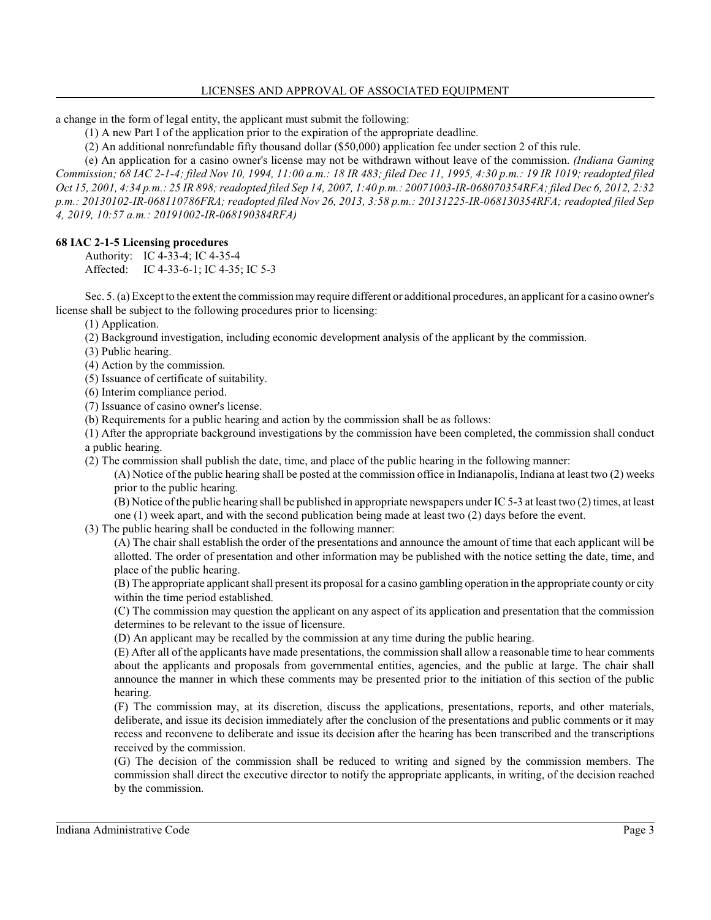a change in the form of legal entity, the applicant must submit the following:

(1) A new Part I of the application prior to the expiration of the appropriate deadline.

(2) An additional nonrefundable fifty thousand dollar (\$50,000) application fee under section 2 of this rule.

(e) An application for a casino owner's license may not be withdrawn without leave of the commission. *(Indiana Gaming Commission; 68 IAC 2-1-4; filed Nov 10, 1994, 11:00 a.m.: 18 IR 483; filed Dec 11, 1995, 4:30 p.m.: 19 IR 1019; readopted filed Oct 15, 2001, 4:34 p.m.: 25 IR 898; readopted filed Sep 14, 2007, 1:40 p.m.: 20071003-IR-068070354RFA; filed Dec 6, 2012, 2:32 p.m.: 20130102-IR-068110786FRA; readopted filed Nov 26, 2013, 3:58 p.m.: 20131225-IR-068130354RFA; readopted filed Sep 4, 2019, 10:57 a.m.: 20191002-IR-068190384RFA)*

# **68 IAC 2-1-5 Licensing procedures**

Authority: IC 4-33-4; IC 4-35-4 Affected: IC 4-33-6-1; IC 4-35; IC 5-3

Sec. 5. (a) Except to the extent the commissionmay require different or additional procedures, an applicant for a casino owner's license shall be subject to the following procedures prior to licensing:

(1) Application.

(2) Background investigation, including economic development analysis of the applicant by the commission.

(3) Public hearing.

(4) Action by the commission.

(5) Issuance of certificate of suitability.

(6) Interim compliance period.

(7) Issuance of casino owner's license.

(b) Requirements for a public hearing and action by the commission shall be as follows:

(1) After the appropriate background investigations by the commission have been completed, the commission shall conduct a public hearing.

(2) The commission shall publish the date, time, and place of the public hearing in the following manner:

(A) Notice of the public hearing shall be posted at the commission office in Indianapolis, Indiana at least two (2) weeks prior to the public hearing.

(B) Notice ofthe public hearing shall be published in appropriate newspapers under IC 5-3 at least two (2) times, at least

one (1) week apart, and with the second publication being made at least two (2) days before the event.

(3) The public hearing shall be conducted in the following manner:

(A) The chair shall establish the order of the presentations and announce the amount of time that each applicant will be allotted. The order of presentation and other information may be published with the notice setting the date, time, and place of the public hearing.

(B) The appropriate applicant shall present its proposal for a casino gambling operation in the appropriate county or city within the time period established.

(C) The commission may question the applicant on any aspect of its application and presentation that the commission determines to be relevant to the issue of licensure.

(D) An applicant may be recalled by the commission at any time during the public hearing.

(E) After all of the applicants have made presentations, the commission shall allow a reasonable time to hear comments about the applicants and proposals from governmental entities, agencies, and the public at large. The chair shall announce the manner in which these comments may be presented prior to the initiation of this section of the public hearing.

(F) The commission may, at its discretion, discuss the applications, presentations, reports, and other materials, deliberate, and issue its decision immediately after the conclusion of the presentations and public comments or it may recess and reconvene to deliberate and issue its decision after the hearing has been transcribed and the transcriptions received by the commission.

(G) The decision of the commission shall be reduced to writing and signed by the commission members. The commission shall direct the executive director to notify the appropriate applicants, in writing, of the decision reached by the commission.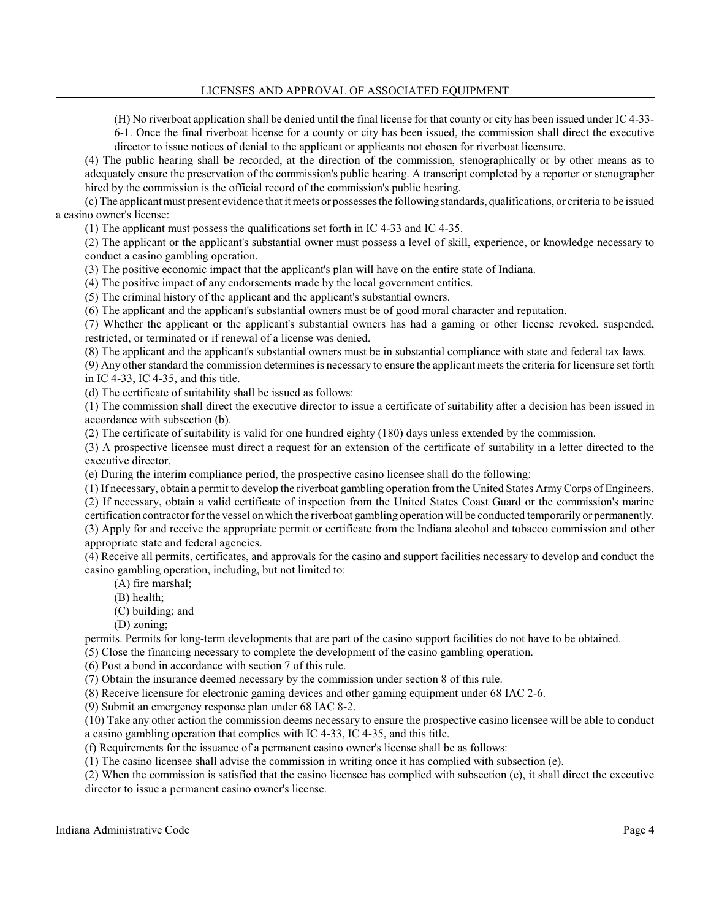(H) No riverboat application shall be denied until the final license for that county or city has been issued under IC 4-33- 6-1. Once the final riverboat license for a county or city has been issued, the commission shall direct the executive

director to issue notices of denial to the applicant or applicants not chosen for riverboat licensure.

(4) The public hearing shall be recorded, at the direction of the commission, stenographically or by other means as to adequately ensure the preservation of the commission's public hearing. A transcript completed by a reporter or stenographer hired by the commission is the official record of the commission's public hearing.

(c) The applicant must present evidence that it meets or possesses the following standards, qualifications, or criteria to be issued a casino owner's license:

(1) The applicant must possess the qualifications set forth in IC 4-33 and IC 4-35.

(2) The applicant or the applicant's substantial owner must possess a level of skill, experience, or knowledge necessary to conduct a casino gambling operation.

(3) The positive economic impact that the applicant's plan will have on the entire state of Indiana.

(4) The positive impact of any endorsements made by the local government entities.

(5) The criminal history of the applicant and the applicant's substantial owners.

(6) The applicant and the applicant's substantial owners must be of good moral character and reputation.

(7) Whether the applicant or the applicant's substantial owners has had a gaming or other license revoked, suspended, restricted, or terminated or if renewal of a license was denied.

(8) The applicant and the applicant's substantial owners must be in substantial compliance with state and federal tax laws.

(9) Any other standard the commission determines is necessary to ensure the applicant meets the criteria for licensure set forth in IC 4-33, IC 4-35, and this title.

(d) The certificate of suitability shall be issued as follows:

(1) The commission shall direct the executive director to issue a certificate of suitability after a decision has been issued in accordance with subsection (b).

(2) The certificate of suitability is valid for one hundred eighty (180) days unless extended by the commission.

(3) A prospective licensee must direct a request for an extension of the certificate of suitability in a letter directed to the executive director.

(e) During the interim compliance period, the prospective casino licensee shall do the following:

(1) If necessary, obtain a permit to develop the riverboat gambling operation from the United States ArmyCorps of Engineers.

(2) If necessary, obtain a valid certificate of inspection from the United States Coast Guard or the commission's marine

certification contractor for the vessel on which the riverboat gambling operation will be conducted temporarily or permanently. (3) Apply for and receive the appropriate permit or certificate from the Indiana alcohol and tobacco commission and other appropriate state and federal agencies.

(4) Receive all permits, certificates, and approvals for the casino and support facilities necessary to develop and conduct the casino gambling operation, including, but not limited to:

(A) fire marshal;

(B) health;

(C) building; and

(D) zoning;

permits. Permits for long-term developments that are part of the casino support facilities do not have to be obtained.

(5) Close the financing necessary to complete the development of the casino gambling operation.

(6) Post a bond in accordance with section 7 of this rule.

(7) Obtain the insurance deemed necessary by the commission under section 8 of this rule.

(8) Receive licensure for electronic gaming devices and other gaming equipment under 68 IAC 2-6.

(9) Submit an emergency response plan under 68 IAC 8-2.

(10) Take any other action the commission deems necessary to ensure the prospective casino licensee will be able to conduct a casino gambling operation that complies with IC 4-33, IC 4-35, and this title.

(f) Requirements for the issuance of a permanent casino owner's license shall be as follows:

(1) The casino licensee shall advise the commission in writing once it has complied with subsection (e).

(2) When the commission is satisfied that the casino licensee has complied with subsection (e), it shall direct the executive director to issue a permanent casino owner's license.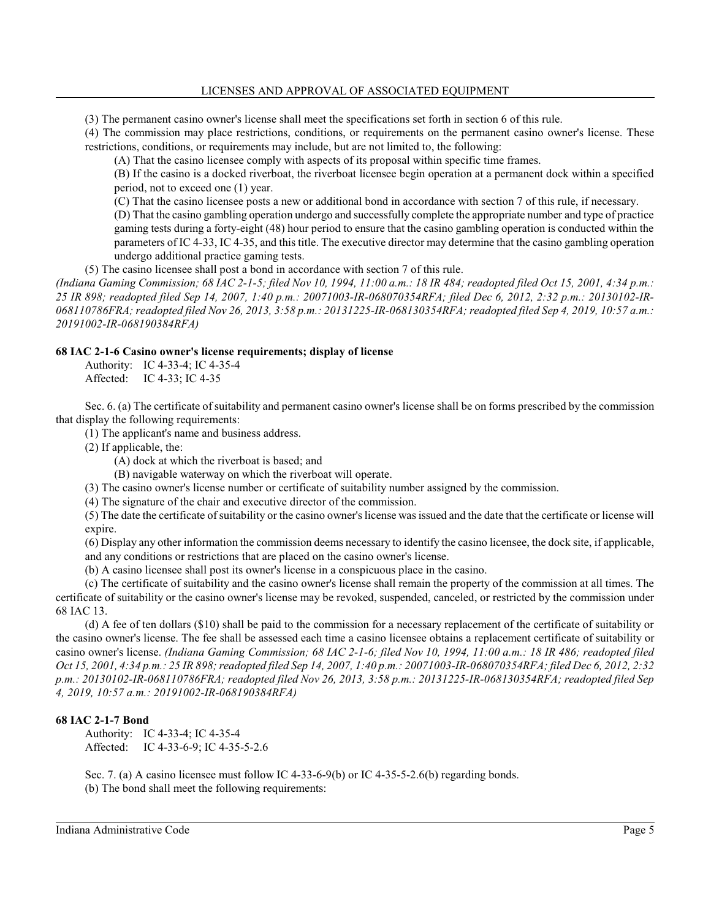(3) The permanent casino owner's license shall meet the specifications set forth in section 6 of this rule.

(4) The commission may place restrictions, conditions, or requirements on the permanent casino owner's license. These restrictions, conditions, or requirements may include, but are not limited to, the following:

(A) That the casino licensee comply with aspects of its proposal within specific time frames.

(B) If the casino is a docked riverboat, the riverboat licensee begin operation at a permanent dock within a specified period, not to exceed one (1) year.

(C) That the casino licensee posts a new or additional bond in accordance with section 7 of this rule, if necessary.

(D) That the casino gambling operation undergo and successfully complete the appropriate number and type of practice gaming tests during a forty-eight (48) hour period to ensure that the casino gambling operation is conducted within the parameters of IC 4-33, IC 4-35, and this title. The executive director may determine that the casino gambling operation undergo additional practice gaming tests.

(5) The casino licensee shall post a bond in accordance with section 7 of this rule.

*(Indiana Gaming Commission; 68 IAC 2-1-5; filed Nov 10, 1994, 11:00 a.m.: 18 IR 484; readopted filed Oct 15, 2001, 4:34 p.m.: 25 IR 898; readopted filed Sep 14, 2007, 1:40 p.m.: 20071003-IR-068070354RFA; filed Dec 6, 2012, 2:32 p.m.: 20130102-IR-068110786FRA; readopted filed Nov 26, 2013, 3:58 p.m.: 20131225-IR-068130354RFA; readopted filed Sep 4, 2019, 10:57 a.m.: 20191002-IR-068190384RFA)*

## **68 IAC 2-1-6 Casino owner's license requirements; display of license**

Authority: IC 4-33-4; IC 4-35-4 Affected: IC 4-33; IC 4-35

Sec. 6. (a) The certificate of suitability and permanent casino owner's license shall be on forms prescribed by the commission that display the following requirements:

(1) The applicant's name and business address.

(2) If applicable, the:

(A) dock at which the riverboat is based; and

(B) navigable waterway on which the riverboat will operate.

(3) The casino owner's license number or certificate of suitability number assigned by the commission.

(4) The signature of the chair and executive director of the commission.

(5) The date the certificate ofsuitability or the casino owner's license was issued and the date that the certificate or license will expire.

(6) Display any other information the commission deems necessary to identify the casino licensee, the dock site, if applicable, and any conditions or restrictions that are placed on the casino owner's license.

(b) A casino licensee shall post its owner's license in a conspicuous place in the casino.

(c) The certificate of suitability and the casino owner's license shall remain the property of the commission at all times. The certificate of suitability or the casino owner's license may be revoked, suspended, canceled, or restricted by the commission under 68 IAC 13.

(d) A fee of ten dollars (\$10) shall be paid to the commission for a necessary replacement of the certificate of suitability or the casino owner's license. The fee shall be assessed each time a casino licensee obtains a replacement certificate of suitability or casino owner's license. *(Indiana Gaming Commission; 68 IAC 2-1-6; filed Nov 10, 1994, 11:00 a.m.: 18 IR 486; readopted filed Oct 15, 2001, 4:34 p.m.: 25 IR 898; readopted filed Sep 14, 2007, 1:40 p.m.: 20071003-IR-068070354RFA; filed Dec 6, 2012, 2:32 p.m.: 20130102-IR-068110786FRA; readopted filed Nov 26, 2013, 3:58 p.m.: 20131225-IR-068130354RFA; readopted filed Sep 4, 2019, 10:57 a.m.: 20191002-IR-068190384RFA)*

## **68 IAC 2-1-7 Bond**

Authority: IC 4-33-4; IC 4-35-4 Affected: IC 4-33-6-9; IC 4-35-5-2.6

Sec. 7. (a) A casino licensee must follow IC 4-33-6-9(b) or IC 4-35-5-2.6(b) regarding bonds. (b) The bond shall meet the following requirements: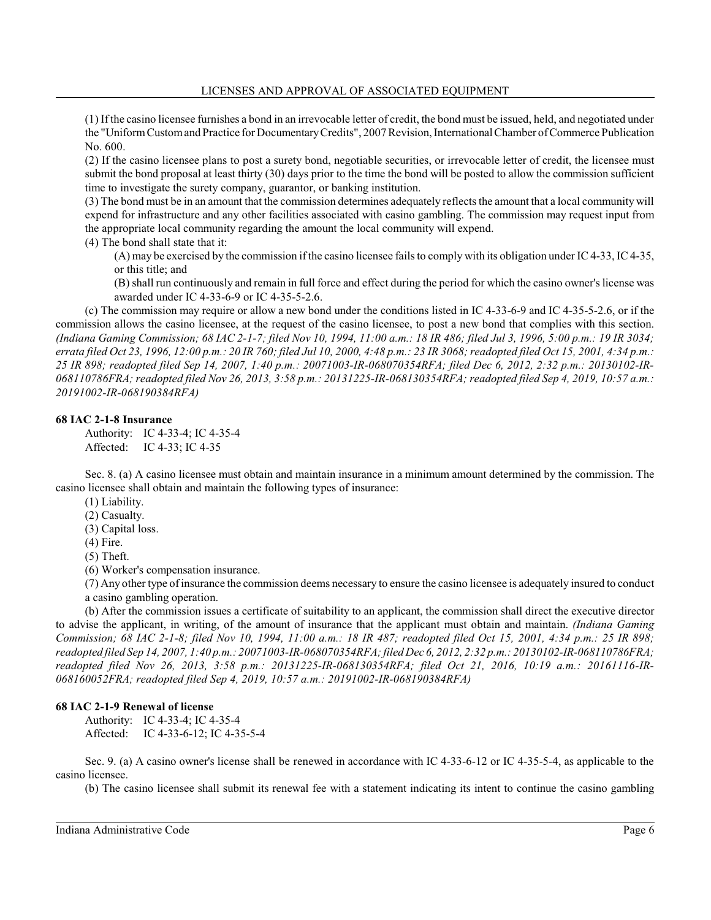(1) If the casino licensee furnishes a bond in an irrevocable letter of credit, the bond must be issued, held, and negotiated under the "Uniform Custom and Practice for Documentary Credits", 2007 Revision, International Chamber of Commerce Publication No. 600.

(2) If the casino licensee plans to post a surety bond, negotiable securities, or irrevocable letter of credit, the licensee must submit the bond proposal at least thirty (30) days prior to the time the bond will be posted to allow the commission sufficient time to investigate the surety company, guarantor, or banking institution.

(3) The bond must be in an amount that the commission determines adequately reflects the amount that a local community will expend for infrastructure and any other facilities associated with casino gambling. The commission may request input from the appropriate local community regarding the amount the local community will expend.

(4) The bond shall state that it:

(A) may be exercised by the commission if the casino licensee fails to comply with its obligation under IC 4-33, IC 4-35, or this title; and

(B) shall run continuously and remain in full force and effect during the period for which the casino owner's license was awarded under IC 4-33-6-9 or IC 4-35-5-2.6.

(c) The commission may require or allow a new bond under the conditions listed in IC 4-33-6-9 and IC 4-35-5-2.6, or if the commission allows the casino licensee, at the request of the casino licensee, to post a new bond that complies with this section. *(Indiana Gaming Commission; 68 IAC 2-1-7; filed Nov 10, 1994, 11:00 a.m.: 18 IR 486; filed Jul 3, 1996, 5:00 p.m.: 19 IR 3034; errata filed Oct 23, 1996, 12:00 p.m.: 20 IR 760; filed Jul 10, 2000, 4:48 p.m.: 23 IR 3068; readopted filed Oct 15, 2001, 4:34 p.m.: 25 IR 898; readopted filed Sep 14, 2007, 1:40 p.m.: 20071003-IR-068070354RFA; filed Dec 6, 2012, 2:32 p.m.: 20130102-IR-068110786FRA; readopted filed Nov 26, 2013, 3:58 p.m.: 20131225-IR-068130354RFA; readopted filed Sep 4, 2019, 10:57 a.m.: 20191002-IR-068190384RFA)*

#### **68 IAC 2-1-8 Insurance**

Authority: IC 4-33-4; IC 4-35-4 Affected: IC 4-33; IC 4-35

Sec. 8. (a) A casino licensee must obtain and maintain insurance in a minimum amount determined by the commission. The casino licensee shall obtain and maintain the following types of insurance:

(1) Liability.

(2) Casualty.

(3) Capital loss.

(4) Fire.

(5) Theft.

(6) Worker's compensation insurance.

(7) Any other type ofinsurance the commission deems necessary to ensure the casino licensee is adequately insured to conduct a casino gambling operation.

(b) After the commission issues a certificate of suitability to an applicant, the commission shall direct the executive director to advise the applicant, in writing, of the amount of insurance that the applicant must obtain and maintain. *(Indiana Gaming Commission; 68 IAC 2-1-8; filed Nov 10, 1994, 11:00 a.m.: 18 IR 487; readopted filed Oct 15, 2001, 4:34 p.m.: 25 IR 898; readopted filed Sep 14, 2007, 1:40 p.m.: 20071003-IR-068070354RFA; filed Dec 6, 2012, 2:32 p.m.: 20130102-IR-068110786FRA; readopted filed Nov 26, 2013, 3:58 p.m.: 20131225-IR-068130354RFA; filed Oct 21, 2016, 10:19 a.m.: 20161116-IR-068160052FRA; readopted filed Sep 4, 2019, 10:57 a.m.: 20191002-IR-068190384RFA)*

#### **68 IAC 2-1-9 Renewal of license**

Authority: IC 4-33-4; IC 4-35-4 Affected: IC 4-33-6-12; IC 4-35-5-4

Sec. 9. (a) A casino owner's license shall be renewed in accordance with IC 4-33-6-12 or IC 4-35-5-4, as applicable to the casino licensee.

(b) The casino licensee shall submit its renewal fee with a statement indicating its intent to continue the casino gambling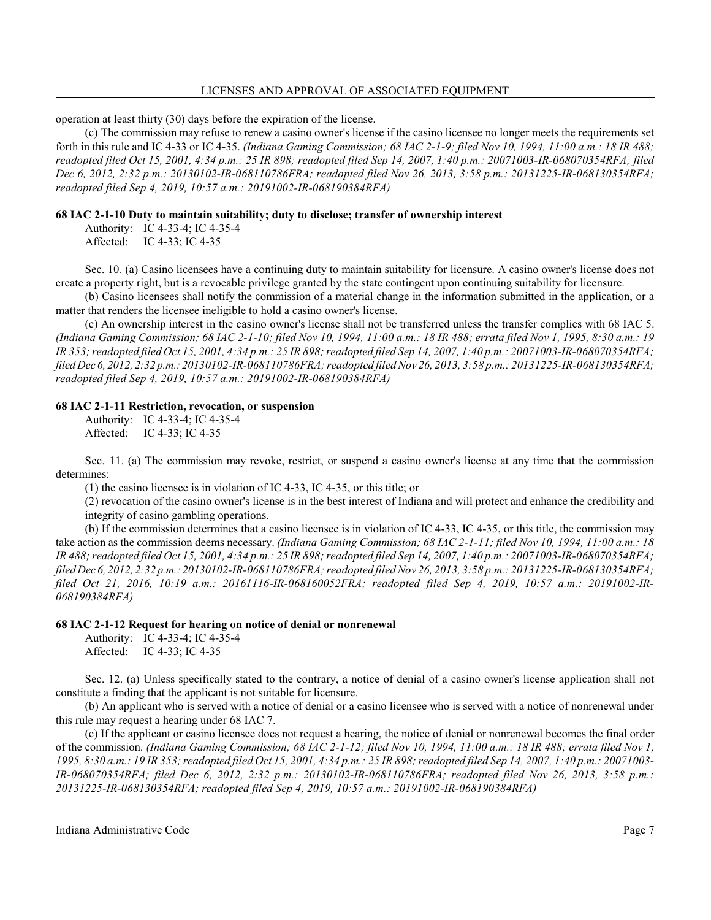operation at least thirty (30) days before the expiration of the license.

(c) The commission may refuse to renew a casino owner's license if the casino licensee no longer meets the requirements set forth in this rule and IC 4-33 or IC 4-35. *(Indiana Gaming Commission; 68 IAC 2-1-9; filed Nov 10, 1994, 11:00 a.m.: 18 IR 488; readopted filed Oct 15, 2001, 4:34 p.m.: 25 IR 898; readopted filed Sep 14, 2007, 1:40 p.m.: 20071003-IR-068070354RFA; filed Dec 6, 2012, 2:32 p.m.: 20130102-IR-068110786FRA; readopted filed Nov 26, 2013, 3:58 p.m.: 20131225-IR-068130354RFA; readopted filed Sep 4, 2019, 10:57 a.m.: 20191002-IR-068190384RFA)*

## **68 IAC 2-1-10 Duty to maintain suitability; duty to disclose; transfer of ownership interest**

Authority: IC 4-33-4; IC 4-35-4 Affected: IC 4-33; IC 4-35

Sec. 10. (a) Casino licensees have a continuing duty to maintain suitability for licensure. A casino owner's license does not create a property right, but is a revocable privilege granted by the state contingent upon continuing suitability for licensure.

(b) Casino licensees shall notify the commission of a material change in the information submitted in the application, or a matter that renders the licensee ineligible to hold a casino owner's license.

(c) An ownership interest in the casino owner's license shall not be transferred unless the transfer complies with 68 IAC 5. *(Indiana Gaming Commission; 68 IAC 2-1-10; filed Nov 10, 1994, 11:00 a.m.: 18 IR 488; errata filed Nov 1, 1995, 8:30 a.m.: 19 IR 353; readopted filed Oct 15, 2001, 4:34 p.m.: 25 IR 898; readopted filed Sep 14, 2007, 1:40 p.m.: 20071003-IR-068070354RFA; filedDec 6, 2012, 2:32 p.m.: 20130102-IR-068110786FRA; readopted filedNov 26, 2013, 3:58 p.m.: 20131225-IR-068130354RFA; readopted filed Sep 4, 2019, 10:57 a.m.: 20191002-IR-068190384RFA)*

#### **68 IAC 2-1-11 Restriction, revocation, or suspension**

Authority: IC 4-33-4; IC 4-35-4 Affected: IC 4-33; IC 4-35

Sec. 11. (a) The commission may revoke, restrict, or suspend a casino owner's license at any time that the commission determines:

(1) the casino licensee is in violation of IC 4-33, IC 4-35, or this title; or

(2) revocation of the casino owner's license is in the best interest of Indiana and will protect and enhance the credibility and integrity of casino gambling operations.

(b) If the commission determines that a casino licensee is in violation of IC 4-33, IC 4-35, or this title, the commission may take action as the commission deems necessary. *(Indiana Gaming Commission; 68 IAC 2-1-11; filed Nov 10, 1994, 11:00 a.m.: 18 IR 488; readopted filed Oct 15, 2001, 4:34 p.m.: 25 IR 898; readopted filed Sep 14, 2007, 1:40 p.m.: 20071003-IR-068070354RFA; filedDec 6, 2012, 2:32 p.m.: 20130102-IR-068110786FRA; readopted filedNov 26, 2013, 3:58 p.m.: 20131225-IR-068130354RFA; filed Oct 21, 2016, 10:19 a.m.: 20161116-IR-068160052FRA; readopted filed Sep 4, 2019, 10:57 a.m.: 20191002-IR-068190384RFA)*

#### **68 IAC 2-1-12 Request for hearing on notice of denial or nonrenewal**

Authority: IC 4-33-4; IC 4-35-4 Affected: IC 4-33; IC 4-35

Sec. 12. (a) Unless specifically stated to the contrary, a notice of denial of a casino owner's license application shall not constitute a finding that the applicant is not suitable for licensure.

(b) An applicant who is served with a notice of denial or a casino licensee who is served with a notice of nonrenewal under this rule may request a hearing under 68 IAC 7.

(c) If the applicant or casino licensee does not request a hearing, the notice of denial or nonrenewal becomes the final order of the commission. *(Indiana Gaming Commission; 68 IAC 2-1-12; filed Nov 10, 1994, 11:00 a.m.: 18 IR 488; errata filed Nov 1, 1995, 8:30 a.m.: 19 IR 353; readopted filed Oct 15, 2001, 4:34 p.m.: 25 IR 898; readopted filed Sep 14, 2007, 1:40 p.m.: 20071003- IR-068070354RFA; filed Dec 6, 2012, 2:32 p.m.: 20130102-IR-068110786FRA; readopted filed Nov 26, 2013, 3:58 p.m.: 20131225-IR-068130354RFA; readopted filed Sep 4, 2019, 10:57 a.m.: 20191002-IR-068190384RFA)*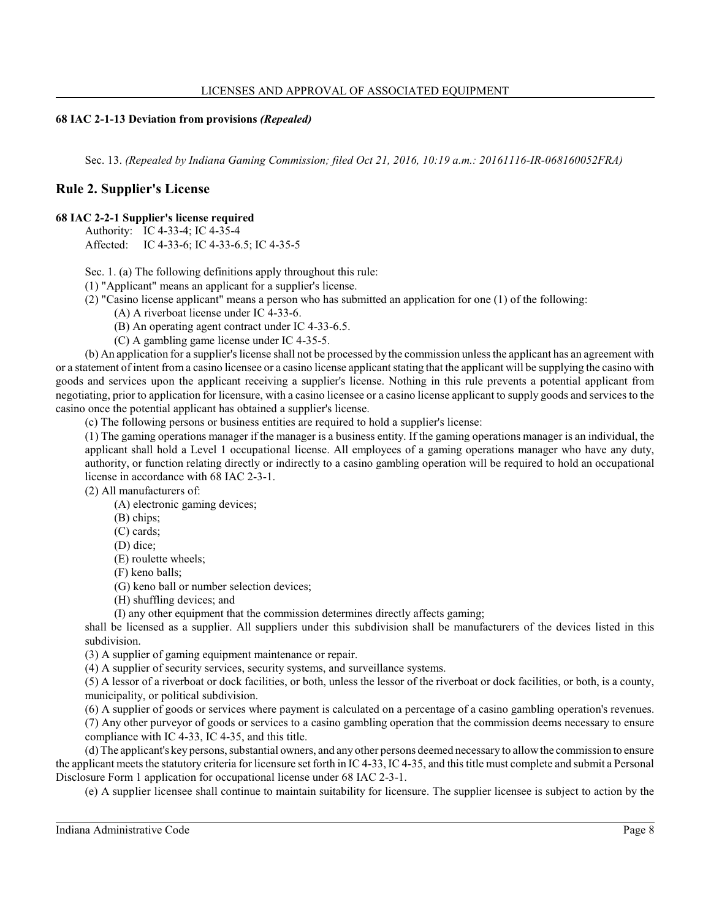## **68 IAC 2-1-13 Deviation from provisions** *(Repealed)*

Sec. 13. *(Repealed by Indiana Gaming Commission; filed Oct 21, 2016, 10:19 a.m.: 20161116-IR-068160052FRA)*

# **Rule 2. Supplier's License**

#### **68 IAC 2-2-1 Supplier's license required**

Authority: IC 4-33-4; IC 4-35-4

Affected: IC 4-33-6; IC 4-33-6.5; IC 4-35-5

Sec. 1. (a) The following definitions apply throughout this rule:

(1) "Applicant" means an applicant for a supplier's license.

(2) "Casino license applicant" means a person who has submitted an application for one (1) of the following:

(A) A riverboat license under IC 4-33-6.

(B) An operating agent contract under IC 4-33-6.5.

(C) A gambling game license under IC 4-35-5.

(b) An application for a supplier's license shall not be processed by the commission unless the applicant has an agreement with or a statement of intent from a casino licensee or a casino license applicant stating that the applicant will be supplying the casino with goods and services upon the applicant receiving a supplier's license. Nothing in this rule prevents a potential applicant from negotiating, prior to application for licensure, with a casino licensee or a casino license applicant to supply goods and services to the casino once the potential applicant has obtained a supplier's license.

(c) The following persons or business entities are required to hold a supplier's license:

(1) The gaming operations manager if the manager is a business entity. If the gaming operations manager is an individual, the applicant shall hold a Level 1 occupational license. All employees of a gaming operations manager who have any duty, authority, or function relating directly or indirectly to a casino gambling operation will be required to hold an occupational license in accordance with 68 IAC 2-3-1.

(2) All manufacturers of:

(A) electronic gaming devices;

(B) chips;

(C) cards;

(D) dice;

(E) roulette wheels;

(F) keno balls;

(G) keno ball or number selection devices;

(H) shuffling devices; and

(I) any other equipment that the commission determines directly affects gaming;

shall be licensed as a supplier. All suppliers under this subdivision shall be manufacturers of the devices listed in this subdivision.

(3) A supplier of gaming equipment maintenance or repair.

(4) A supplier of security services, security systems, and surveillance systems.

(5) A lessor of a riverboat or dock facilities, or both, unless the lessor of the riverboat or dock facilities, or both, is a county, municipality, or political subdivision.

(6) A supplier of goods or services where payment is calculated on a percentage of a casino gambling operation's revenues.

(7) Any other purveyor of goods or services to a casino gambling operation that the commission deems necessary to ensure compliance with IC 4-33, IC 4-35, and this title.

(d) The applicant's key persons, substantial owners, and any other persons deemed necessary to allowthe commission to ensure the applicant meets the statutory criteria for licensure set forth in IC 4-33, IC 4-35, and this title must complete and submit a Personal Disclosure Form 1 application for occupational license under 68 IAC 2-3-1.

(e) A supplier licensee shall continue to maintain suitability for licensure. The supplier licensee is subject to action by the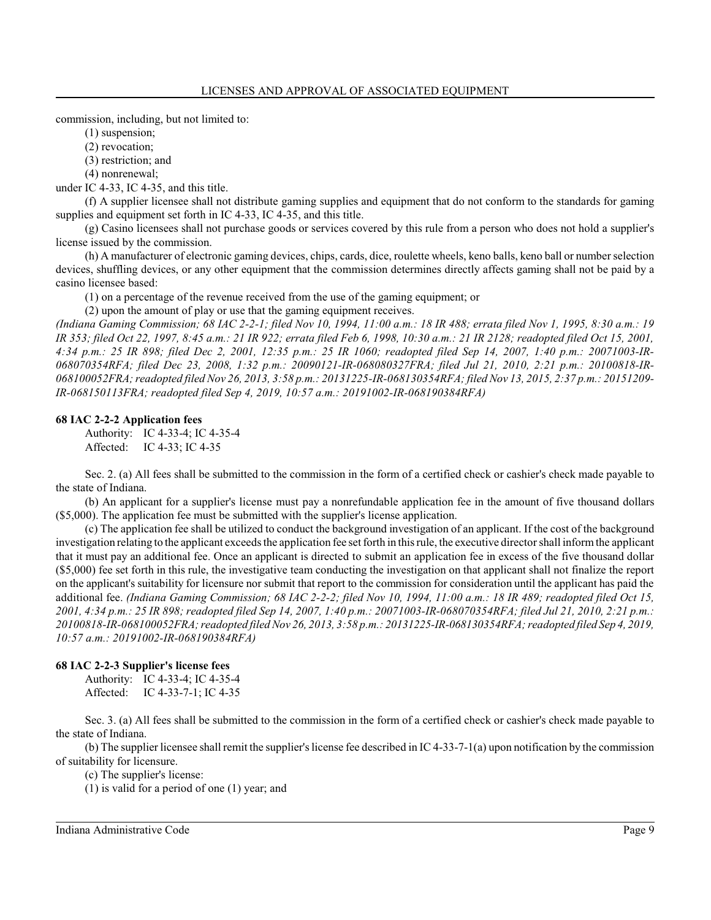commission, including, but not limited to:

(1) suspension;

(2) revocation;

(3) restriction; and

(4) nonrenewal;

under IC 4-33, IC 4-35, and this title.

(f) A supplier licensee shall not distribute gaming supplies and equipment that do not conform to the standards for gaming supplies and equipment set forth in IC 4-33, IC 4-35, and this title.

(g) Casino licensees shall not purchase goods or services covered by this rule from a person who does not hold a supplier's license issued by the commission.

(h) A manufacturer of electronic gaming devices, chips, cards, dice, roulette wheels, keno balls, keno ball or number selection devices, shuffling devices, or any other equipment that the commission determines directly affects gaming shall not be paid by a casino licensee based:

(1) on a percentage of the revenue received from the use of the gaming equipment; or

(2) upon the amount of play or use that the gaming equipment receives.

*(Indiana Gaming Commission; 68 IAC 2-2-1; filed Nov 10, 1994, 11:00 a.m.: 18 IR 488; errata filed Nov 1, 1995, 8:30 a.m.: 19 IR 353; filed Oct 22, 1997, 8:45 a.m.: 21 IR 922; errata filed Feb 6, 1998, 10:30 a.m.: 21 IR 2128; readopted filed Oct 15, 2001, 4:34 p.m.: 25 IR 898; filed Dec 2, 2001, 12:35 p.m.: 25 IR 1060; readopted filed Sep 14, 2007, 1:40 p.m.: 20071003-IR-068070354RFA; filed Dec 23, 2008, 1:32 p.m.: 20090121-IR-068080327FRA; filed Jul 21, 2010, 2:21 p.m.: 20100818-IR-068100052FRA; readopted filed Nov 26, 2013, 3:58 p.m.: 20131225-IR-068130354RFA; filed Nov 13, 2015, 2:37 p.m.: 20151209- IR-068150113FRA; readopted filed Sep 4, 2019, 10:57 a.m.: 20191002-IR-068190384RFA)*

#### **68 IAC 2-2-2 Application fees**

Authority: IC 4-33-4; IC 4-35-4 Affected: IC 4-33; IC 4-35

Sec. 2. (a) All fees shall be submitted to the commission in the form of a certified check or cashier's check made payable to the state of Indiana.

(b) An applicant for a supplier's license must pay a nonrefundable application fee in the amount of five thousand dollars (\$5,000). The application fee must be submitted with the supplier's license application.

(c) The application fee shall be utilized to conduct the background investigation of an applicant. If the cost of the background investigation relating to the applicant exceeds the application fee set forth in this rule, the executive director shall informthe applicant that it must pay an additional fee. Once an applicant is directed to submit an application fee in excess of the five thousand dollar (\$5,000) fee set forth in this rule, the investigative team conducting the investigation on that applicant shall not finalize the report on the applicant's suitability for licensure nor submit that report to the commission for consideration until the applicant has paid the additional fee. *(Indiana Gaming Commission; 68 IAC 2-2-2; filed Nov 10, 1994, 11:00 a.m.: 18 IR 489; readopted filed Oct 15, 2001, 4:34 p.m.: 25 IR 898; readopted filed Sep 14, 2007, 1:40 p.m.: 20071003-IR-068070354RFA; filed Jul 21, 2010, 2:21 p.m.: 20100818-IR-068100052FRA; readopted filedNov 26, 2013, 3:58 p.m.: 20131225-IR-068130354RFA; readopted filed Sep 4, 2019, 10:57 a.m.: 20191002-IR-068190384RFA)*

## **68 IAC 2-2-3 Supplier's license fees**

Authority: IC 4-33-4; IC 4-35-4 Affected: IC 4-33-7-1; IC 4-35

Sec. 3. (a) All fees shall be submitted to the commission in the form of a certified check or cashier's check made payable to the state of Indiana.

(b) The supplier licensee shall remit the supplier's license fee described in IC 4-33-7-1(a) upon notification by the commission of suitability for licensure.

(c) The supplier's license:

(1) is valid for a period of one (1) year; and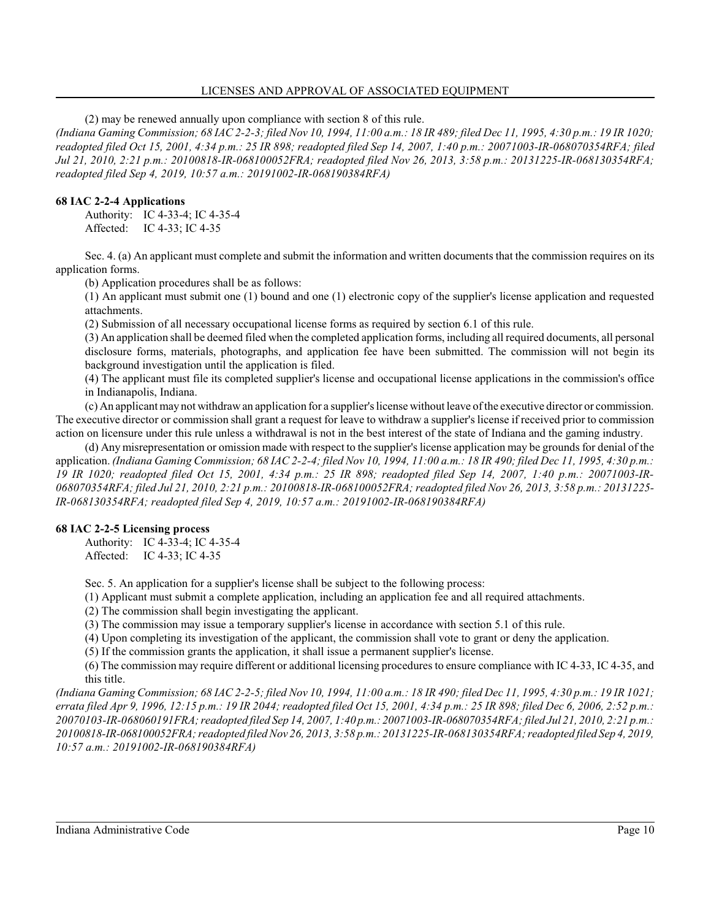#### LICENSES AND APPROVAL OF ASSOCIATED EQUIPMENT

(2) may be renewed annually upon compliance with section 8 of this rule.

*(Indiana Gaming Commission; 68 IAC 2-2-3; filed Nov 10, 1994, 11:00 a.m.: 18 IR 489; filed Dec 11, 1995, 4:30 p.m.: 19 IR 1020; readopted filed Oct 15, 2001, 4:34 p.m.: 25 IR 898; readopted filed Sep 14, 2007, 1:40 p.m.: 20071003-IR-068070354RFA; filed Jul 21, 2010, 2:21 p.m.: 20100818-IR-068100052FRA; readopted filed Nov 26, 2013, 3:58 p.m.: 20131225-IR-068130354RFA; readopted filed Sep 4, 2019, 10:57 a.m.: 20191002-IR-068190384RFA)*

#### **68 IAC 2-2-4 Applications**

Authority: IC 4-33-4; IC 4-35-4 Affected: IC 4-33; IC 4-35

Sec. 4. (a) An applicant must complete and submit the information and written documents that the commission requires on its application forms.

(b) Application procedures shall be as follows:

(1) An applicant must submit one (1) bound and one (1) electronic copy of the supplier's license application and requested attachments.

(2) Submission of all necessary occupational license forms as required by section 6.1 of this rule.

(3) An application shall be deemed filed when the completed application forms, including all required documents, all personal disclosure forms, materials, photographs, and application fee have been submitted. The commission will not begin its background investigation until the application is filed.

(4) The applicant must file its completed supplier's license and occupational license applications in the commission's office in Indianapolis, Indiana.

(c) An applicant may not withdrawan application for a supplier's license without leave ofthe executive director or commission. The executive director or commission shall grant a request for leave to withdraw a supplier's license if received prior to commission action on licensure under this rule unless a withdrawal is not in the best interest of the state of Indiana and the gaming industry.

(d) Any misrepresentation or omission made with respect to the supplier'slicense application may be grounds for denial of the application. *(Indiana Gaming Commission; 68 IAC 2-2-4; filed Nov 10, 1994, 11:00 a.m.: 18 IR 490; filed Dec 11, 1995, 4:30 p.m.: 19 IR 1020; readopted filed Oct 15, 2001, 4:34 p.m.: 25 IR 898; readopted filed Sep 14, 2007, 1:40 p.m.: 20071003-IR-068070354RFA; filed Jul 21, 2010, 2:21 p.m.: 20100818-IR-068100052FRA; readopted filed Nov 26, 2013, 3:58 p.m.: 20131225- IR-068130354RFA; readopted filed Sep 4, 2019, 10:57 a.m.: 20191002-IR-068190384RFA)*

## **68 IAC 2-2-5 Licensing process**

Authority: IC 4-33-4; IC 4-35-4 Affected: IC 4-33; IC 4-35

Sec. 5. An application for a supplier's license shall be subject to the following process:

(1) Applicant must submit a complete application, including an application fee and all required attachments.

(2) The commission shall begin investigating the applicant.

(3) The commission may issue a temporary supplier's license in accordance with section 5.1 of this rule.

(4) Upon completing its investigation of the applicant, the commission shall vote to grant or deny the application.

(5) If the commission grants the application, it shall issue a permanent supplier's license.

(6) The commission may require different or additional licensing procedures to ensure compliance with IC 4-33, IC 4-35, and this title.

*(Indiana Gaming Commission; 68 IAC 2-2-5; filed Nov 10, 1994, 11:00 a.m.: 18 IR 490; filed Dec 11, 1995, 4:30 p.m.: 19 IR 1021; errata filed Apr 9, 1996, 12:15 p.m.: 19 IR 2044; readopted filed Oct 15, 2001, 4:34 p.m.: 25 IR 898; filed Dec 6, 2006, 2:52 p.m.: 20070103-IR-068060191FRA; readopted filed Sep 14, 2007, 1:40 p.m.: 20071003-IR-068070354RFA; filed Jul 21, 2010, 2:21 p.m.: 20100818-IR-068100052FRA; readopted filedNov 26, 2013, 3:58 p.m.: 20131225-IR-068130354RFA; readopted filed Sep 4, 2019, 10:57 a.m.: 20191002-IR-068190384RFA)*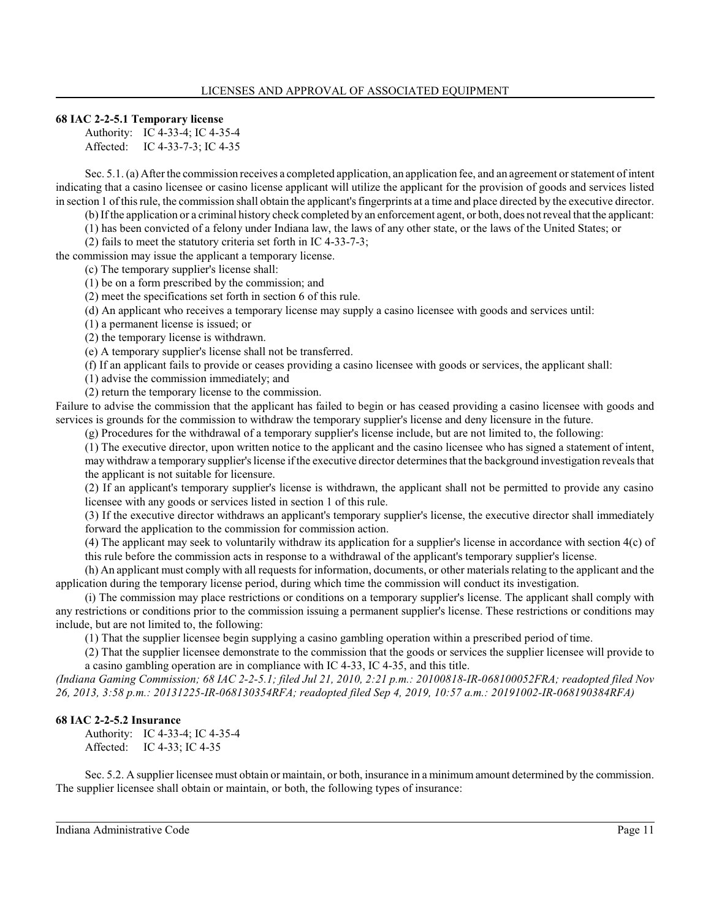## **68 IAC 2-2-5.1 Temporary license**

Authority: IC 4-33-4; IC 4-35-4 Affected: IC 4-33-7-3; IC 4-35

Sec. 5.1. (a) After the commission receives a completed application, an application fee, and an agreement or statement of intent indicating that a casino licensee or casino license applicant will utilize the applicant for the provision of goods and services listed in section 1 of this rule, the commission shall obtain the applicant's fingerprints at a time and place directed by the executive director.

(b) Ifthe application or a criminal history check completed by an enforcement agent, or both, does notreveal that the applicant:

(1) has been convicted of a felony under Indiana law, the laws of any other state, or the laws of the United States; or

(2) fails to meet the statutory criteria set forth in IC 4-33-7-3;

the commission may issue the applicant a temporary license. (c) The temporary supplier's license shall:

(1) be on a form prescribed by the commission; and

(2) meet the specifications set forth in section 6 of this rule.

(d) An applicant who receives a temporary license may supply a casino licensee with goods and services until:

(1) a permanent license is issued; or

(2) the temporary license is withdrawn.

(e) A temporary supplier's license shall not be transferred.

(f) If an applicant fails to provide or ceases providing a casino licensee with goods or services, the applicant shall:

(1) advise the commission immediately; and

(2) return the temporary license to the commission.

Failure to advise the commission that the applicant has failed to begin or has ceased providing a casino licensee with goods and services is grounds for the commission to withdraw the temporary supplier's license and deny licensure in the future.

(g) Procedures for the withdrawal of a temporary supplier's license include, but are not limited to, the following:

(1) The executive director, upon written notice to the applicant and the casino licensee who has signed a statement of intent, may withdraw a temporary supplier's license ifthe executive director determines that the background investigation reveals that the applicant is not suitable for licensure.

(2) If an applicant's temporary supplier's license is withdrawn, the applicant shall not be permitted to provide any casino licensee with any goods or services listed in section 1 of this rule.

(3) If the executive director withdraws an applicant's temporary supplier's license, the executive director shall immediately forward the application to the commission for commission action.

(4) The applicant may seek to voluntarily withdraw its application for a supplier's license in accordance with section 4(c) of this rule before the commission acts in response to a withdrawal of the applicant's temporary supplier's license.

(h) An applicant must comply with all requests for information, documents, or other materials relating to the applicant and the application during the temporary license period, during which time the commission will conduct its investigation.

(i) The commission may place restrictions or conditions on a temporary supplier's license. The applicant shall comply with any restrictions or conditions prior to the commission issuing a permanent supplier's license. These restrictions or conditions may include, but are not limited to, the following:

(1) That the supplier licensee begin supplying a casino gambling operation within a prescribed period of time.

(2) That the supplier licensee demonstrate to the commission that the goods or services the supplier licensee will provide to a casino gambling operation are in compliance with IC 4-33, IC 4-35, and this title.

*(Indiana Gaming Commission; 68 IAC 2-2-5.1; filed Jul 21, 2010, 2:21 p.m.: 20100818-IR-068100052FRA; readopted filed Nov 26, 2013, 3:58 p.m.: 20131225-IR-068130354RFA; readopted filed Sep 4, 2019, 10:57 a.m.: 20191002-IR-068190384RFA)*

#### **68 IAC 2-2-5.2 Insurance**

Authority: IC 4-33-4; IC 4-35-4 Affected: IC 4-33; IC 4-35

Sec. 5.2. A supplier licensee must obtain or maintain, or both, insurance in a minimum amount determined by the commission. The supplier licensee shall obtain or maintain, or both, the following types of insurance: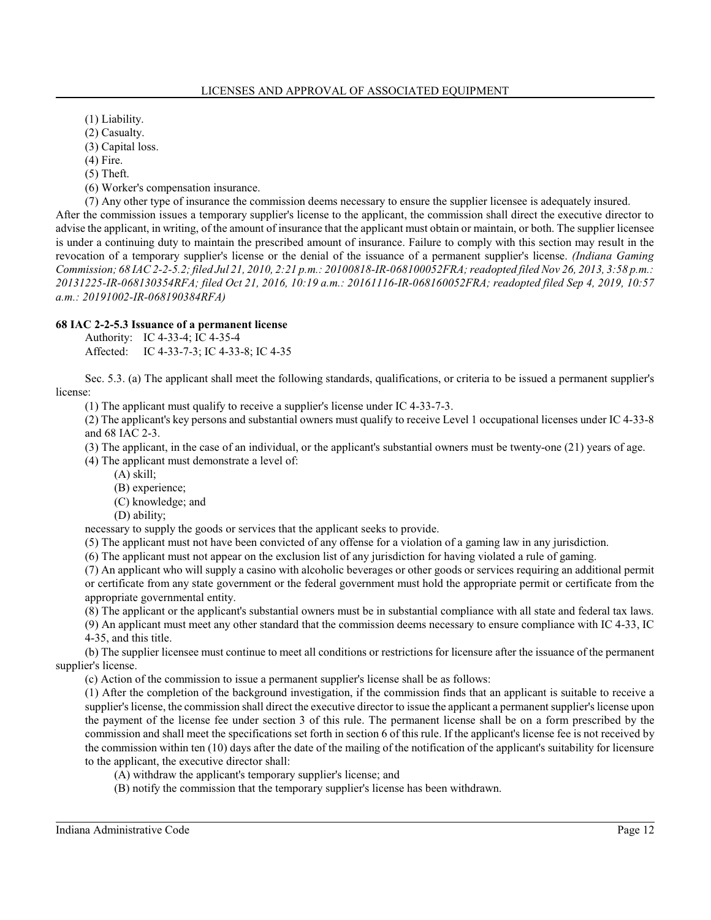(1) Liability.

(2) Casualty.

(3) Capital loss.

(4) Fire.

(5) Theft.

(6) Worker's compensation insurance.

(7) Any other type of insurance the commission deems necessary to ensure the supplier licensee is adequately insured.

After the commission issues a temporary supplier's license to the applicant, the commission shall direct the executive director to advise the applicant, in writing, of the amount of insurance that the applicant must obtain or maintain, or both. The supplier licensee is under a continuing duty to maintain the prescribed amount of insurance. Failure to comply with this section may result in the revocation of a temporary supplier's license or the denial of the issuance of a permanent supplier's license. *(Indiana Gaming Commission; 68 IAC 2-2-5.2; filed Jul 21, 2010, 2:21 p.m.: 20100818-IR-068100052FRA; readopted filed Nov 26, 2013, 3:58 p.m.: 20131225-IR-068130354RFA; filed Oct 21, 2016, 10:19 a.m.: 20161116-IR-068160052FRA; readopted filed Sep 4, 2019, 10:57 a.m.: 20191002-IR-068190384RFA)*

# **68 IAC 2-2-5.3 Issuance of a permanent license**

Authority: IC 4-33-4; IC 4-35-4 Affected: IC 4-33-7-3; IC 4-33-8; IC 4-35

Sec. 5.3. (a) The applicant shall meet the following standards, qualifications, or criteria to be issued a permanent supplier's license:

(1) The applicant must qualify to receive a supplier's license under IC 4-33-7-3.

(2) The applicant's key persons and substantial owners must qualify to receive Level 1 occupational licenses under IC 4-33-8 and 68 IAC 2-3.

(3) The applicant, in the case of an individual, or the applicant's substantial owners must be twenty-one (21) years of age.

(4) The applicant must demonstrate a level of:

(A) skill;

(B) experience;

(C) knowledge; and

(D) ability;

necessary to supply the goods or services that the applicant seeks to provide.

(5) The applicant must not have been convicted of any offense for a violation of a gaming law in any jurisdiction.

(6) The applicant must not appear on the exclusion list of any jurisdiction for having violated a rule of gaming.

(7) An applicant who will supply a casino with alcoholic beverages or other goods or services requiring an additional permit or certificate from any state government or the federal government must hold the appropriate permit or certificate from the appropriate governmental entity.

(8) The applicant or the applicant's substantial owners must be in substantial compliance with all state and federal tax laws.

(9) An applicant must meet any other standard that the commission deems necessary to ensure compliance with IC 4-33, IC 4-35, and this title.

(b) The supplier licensee must continue to meet all conditions or restrictions for licensure after the issuance of the permanent supplier's license.

(c) Action of the commission to issue a permanent supplier's license shall be as follows:

(1) After the completion of the background investigation, if the commission finds that an applicant is suitable to receive a supplier's license, the commission shall direct the executive director to issue the applicant a permanent supplier's license upon the payment of the license fee under section 3 of this rule. The permanent license shall be on a form prescribed by the commission and shall meet the specifications set forth in section 6 of this rule. If the applicant's license fee is not received by the commission within ten (10) days after the date of the mailing of the notification of the applicant's suitability for licensure to the applicant, the executive director shall:

- (A) withdraw the applicant's temporary supplier's license; and
- (B) notify the commission that the temporary supplier's license has been withdrawn.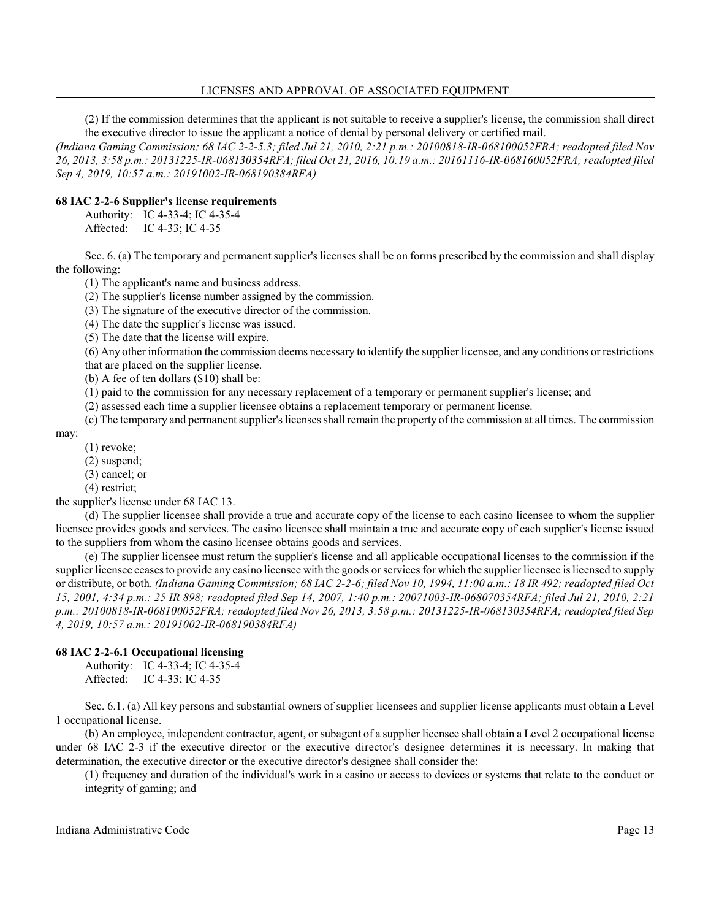#### LICENSES AND APPROVAL OF ASSOCIATED EQUIPMENT

(2) If the commission determines that the applicant is not suitable to receive a supplier's license, the commission shall direct the executive director to issue the applicant a notice of denial by personal delivery or certified mail.

*(Indiana Gaming Commission; 68 IAC 2-2-5.3; filed Jul 21, 2010, 2:21 p.m.: 20100818-IR-068100052FRA; readopted filed Nov 26, 2013, 3:58 p.m.: 20131225-IR-068130354RFA; filed Oct 21, 2016, 10:19 a.m.: 20161116-IR-068160052FRA; readopted filed Sep 4, 2019, 10:57 a.m.: 20191002-IR-068190384RFA)*

### **68 IAC 2-2-6 Supplier's license requirements**

Authority: IC 4-33-4; IC 4-35-4 Affected: IC 4-33; IC 4-35

Sec. 6. (a) The temporary and permanent supplier's licenses shall be on forms prescribed by the commission and shall display the following:

(1) The applicant's name and business address.

(2) The supplier's license number assigned by the commission.

(3) The signature of the executive director of the commission.

(4) The date the supplier's license was issued.

(5) The date that the license will expire.

(6) Any other information the commission deems necessary to identify the supplier licensee, and any conditions or restrictions that are placed on the supplier license.

(b) A fee of ten dollars (\$10) shall be:

(1) paid to the commission for any necessary replacement of a temporary or permanent supplier's license; and

(2) assessed each time a supplier licensee obtains a replacement temporary or permanent license.

(c) The temporary and permanent supplier's licenses shall remain the property of the commission at all times. The commission

may:

(1) revoke;

(2) suspend;

(3) cancel; or

(4) restrict;

the supplier's license under 68 IAC 13.

(d) The supplier licensee shall provide a true and accurate copy of the license to each casino licensee to whom the supplier licensee provides goods and services. The casino licensee shall maintain a true and accurate copy of each supplier's license issued to the suppliers from whom the casino licensee obtains goods and services.

(e) The supplier licensee must return the supplier's license and all applicable occupational licenses to the commission if the supplier licensee ceases to provide any casino licensee with the goods or services for which the supplier licensee is licensed to supply or distribute, or both. *(Indiana Gaming Commission; 68 IAC 2-2-6; filed Nov 10, 1994, 11:00 a.m.: 18 IR 492; readopted filed Oct 15, 2001, 4:34 p.m.: 25 IR 898; readopted filed Sep 14, 2007, 1:40 p.m.: 20071003-IR-068070354RFA; filed Jul 21, 2010, 2:21 p.m.: 20100818-IR-068100052FRA; readopted filed Nov 26, 2013, 3:58 p.m.: 20131225-IR-068130354RFA; readopted filed Sep 4, 2019, 10:57 a.m.: 20191002-IR-068190384RFA)*

#### **68 IAC 2-2-6.1 Occupational licensing**

Authority: IC 4-33-4; IC 4-35-4 Affected: IC 4-33; IC 4-35

Sec. 6.1. (a) All key persons and substantial owners of supplier licensees and supplier license applicants must obtain a Level 1 occupational license.

(b) An employee, independent contractor, agent, or subagent of a supplier licensee shall obtain a Level 2 occupational license under 68 IAC 2-3 if the executive director or the executive director's designee determines it is necessary. In making that determination, the executive director or the executive director's designee shall consider the:

(1) frequency and duration of the individual's work in a casino or access to devices or systems that relate to the conduct or integrity of gaming; and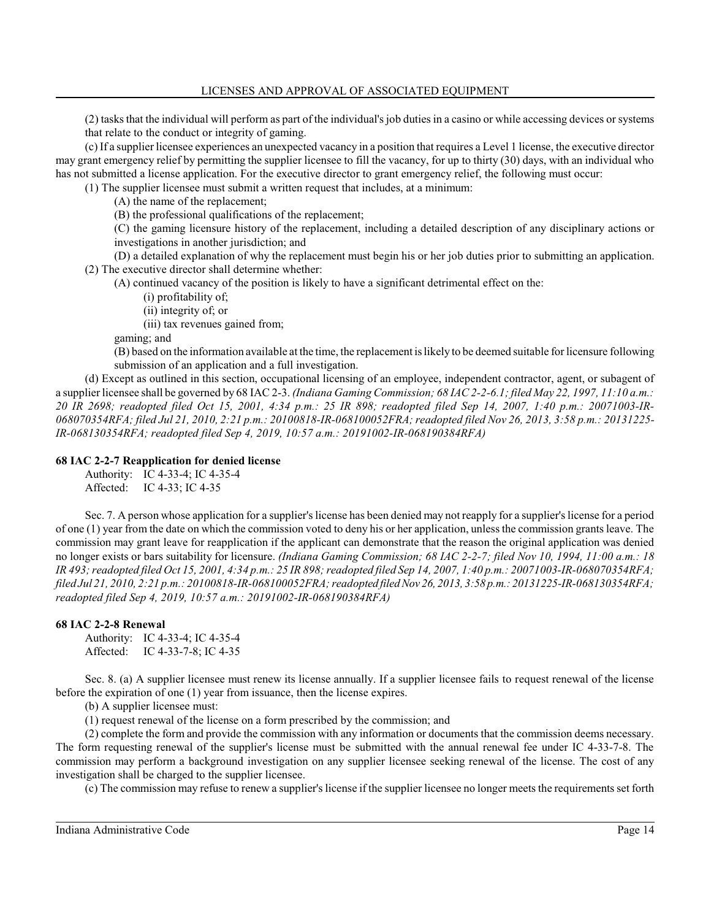(2) tasksthat the individual will perform as part of the individual's job duties in a casino or while accessing devices or systems that relate to the conduct or integrity of gaming.

(c) If a supplier licensee experiences an unexpected vacancy in a position that requires a Level 1 license, the executive director may grant emergency relief by permitting the supplier licensee to fill the vacancy, for up to thirty (30) days, with an individual who has not submitted a license application. For the executive director to grant emergency relief, the following must occur:

(1) The supplier licensee must submit a written request that includes, at a minimum:

(A) the name of the replacement;

(B) the professional qualifications of the replacement;

(C) the gaming licensure history of the replacement, including a detailed description of any disciplinary actions or investigations in another jurisdiction; and

(D) a detailed explanation of why the replacement must begin his or her job duties prior to submitting an application. (2) The executive director shall determine whether:

(A) continued vacancy of the position is likely to have a significant detrimental effect on the:

(i) profitability of;

(ii) integrity of; or

(iii) tax revenues gained from;

gaming; and

(B) based on the information available at the time, the replacement is likely to be deemed suitable for licensure following submission of an application and a full investigation.

(d) Except as outlined in this section, occupational licensing of an employee, independent contractor, agent, or subagent of a supplier licensee shall be governed by 68 IAC 2-3. *(Indiana Gaming Commission; 68 IAC 2-2-6.1; filed May 22, 1997, 11:10 a.m.: 20 IR 2698; readopted filed Oct 15, 2001, 4:34 p.m.: 25 IR 898; readopted filed Sep 14, 2007, 1:40 p.m.: 20071003-IR-068070354RFA; filed Jul 21, 2010, 2:21 p.m.: 20100818-IR-068100052FRA; readopted filed Nov 26, 2013, 3:58 p.m.: 20131225- IR-068130354RFA; readopted filed Sep 4, 2019, 10:57 a.m.: 20191002-IR-068190384RFA)*

### **68 IAC 2-2-7 Reapplication for denied license**

Authority: IC 4-33-4; IC 4-35-4

Affected: IC 4-33; IC 4-35

Sec. 7. A person whose application for a supplier's license has been denied may not reapply for a supplier's license for a period of one (1) year from the date on which the commission voted to deny his or her application, unless the commission grants leave. The commission may grant leave for reapplication if the applicant can demonstrate that the reason the original application was denied no longer exists or bars suitability for licensure. *(Indiana Gaming Commission; 68 IAC 2-2-7; filed Nov 10, 1994, 11:00 a.m.: 18 IR 493; readopted filed Oct 15, 2001, 4:34 p.m.: 25 IR 898; readopted filed Sep 14, 2007, 1:40 p.m.: 20071003-IR-068070354RFA; filed Jul 21, 2010, 2:21 p.m.: 20100818-IR-068100052FRA; readopted filedNov 26, 2013, 3:58 p.m.: 20131225-IR-068130354RFA; readopted filed Sep 4, 2019, 10:57 a.m.: 20191002-IR-068190384RFA)*

## **68 IAC 2-2-8 Renewal**

Authority: IC 4-33-4; IC 4-35-4 Affected: IC 4-33-7-8; IC 4-35

Sec. 8. (a) A supplier licensee must renew its license annually. If a supplier licensee fails to request renewal of the license before the expiration of one (1) year from issuance, then the license expires.

(b) A supplier licensee must:

(1) request renewal of the license on a form prescribed by the commission; and

(2) complete the form and provide the commission with any information or documents that the commission deems necessary. The form requesting renewal of the supplier's license must be submitted with the annual renewal fee under IC 4-33-7-8. The commission may perform a background investigation on any supplier licensee seeking renewal of the license. The cost of any investigation shall be charged to the supplier licensee.

(c) The commission may refuse to renew a supplier's license if the supplier licensee no longer meets the requirements set forth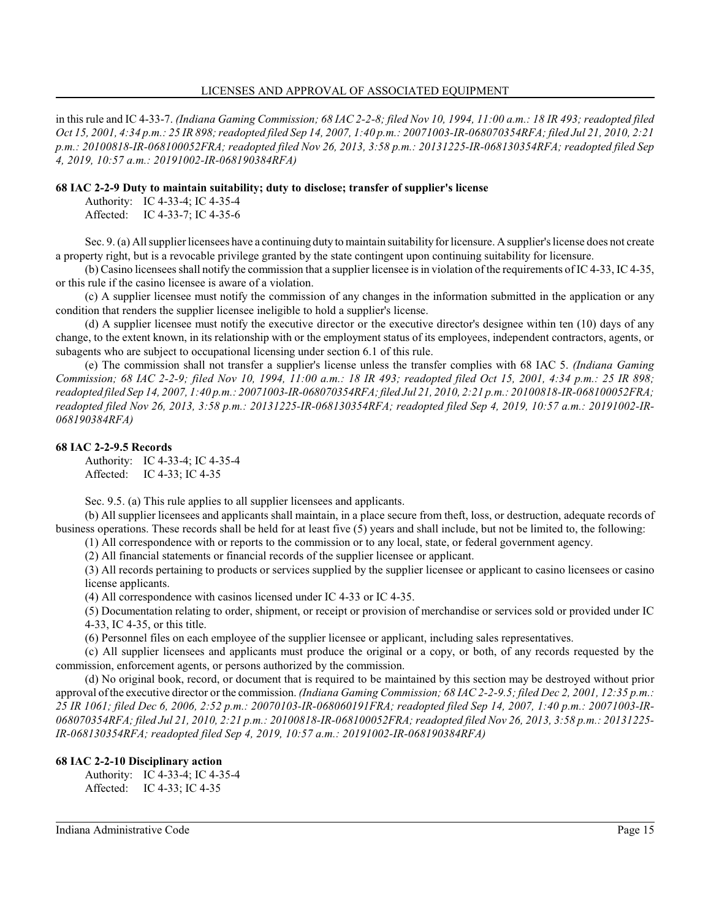in this rule and IC 4-33-7. *(Indiana Gaming Commission; 68 IAC 2-2-8; filed Nov 10, 1994, 11:00 a.m.: 18 IR 493; readopted filed Oct 15, 2001, 4:34 p.m.: 25 IR 898; readopted filed Sep 14, 2007, 1:40 p.m.: 20071003-IR-068070354RFA; filed Jul 21, 2010, 2:21 p.m.: 20100818-IR-068100052FRA; readopted filed Nov 26, 2013, 3:58 p.m.: 20131225-IR-068130354RFA; readopted filed Sep 4, 2019, 10:57 a.m.: 20191002-IR-068190384RFA)*

#### **68 IAC 2-2-9 Duty to maintain suitability; duty to disclose; transfer of supplier's license**

Authority: IC 4-33-4; IC 4-35-4 Affected: IC 4-33-7; IC 4-35-6

Sec. 9. (a) All supplier licensees have a continuing duty to maintain suitability for licensure. Asupplier's license does not create a property right, but is a revocable privilege granted by the state contingent upon continuing suitability for licensure.

(b) Casino licensees shall notify the commission that a supplier licensee is in violation ofthe requirements of IC 4-33, IC 4-35, or this rule if the casino licensee is aware of a violation.

(c) A supplier licensee must notify the commission of any changes in the information submitted in the application or any condition that renders the supplier licensee ineligible to hold a supplier's license.

(d) A supplier licensee must notify the executive director or the executive director's designee within ten (10) days of any change, to the extent known, in its relationship with or the employment status of its employees, independent contractors, agents, or subagents who are subject to occupational licensing under section 6.1 of this rule.

(e) The commission shall not transfer a supplier's license unless the transfer complies with 68 IAC 5. *(Indiana Gaming Commission; 68 IAC 2-2-9; filed Nov 10, 1994, 11:00 a.m.: 18 IR 493; readopted filed Oct 15, 2001, 4:34 p.m.: 25 IR 898; readopted filed Sep 14, 2007, 1:40 p.m.: 20071003-IR-068070354RFA;filed Jul 21, 2010, 2:21 p.m.: 20100818-IR-068100052FRA; readopted filed Nov 26, 2013, 3:58 p.m.: 20131225-IR-068130354RFA; readopted filed Sep 4, 2019, 10:57 a.m.: 20191002-IR-068190384RFA)*

#### **68 IAC 2-2-9.5 Records**

Authority: IC 4-33-4; IC 4-35-4 Affected: IC 4-33; IC 4-35

Sec. 9.5. (a) This rule applies to all supplier licensees and applicants.

(b) All supplier licensees and applicants shall maintain, in a place secure from theft, loss, or destruction, adequate records of business operations. These records shall be held for at least five (5) years and shall include, but not be limited to, the following:

(1) All correspondence with or reports to the commission or to any local, state, or federal government agency.

(2) All financial statements or financial records of the supplier licensee or applicant.

(3) All records pertaining to products or services supplied by the supplier licensee or applicant to casino licensees or casino license applicants.

(4) All correspondence with casinos licensed under IC 4-33 or IC 4-35.

(5) Documentation relating to order, shipment, or receipt or provision of merchandise or services sold or provided under IC 4-33, IC 4-35, or this title.

(6) Personnel files on each employee of the supplier licensee or applicant, including sales representatives.

(c) All supplier licensees and applicants must produce the original or a copy, or both, of any records requested by the commission, enforcement agents, or persons authorized by the commission.

(d) No original book, record, or document that is required to be maintained by this section may be destroyed without prior approval ofthe executive director or the commission. *(Indiana Gaming Commission; 68 IAC 2-2-9.5; filed Dec 2, 2001, 12:35 p.m.: 25 IR 1061; filed Dec 6, 2006, 2:52 p.m.: 20070103-IR-068060191FRA; readopted filed Sep 14, 2007, 1:40 p.m.: 20071003-IR-068070354RFA; filed Jul 21, 2010, 2:21 p.m.: 20100818-IR-068100052FRA; readopted filed Nov 26, 2013, 3:58 p.m.: 20131225- IR-068130354RFA; readopted filed Sep 4, 2019, 10:57 a.m.: 20191002-IR-068190384RFA)*

## **68 IAC 2-2-10 Disciplinary action**

Authority: IC 4-33-4; IC 4-35-4 Affected: IC 4-33; IC 4-35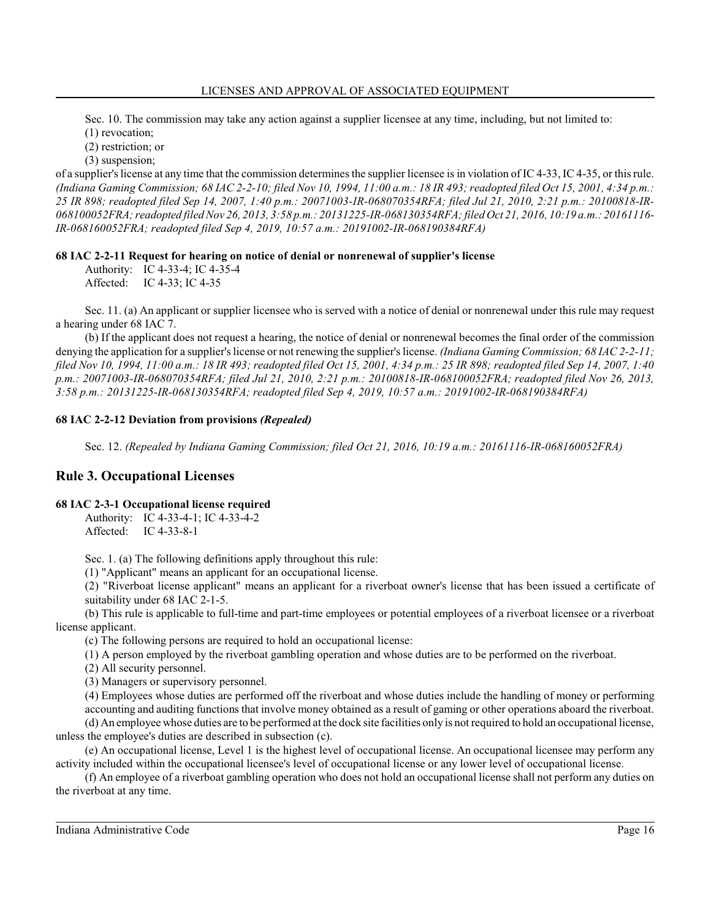Sec. 10. The commission may take any action against a supplier licensee at any time, including, but not limited to:

(1) revocation;

(2) restriction; or (3) suspension;

of a supplier's license at any time that the commission determines the supplier licensee is in violation of IC 4-33, IC 4-35, or this rule. *(Indiana Gaming Commission; 68 IAC 2-2-10; filed Nov 10, 1994, 11:00 a.m.: 18 IR 493; readopted filed Oct 15, 2001, 4:34 p.m.: 25 IR 898; readopted filed Sep 14, 2007, 1:40 p.m.: 20071003-IR-068070354RFA; filed Jul 21, 2010, 2:21 p.m.: 20100818-IR-068100052FRA; readopted filedNov 26, 2013, 3:58 p.m.: 20131225-IR-068130354RFA; filed Oct 21, 2016, 10:19 a.m.: 20161116- IR-068160052FRA; readopted filed Sep 4, 2019, 10:57 a.m.: 20191002-IR-068190384RFA)*

**68 IAC 2-2-11 Request for hearing on notice of denial or nonrenewal of supplier's license**

Authority: IC 4-33-4; IC 4-35-4 Affected: IC 4-33; IC 4-35

Sec. 11. (a) An applicant or supplier licensee who is served with a notice of denial or nonrenewal under this rule may request a hearing under 68 IAC 7.

(b) If the applicant does not request a hearing, the notice of denial or nonrenewal becomes the final order of the commission denying the application for a supplier'slicense or not renewing the supplier's license. *(Indiana Gaming Commission; 68 IAC 2-2-11; filed Nov 10, 1994, 11:00 a.m.: 18 IR 493; readopted filed Oct 15, 2001, 4:34 p.m.: 25 IR 898; readopted filed Sep 14, 2007, 1:40 p.m.: 20071003-IR-068070354RFA; filed Jul 21, 2010, 2:21 p.m.: 20100818-IR-068100052FRA; readopted filed Nov 26, 2013, 3:58 p.m.: 20131225-IR-068130354RFA; readopted filed Sep 4, 2019, 10:57 a.m.: 20191002-IR-068190384RFA)*

# **68 IAC 2-2-12 Deviation from provisions** *(Repealed)*

Sec. 12. *(Repealed by Indiana Gaming Commission; filed Oct 21, 2016, 10:19 a.m.: 20161116-IR-068160052FRA)*

# **Rule 3. Occupational Licenses**

# **68 IAC 2-3-1 Occupational license required**

Authority: IC 4-33-4-1; IC 4-33-4-2 Affected: IC 4-33-8-1

Sec. 1. (a) The following definitions apply throughout this rule:

(1) "Applicant" means an applicant for an occupational license.

(2) "Riverboat license applicant" means an applicant for a riverboat owner's license that has been issued a certificate of suitability under 68 IAC 2-1-5.

(b) This rule is applicable to full-time and part-time employees or potential employees of a riverboat licensee or a riverboat license applicant.

(c) The following persons are required to hold an occupational license:

(1) A person employed by the riverboat gambling operation and whose duties are to be performed on the riverboat.

(2) All security personnel.

(3) Managers or supervisory personnel.

(4) Employees whose duties are performed off the riverboat and whose duties include the handling of money or performing accounting and auditing functions that involve money obtained as a result of gaming or other operations aboard the riverboat.

(d) An employee whose duties are to be performed at the dock site facilities only is not required to hold an occupational license, unless the employee's duties are described in subsection (c).

(e) An occupational license, Level 1 is the highest level of occupational license. An occupational licensee may perform any activity included within the occupational licensee's level of occupational license or any lower level of occupational license.

(f) An employee of a riverboat gambling operation who does not hold an occupational license shall not perform any duties on the riverboat at any time.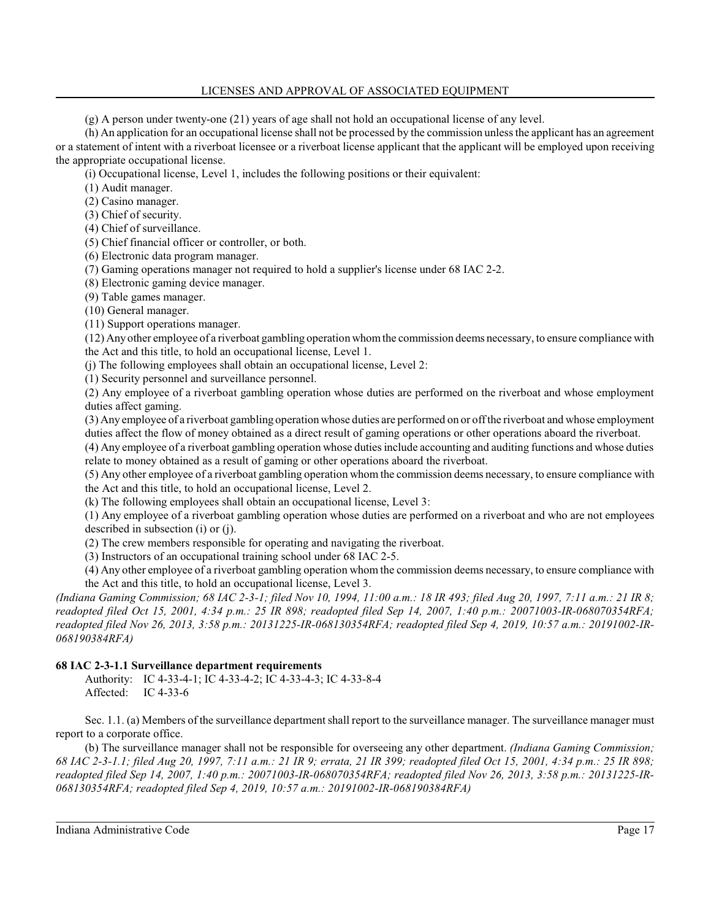### LICENSES AND APPROVAL OF ASSOCIATED EQUIPMENT

(g) A person under twenty-one (21) years of age shall not hold an occupational license of any level.

(h) An application for an occupational license shall not be processed by the commission unless the applicant has an agreement or a statement of intent with a riverboat licensee or a riverboat license applicant that the applicant will be employed upon receiving the appropriate occupational license.

(i) Occupational license, Level 1, includes the following positions or their equivalent:

(1) Audit manager.

(2) Casino manager.

(3) Chief of security.

(4) Chief of surveillance.

(5) Chief financial officer or controller, or both.

(6) Electronic data program manager.

(7) Gaming operations manager not required to hold a supplier's license under 68 IAC 2-2.

(8) Electronic gaming device manager.

(9) Table games manager.

(10) General manager.

(11) Support operations manager.

(12) Any other employee of a riverboat gambling operation whomthe commission deems necessary, to ensure compliance with the Act and this title, to hold an occupational license, Level 1.

(j) The following employees shall obtain an occupational license, Level 2:

(1) Security personnel and surveillance personnel.

(2) Any employee of a riverboat gambling operation whose duties are performed on the riverboat and whose employment duties affect gaming.

(3) Any employee of a riverboat gambling operation whose duties are performed on or offthe riverboat and whose employment duties affect the flow of money obtained as a direct result of gaming operations or other operations aboard the riverboat.

(4) Any employee of a riverboat gambling operation whose duties include accounting and auditing functions and whose duties relate to money obtained as a result of gaming or other operations aboard the riverboat.

(5) Any other employee of a riverboat gambling operation whom the commission deems necessary, to ensure compliance with the Act and this title, to hold an occupational license, Level 2.

(k) The following employees shall obtain an occupational license, Level 3:

(1) Any employee of a riverboat gambling operation whose duties are performed on a riverboat and who are not employees described in subsection (i) or (j).

(2) The crew members responsible for operating and navigating the riverboat.

(3) Instructors of an occupational training school under 68 IAC 2-5.

(4) Any other employee of a riverboat gambling operation whom the commission deems necessary, to ensure compliance with the Act and this title, to hold an occupational license, Level 3.

*(Indiana Gaming Commission; 68 IAC 2-3-1; filed Nov 10, 1994, 11:00 a.m.: 18 IR 493; filed Aug 20, 1997, 7:11 a.m.: 21 IR 8; readopted filed Oct 15, 2001, 4:34 p.m.: 25 IR 898; readopted filed Sep 14, 2007, 1:40 p.m.: 20071003-IR-068070354RFA; readopted filed Nov 26, 2013, 3:58 p.m.: 20131225-IR-068130354RFA; readopted filed Sep 4, 2019, 10:57 a.m.: 20191002-IR-068190384RFA)*

## **68 IAC 2-3-1.1 Surveillance department requirements**

Authority: IC 4-33-4-1; IC 4-33-4-2; IC 4-33-4-3; IC 4-33-8-4 Affected: IC 4-33-6

Sec. 1.1. (a) Members of the surveillance department shall report to the surveillance manager. The surveillance manager must report to a corporate office.

(b) The surveillance manager shall not be responsible for overseeing any other department. *(Indiana Gaming Commission; 68 IAC 2-3-1.1; filed Aug 20, 1997, 7:11 a.m.: 21 IR 9; errata, 21 IR 399; readopted filed Oct 15, 2001, 4:34 p.m.: 25 IR 898; readopted filed Sep 14, 2007, 1:40 p.m.: 20071003-IR-068070354RFA; readopted filed Nov 26, 2013, 3:58 p.m.: 20131225-IR-068130354RFA; readopted filed Sep 4, 2019, 10:57 a.m.: 20191002-IR-068190384RFA)*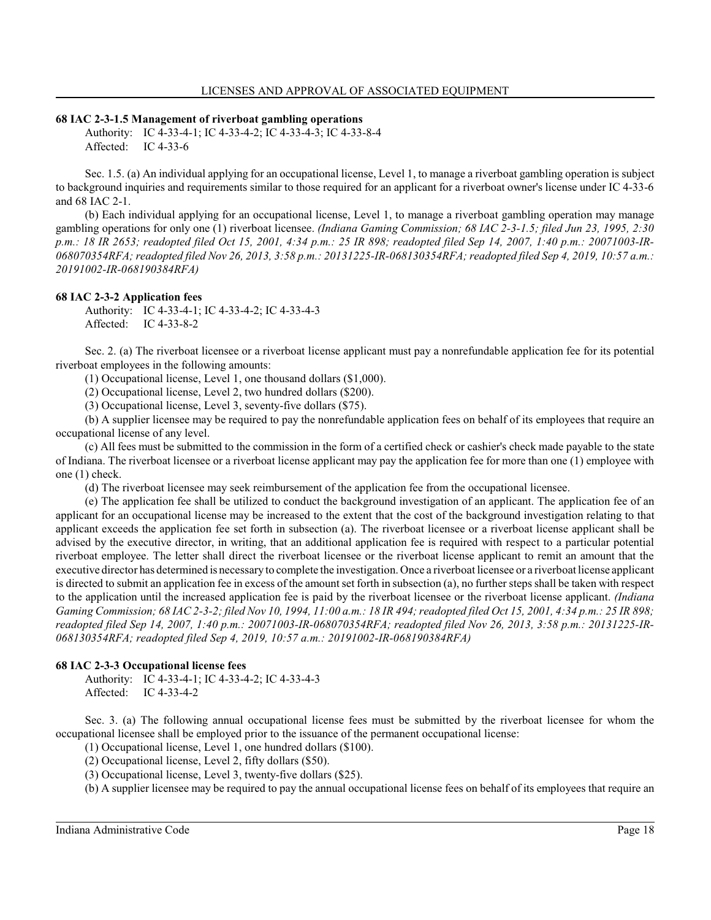#### **68 IAC 2-3-1.5 Management of riverboat gambling operations**

Authority: IC 4-33-4-1; IC 4-33-4-2; IC 4-33-4-3; IC 4-33-8-4 Affected: IC 4-33-6

Sec. 1.5. (a) An individual applying for an occupational license, Level 1, to manage a riverboat gambling operation is subject to background inquiries and requirements similar to those required for an applicant for a riverboat owner's license under IC 4-33-6 and 68 IAC 2-1.

(b) Each individual applying for an occupational license, Level 1, to manage a riverboat gambling operation may manage gambling operations for only one (1) riverboat licensee. *(Indiana Gaming Commission; 68 IAC 2-3-1.5; filed Jun 23, 1995, 2:30 p.m.: 18 IR 2653; readopted filed Oct 15, 2001, 4:34 p.m.: 25 IR 898; readopted filed Sep 14, 2007, 1:40 p.m.: 20071003-IR-068070354RFA; readopted filed Nov 26, 2013, 3:58 p.m.: 20131225-IR-068130354RFA; readopted filed Sep 4, 2019, 10:57 a.m.: 20191002-IR-068190384RFA)*

#### **68 IAC 2-3-2 Application fees**

Authority: IC 4-33-4-1; IC 4-33-4-2; IC 4-33-4-3 Affected: IC 4-33-8-2

Sec. 2. (a) The riverboat licensee or a riverboat license applicant must pay a nonrefundable application fee for its potential riverboat employees in the following amounts:

(1) Occupational license, Level 1, one thousand dollars (\$1,000).

(2) Occupational license, Level 2, two hundred dollars (\$200).

(3) Occupational license, Level 3, seventy-five dollars (\$75).

(b) A supplier licensee may be required to pay the nonrefundable application fees on behalf of its employees that require an occupational license of any level.

(c) All fees must be submitted to the commission in the form of a certified check or cashier's check made payable to the state of Indiana. The riverboat licensee or a riverboat license applicant may pay the application fee for more than one (1) employee with one (1) check.

(d) The riverboat licensee may seek reimbursement of the application fee from the occupational licensee.

(e) The application fee shall be utilized to conduct the background investigation of an applicant. The application fee of an applicant for an occupational license may be increased to the extent that the cost of the background investigation relating to that applicant exceeds the application fee set forth in subsection (a). The riverboat licensee or a riverboat license applicant shall be advised by the executive director, in writing, that an additional application fee is required with respect to a particular potential riverboat employee. The letter shall direct the riverboat licensee or the riverboat license applicant to remit an amount that the executive director has determined is necessary to complete the investigation. Once a riverboat licensee or a riverboat license applicant is directed to submit an application fee in excess of the amount set forth in subsection (a), no further steps shall be taken with respect to the application until the increased application fee is paid by the riverboat licensee or the riverboat license applicant. *(Indiana Gaming Commission; 68 IAC 2-3-2; filed Nov 10, 1994, 11:00 a.m.: 18 IR 494; readopted filed Oct 15, 2001, 4:34 p.m.: 25 IR 898; readopted filed Sep 14, 2007, 1:40 p.m.: 20071003-IR-068070354RFA; readopted filed Nov 26, 2013, 3:58 p.m.: 20131225-IR-068130354RFA; readopted filed Sep 4, 2019, 10:57 a.m.: 20191002-IR-068190384RFA)*

#### **68 IAC 2-3-3 Occupational license fees**

Authority: IC 4-33-4-1; IC 4-33-4-2; IC 4-33-4-3 Affected: IC 4-33-4-2

Sec. 3. (a) The following annual occupational license fees must be submitted by the riverboat licensee for whom the occupational licensee shall be employed prior to the issuance of the permanent occupational license:

(1) Occupational license, Level 1, one hundred dollars (\$100).

(2) Occupational license, Level 2, fifty dollars (\$50).

(3) Occupational license, Level 3, twenty-five dollars (\$25).

(b) A supplier licensee may be required to pay the annual occupational license fees on behalf of its employees that require an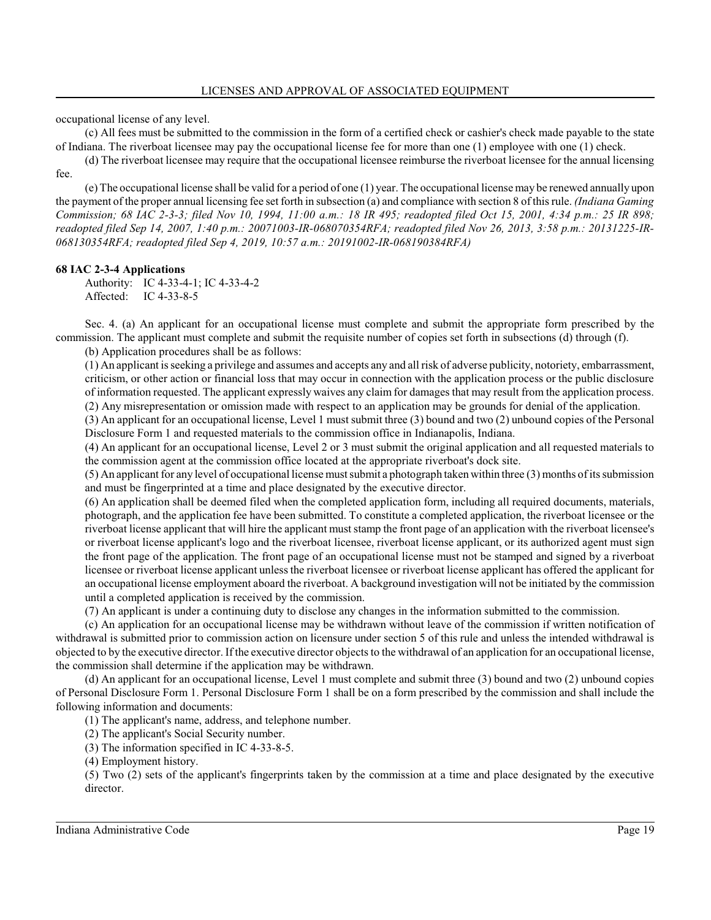occupational license of any level.

(c) All fees must be submitted to the commission in the form of a certified check or cashier's check made payable to the state of Indiana. The riverboat licensee may pay the occupational license fee for more than one (1) employee with one (1) check.

(d) The riverboat licensee may require that the occupational licensee reimburse the riverboat licensee for the annual licensing fee.

(e) The occupational license shall be valid for a period of one (1) year. The occupational license may be renewed annually upon the payment of the proper annual licensing fee set forth in subsection (a) and compliance with section 8 of this rule. *(Indiana Gaming Commission; 68 IAC 2-3-3; filed Nov 10, 1994, 11:00 a.m.: 18 IR 495; readopted filed Oct 15, 2001, 4:34 p.m.: 25 IR 898; readopted filed Sep 14, 2007, 1:40 p.m.: 20071003-IR-068070354RFA; readopted filed Nov 26, 2013, 3:58 p.m.: 20131225-IR-068130354RFA; readopted filed Sep 4, 2019, 10:57 a.m.: 20191002-IR-068190384RFA)*

#### **68 IAC 2-3-4 Applications**

Authority: IC 4-33-4-1; IC 4-33-4-2 Affected: IC 4-33-8-5

Sec. 4. (a) An applicant for an occupational license must complete and submit the appropriate form prescribed by the commission. The applicant must complete and submit the requisite number of copies set forth in subsections (d) through (f).

(b) Application procedures shall be as follows:

(1) An applicant is seeking a privilege and assumes and accepts any and all risk of adverse publicity, notoriety, embarrassment, criticism, or other action or financial loss that may occur in connection with the application process or the public disclosure of information requested. The applicant expressly waives any claim for damages that may result from the application process. (2) Any misrepresentation or omission made with respect to an application may be grounds for denial of the application.

(3) An applicant for an occupational license, Level 1 must submit three (3) bound and two (2) unbound copies of the Personal Disclosure Form 1 and requested materials to the commission office in Indianapolis, Indiana.

(4) An applicant for an occupational license, Level 2 or 3 must submit the original application and all requested materials to the commission agent at the commission office located at the appropriate riverboat's dock site.

(5) An applicant for any level of occupational license must submit a photograph taken within three (3) months ofits submission and must be fingerprinted at a time and place designated by the executive director.

(6) An application shall be deemed filed when the completed application form, including all required documents, materials, photograph, and the application fee have been submitted. To constitute a completed application, the riverboat licensee or the riverboat license applicant that will hire the applicant must stamp the front page of an application with the riverboat licensee's or riverboat license applicant's logo and the riverboat licensee, riverboat license applicant, or its authorized agent must sign the front page of the application. The front page of an occupational license must not be stamped and signed by a riverboat licensee or riverboat license applicant unless the riverboat licensee or riverboat license applicant has offered the applicant for an occupational license employment aboard the riverboat. A background investigation will not be initiated by the commission until a completed application is received by the commission.

(7) An applicant is under a continuing duty to disclose any changes in the information submitted to the commission.

(c) An application for an occupational license may be withdrawn without leave of the commission if written notification of withdrawal is submitted prior to commission action on licensure under section 5 of this rule and unless the intended withdrawal is objected to by the executive director. Ifthe executive director objects to the withdrawal of an application for an occupational license, the commission shall determine if the application may be withdrawn.

(d) An applicant for an occupational license, Level 1 must complete and submit three (3) bound and two (2) unbound copies of Personal Disclosure Form 1. Personal Disclosure Form 1 shall be on a form prescribed by the commission and shall include the following information and documents:

(1) The applicant's name, address, and telephone number.

(2) The applicant's Social Security number.

(3) The information specified in IC 4-33-8-5.

(4) Employment history.

(5) Two (2) sets of the applicant's fingerprints taken by the commission at a time and place designated by the executive director.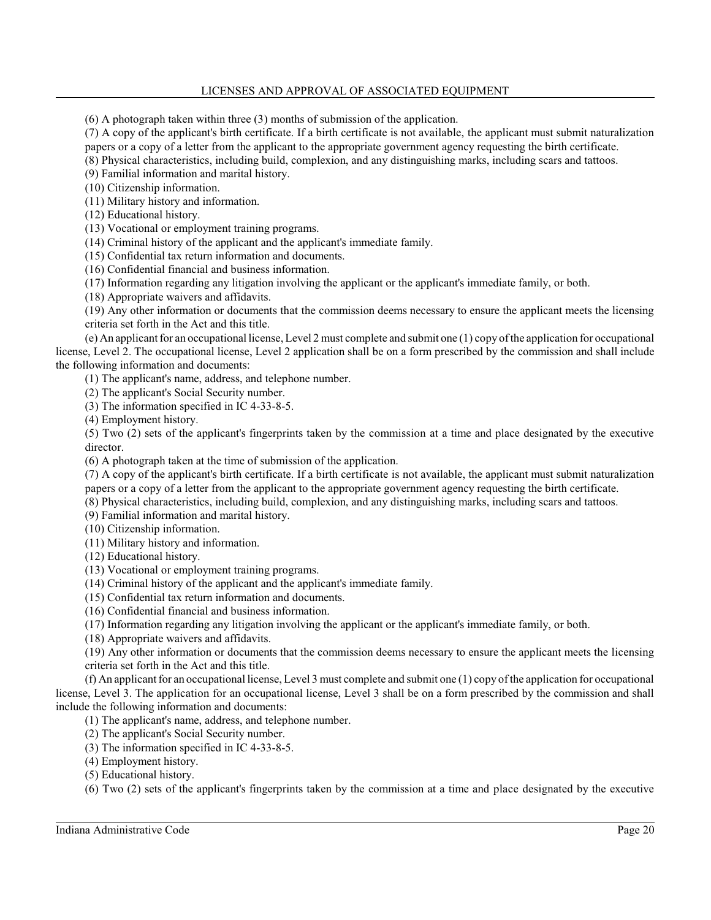## LICENSES AND APPROVAL OF ASSOCIATED EQUIPMENT

(6) A photograph taken within three (3) months of submission of the application.

(7) A copy of the applicant's birth certificate. If a birth certificate is not available, the applicant must submit naturalization papers or a copy of a letter from the applicant to the appropriate government agency requesting the birth certificate.

(8) Physical characteristics, including build, complexion, and any distinguishing marks, including scars and tattoos.

(9) Familial information and marital history.

(10) Citizenship information.

(11) Military history and information.

(12) Educational history.

(13) Vocational or employment training programs.

(14) Criminal history of the applicant and the applicant's immediate family.

(15) Confidential tax return information and documents.

(16) Confidential financial and business information.

(17) Information regarding any litigation involving the applicant or the applicant's immediate family, or both.

(18) Appropriate waivers and affidavits.

(19) Any other information or documents that the commission deems necessary to ensure the applicant meets the licensing criteria set forth in the Act and this title.

(e) An applicant for an occupational license, Level 2 must complete and submit one (1) copy ofthe application for occupational license, Level 2. The occupational license, Level 2 application shall be on a form prescribed by the commission and shall include the following information and documents:

(1) The applicant's name, address, and telephone number.

(2) The applicant's Social Security number.

(3) The information specified in IC 4-33-8-5.

(4) Employment history.

(5) Two (2) sets of the applicant's fingerprints taken by the commission at a time and place designated by the executive director.

(6) A photograph taken at the time of submission of the application.

(7) A copy of the applicant's birth certificate. If a birth certificate is not available, the applicant must submit naturalization papers or a copy of a letter from the applicant to the appropriate government agency requesting the birth certificate.

(8) Physical characteristics, including build, complexion, and any distinguishing marks, including scars and tattoos.

(9) Familial information and marital history.

(10) Citizenship information.

(11) Military history and information.

(12) Educational history.

(13) Vocational or employment training programs.

(14) Criminal history of the applicant and the applicant's immediate family.

(15) Confidential tax return information and documents.

(16) Confidential financial and business information.

(17) Information regarding any litigation involving the applicant or the applicant's immediate family, or both.

(18) Appropriate waivers and affidavits.

(19) Any other information or documents that the commission deems necessary to ensure the applicant meets the licensing criteria set forth in the Act and this title.

 $(f)$  An applicant for an occupational license, Level 3 must complete and submit one  $(1)$  copy of the application for occupational license, Level 3. The application for an occupational license, Level 3 shall be on a form prescribed by the commission and shall include the following information and documents:

(1) The applicant's name, address, and telephone number.

(2) The applicant's Social Security number.

(3) The information specified in IC 4-33-8-5.

(4) Employment history.

(5) Educational history.

(6) Two (2) sets of the applicant's fingerprints taken by the commission at a time and place designated by the executive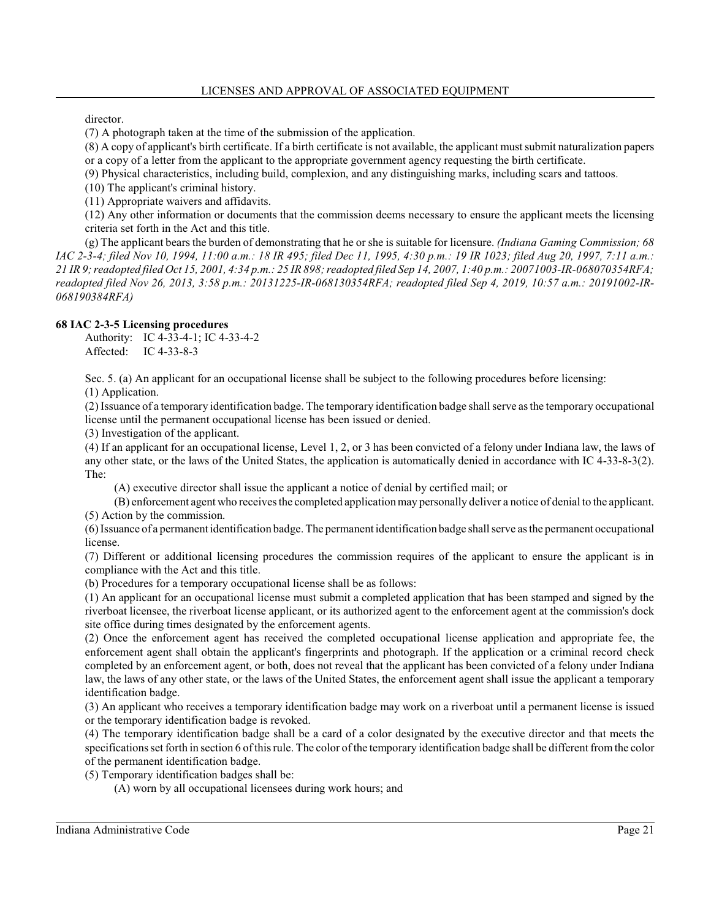director.

(7) A photograph taken at the time of the submission of the application.

(8) A copy of applicant's birth certificate. If a birth certificate is not available, the applicant must submit naturalization papers or a copy of a letter from the applicant to the appropriate government agency requesting the birth certificate.

(9) Physical characteristics, including build, complexion, and any distinguishing marks, including scars and tattoos.

(10) The applicant's criminal history.

(11) Appropriate waivers and affidavits.

(12) Any other information or documents that the commission deems necessary to ensure the applicant meets the licensing criteria set forth in the Act and this title.

(g) The applicant bears the burden of demonstrating that he or she is suitable for licensure. *(Indiana Gaming Commission; 68 IAC 2-3-4; filed Nov 10, 1994, 11:00 a.m.: 18 IR 495; filed Dec 11, 1995, 4:30 p.m.: 19 IR 1023; filed Aug 20, 1997, 7:11 a.m.: 21 IR 9; readopted filed Oct 15, 2001, 4:34 p.m.: 25 IR 898; readopted filed Sep 14, 2007, 1:40 p.m.: 20071003-IR-068070354RFA; readopted filed Nov 26, 2013, 3:58 p.m.: 20131225-IR-068130354RFA; readopted filed Sep 4, 2019, 10:57 a.m.: 20191002-IR-068190384RFA)*

#### **68 IAC 2-3-5 Licensing procedures**

Authority: IC 4-33-4-1; IC 4-33-4-2 Affected: IC 4-33-8-3

Sec. 5. (a) An applicant for an occupational license shall be subject to the following procedures before licensing:

(1) Application.

(2) Issuance of a temporary identification badge. The temporary identification badge shall serve as the temporary occupational license until the permanent occupational license has been issued or denied.

(3) Investigation of the applicant.

(4) If an applicant for an occupational license, Level 1, 2, or 3 has been convicted of a felony under Indiana law, the laws of any other state, or the laws of the United States, the application is automatically denied in accordance with IC 4-33-8-3(2). The:

(A) executive director shall issue the applicant a notice of denial by certified mail; or

(B) enforcement agent who receives the completed applicationmay personally deliver a notice of denial to the applicant. (5) Action by the commission.

(6) Issuance of a permanent identification badge. The permanent identification badge shall serve as the permanent occupational license.

(7) Different or additional licensing procedures the commission requires of the applicant to ensure the applicant is in compliance with the Act and this title.

(b) Procedures for a temporary occupational license shall be as follows:

(1) An applicant for an occupational license must submit a completed application that has been stamped and signed by the riverboat licensee, the riverboat license applicant, or its authorized agent to the enforcement agent at the commission's dock site office during times designated by the enforcement agents.

(2) Once the enforcement agent has received the completed occupational license application and appropriate fee, the enforcement agent shall obtain the applicant's fingerprints and photograph. If the application or a criminal record check completed by an enforcement agent, or both, does not reveal that the applicant has been convicted of a felony under Indiana law, the laws of any other state, or the laws of the United States, the enforcement agent shall issue the applicant a temporary identification badge.

(3) An applicant who receives a temporary identification badge may work on a riverboat until a permanent license is issued or the temporary identification badge is revoked.

(4) The temporary identification badge shall be a card of a color designated by the executive director and that meets the specifications set forth in section 6 ofthis rule. The color ofthe temporary identification badge shall be different fromthe color of the permanent identification badge.

(5) Temporary identification badges shall be:

(A) worn by all occupational licensees during work hours; and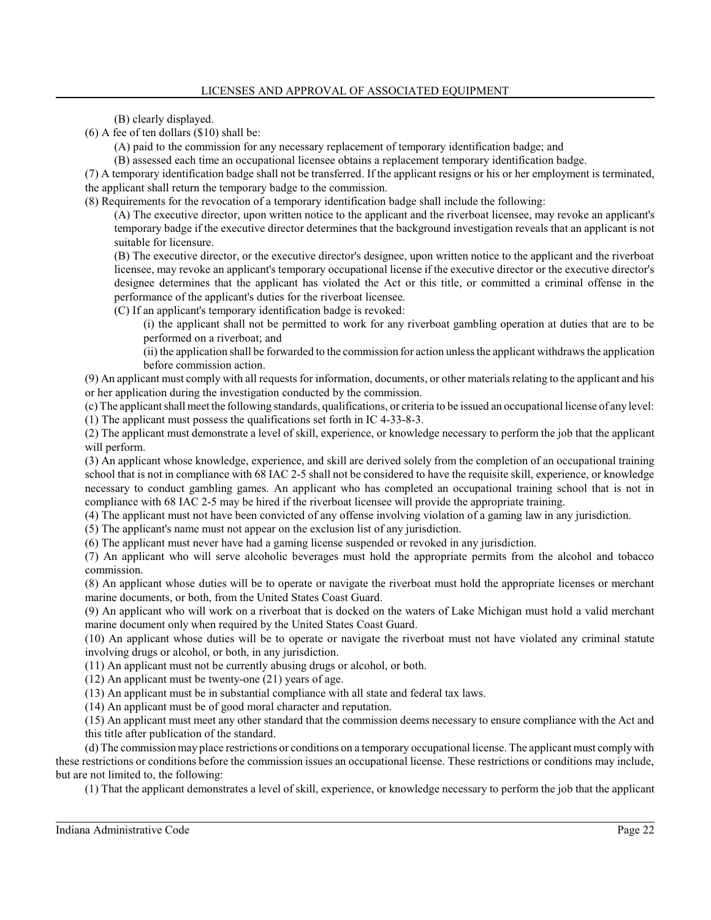(B) clearly displayed.

(6) A fee of ten dollars (\$10) shall be:

(A) paid to the commission for any necessary replacement of temporary identification badge; and

(B) assessed each time an occupational licensee obtains a replacement temporary identification badge.

(7) A temporary identification badge shall not be transferred. If the applicant resigns or his or her employment is terminated, the applicant shall return the temporary badge to the commission.

(8) Requirements for the revocation of a temporary identification badge shall include the following:

(A) The executive director, upon written notice to the applicant and the riverboat licensee, may revoke an applicant's temporary badge if the executive director determines that the background investigation reveals that an applicant is not suitable for licensure.

(B) The executive director, or the executive director's designee, upon written notice to the applicant and the riverboat licensee, may revoke an applicant's temporary occupational license if the executive director or the executive director's designee determines that the applicant has violated the Act or this title, or committed a criminal offense in the performance of the applicant's duties for the riverboat licensee.

(C) If an applicant's temporary identification badge is revoked:

(i) the applicant shall not be permitted to work for any riverboat gambling operation at duties that are to be performed on a riverboat; and

(ii) the application shall be forwarded to the commission for action unless the applicant withdraws the application before commission action.

(9) An applicant must comply with all requests for information, documents, or other materials relating to the applicant and his or her application during the investigation conducted by the commission.

(c) The applicant shall meet the following standards, qualifications, or criteria to be issued an occupational license of any level: (1) The applicant must possess the qualifications set forth in IC 4-33-8-3.

(2) The applicant must demonstrate a level of skill, experience, or knowledge necessary to perform the job that the applicant will perform.

(3) An applicant whose knowledge, experience, and skill are derived solely from the completion of an occupational training school that is not in compliance with 68 IAC 2-5 shall not be considered to have the requisite skill, experience, or knowledge necessary to conduct gambling games. An applicant who has completed an occupational training school that is not in compliance with 68 IAC 2-5 may be hired if the riverboat licensee will provide the appropriate training.

(4) The applicant must not have been convicted of any offense involving violation of a gaming law in any jurisdiction.

(5) The applicant's name must not appear on the exclusion list of any jurisdiction.

(6) The applicant must never have had a gaming license suspended or revoked in any jurisdiction.

(7) An applicant who will serve alcoholic beverages must hold the appropriate permits from the alcohol and tobacco commission.

(8) An applicant whose duties will be to operate or navigate the riverboat must hold the appropriate licenses or merchant marine documents, or both, from the United States Coast Guard.

(9) An applicant who will work on a riverboat that is docked on the waters of Lake Michigan must hold a valid merchant marine document only when required by the United States Coast Guard.

(10) An applicant whose duties will be to operate or navigate the riverboat must not have violated any criminal statute involving drugs or alcohol, or both, in any jurisdiction.

(11) An applicant must not be currently abusing drugs or alcohol, or both.

(12) An applicant must be twenty-one (21) years of age.

(13) An applicant must be in substantial compliance with all state and federal tax laws.

(14) An applicant must be of good moral character and reputation.

(15) An applicant must meet any other standard that the commission deems necessary to ensure compliance with the Act and this title after publication of the standard.

(d) The commission may place restrictions or conditions on a temporary occupational license. The applicant must comply with these restrictions or conditions before the commission issues an occupational license. These restrictions or conditions may include, but are not limited to, the following:

(1) That the applicant demonstrates a level of skill, experience, or knowledge necessary to perform the job that the applicant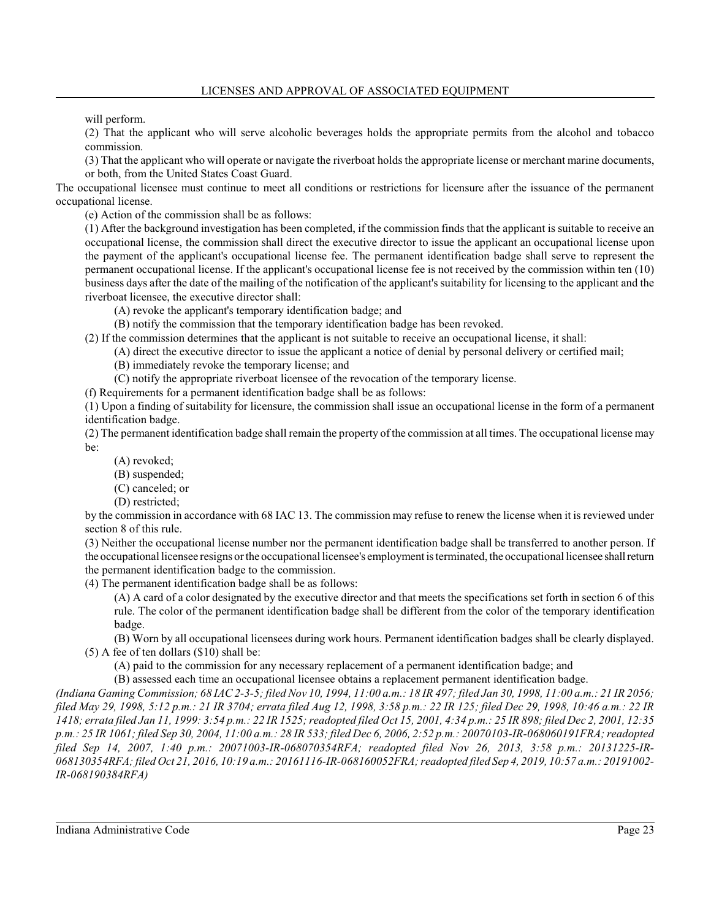will perform.

(2) That the applicant who will serve alcoholic beverages holds the appropriate permits from the alcohol and tobacco commission.

(3) That the applicant who will operate or navigate the riverboat holds the appropriate license or merchant marine documents, or both, from the United States Coast Guard.

The occupational licensee must continue to meet all conditions or restrictions for licensure after the issuance of the permanent occupational license.

(e) Action of the commission shall be as follows:

(1) After the background investigation has been completed, if the commission finds that the applicant is suitable to receive an occupational license, the commission shall direct the executive director to issue the applicant an occupational license upon the payment of the applicant's occupational license fee. The permanent identification badge shall serve to represent the permanent occupational license. If the applicant's occupational license fee is not received by the commission within ten (10) business days after the date of the mailing of the notification of the applicant's suitability for licensing to the applicant and the riverboat licensee, the executive director shall:

(A) revoke the applicant's temporary identification badge; and

(B) notify the commission that the temporary identification badge has been revoked.

(2) If the commission determines that the applicant is not suitable to receive an occupational license, it shall:

(A) direct the executive director to issue the applicant a notice of denial by personal delivery or certified mail;

(B) immediately revoke the temporary license; and

(C) notify the appropriate riverboat licensee of the revocation of the temporary license.

(f) Requirements for a permanent identification badge shall be as follows:

(1) Upon a finding of suitability for licensure, the commission shall issue an occupational license in the form of a permanent identification badge.

(2) The permanent identification badge shall remain the property ofthe commission at all times. The occupational license may be:

- (A) revoked;
- (B) suspended;
- (C) canceled; or
- (D) restricted;

by the commission in accordance with 68 IAC 13. The commission may refuse to renew the license when it is reviewed under section 8 of this rule.

(3) Neither the occupational license number nor the permanent identification badge shall be transferred to another person. If the occupational licensee resigns or the occupational licensee's employment is terminated, the occupational licensee shallreturn the permanent identification badge to the commission.

(4) The permanent identification badge shall be as follows:

(A) A card of a color designated by the executive director and that meets the specifications set forth in section 6 of this rule. The color of the permanent identification badge shall be different from the color of the temporary identification badge.

(B) Worn by all occupational licensees during work hours. Permanent identification badges shall be clearly displayed. (5) A fee of ten dollars (\$10) shall be:

(A) paid to the commission for any necessary replacement of a permanent identification badge; and

(B) assessed each time an occupational licensee obtains a replacement permanent identification badge.

*(Indiana Gaming Commission; 68 IAC 2-3-5; filed Nov 10, 1994, 11:00 a.m.: 18 IR 497; filed Jan 30, 1998, 11:00 a.m.: 21 IR 2056; filed May 29, 1998, 5:12 p.m.: 21 IR 3704; errata filed Aug 12, 1998, 3:58 p.m.: 22 IR 125; filed Dec 29, 1998, 10:46 a.m.: 22 IR 1418; errata filed Jan 11, 1999: 3:54 p.m.: 22 IR 1525; readopted filed Oct 15, 2001, 4:34 p.m.: 25 IR 898; filed Dec 2, 2001, 12:35 p.m.: 25 IR 1061; filed Sep 30, 2004, 11:00 a.m.: 28 IR 533; filed Dec 6, 2006, 2:52 p.m.: 20070103-IR-068060191FRA; readopted filed Sep 14, 2007, 1:40 p.m.: 20071003-IR-068070354RFA; readopted filed Nov 26, 2013, 3:58 p.m.: 20131225-IR-068130354RFA; filed Oct 21, 2016, 10:19 a.m.: 20161116-IR-068160052FRA; readopted filed Sep 4, 2019, 10:57 a.m.: 20191002- IR-068190384RFA)*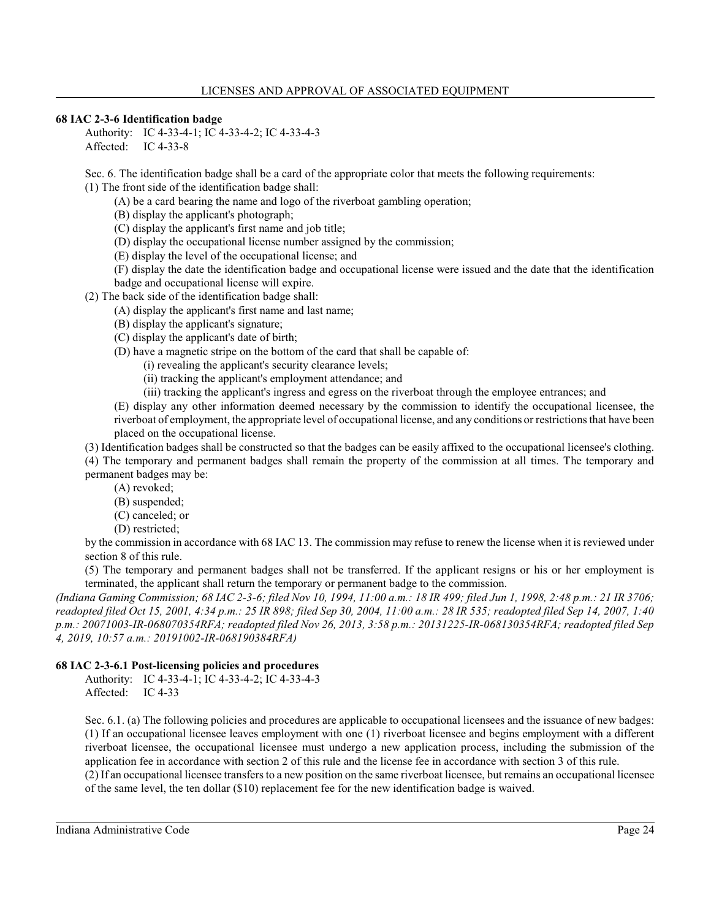## **68 IAC 2-3-6 Identification badge**

Authority: IC 4-33-4-1; IC 4-33-4-2; IC 4-33-4-3 Affected: IC 4-33-8

Sec. 6. The identification badge shall be a card of the appropriate color that meets the following requirements:

(1) The front side of the identification badge shall:

(A) be a card bearing the name and logo of the riverboat gambling operation;

(B) display the applicant's photograph;

(C) display the applicant's first name and job title;

(D) display the occupational license number assigned by the commission;

(E) display the level of the occupational license; and

(F) display the date the identification badge and occupational license were issued and the date that the identification badge and occupational license will expire.

(2) The back side of the identification badge shall:

(A) display the applicant's first name and last name;

(B) display the applicant's signature;

(C) display the applicant's date of birth;

(D) have a magnetic stripe on the bottom of the card that shall be capable of:

(i) revealing the applicant's security clearance levels;

(ii) tracking the applicant's employment attendance; and

(iii) tracking the applicant's ingress and egress on the riverboat through the employee entrances; and

(E) display any other information deemed necessary by the commission to identify the occupational licensee, the riverboat of employment, the appropriate level of occupational license, and any conditions or restrictions that have been placed on the occupational license.

(3) Identification badges shall be constructed so that the badges can be easily affixed to the occupational licensee's clothing. (4) The temporary and permanent badges shall remain the property of the commission at all times. The temporary and permanent badges may be:

(A) revoked;

(B) suspended;

(C) canceled; or

(D) restricted;

by the commission in accordance with 68 IAC 13. The commission may refuse to renew the license when it is reviewed under section 8 of this rule.

(5) The temporary and permanent badges shall not be transferred. If the applicant resigns or his or her employment is terminated, the applicant shall return the temporary or permanent badge to the commission.

*(Indiana Gaming Commission; 68 IAC 2-3-6; filed Nov 10, 1994, 11:00 a.m.: 18 IR 499; filed Jun 1, 1998, 2:48 p.m.: 21 IR 3706; readopted filed Oct 15, 2001, 4:34 p.m.: 25 IR 898; filed Sep 30, 2004, 11:00 a.m.: 28 IR 535; readopted filed Sep 14, 2007, 1:40 p.m.: 20071003-IR-068070354RFA; readopted filed Nov 26, 2013, 3:58 p.m.: 20131225-IR-068130354RFA; readopted filed Sep 4, 2019, 10:57 a.m.: 20191002-IR-068190384RFA)*

## **68 IAC 2-3-6.1 Post-licensing policies and procedures**

Authority: IC 4-33-4-1; IC 4-33-4-2; IC 4-33-4-3 Affected: IC 4-33

Sec. 6.1. (a) The following policies and procedures are applicable to occupational licensees and the issuance of new badges: (1) If an occupational licensee leaves employment with one (1) riverboat licensee and begins employment with a different riverboat licensee, the occupational licensee must undergo a new application process, including the submission of the application fee in accordance with section 2 of this rule and the license fee in accordance with section 3 of this rule.

(2) If an occupational licensee transfers to a new position on the same riverboat licensee, but remains an occupational licensee of the same level, the ten dollar (\$10) replacement fee for the new identification badge is waived.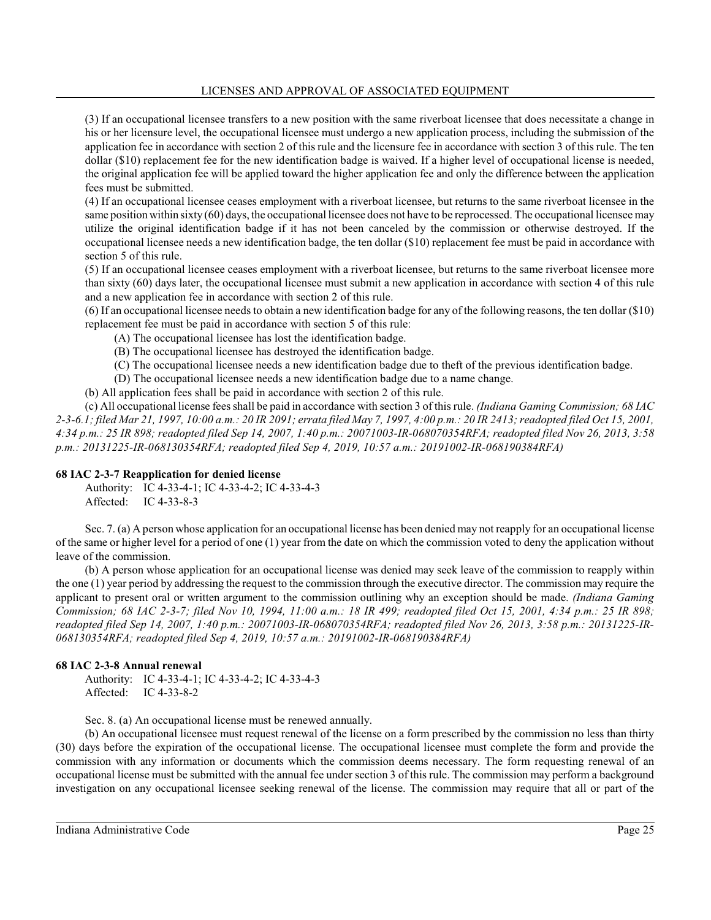LICENSES AND APPROVAL OF ASSOCIATED EQUIPMENT

(3) If an occupational licensee transfers to a new position with the same riverboat licensee that does necessitate a change in his or her licensure level, the occupational licensee must undergo a new application process, including the submission of the application fee in accordance with section 2 of this rule and the licensure fee in accordance with section 3 of this rule. The ten dollar (\$10) replacement fee for the new identification badge is waived. If a higher level of occupational license is needed, the original application fee will be applied toward the higher application fee and only the difference between the application fees must be submitted.

(4) If an occupational licensee ceases employment with a riverboat licensee, but returns to the same riverboat licensee in the same position within sixty (60) days, the occupational licensee does not have to be reprocessed. The occupational licensee may utilize the original identification badge if it has not been canceled by the commission or otherwise destroyed. If the occupational licensee needs a new identification badge, the ten dollar (\$10) replacement fee must be paid in accordance with section 5 of this rule.

(5) If an occupational licensee ceases employment with a riverboat licensee, but returns to the same riverboat licensee more than sixty (60) days later, the occupational licensee must submit a new application in accordance with section 4 of this rule and a new application fee in accordance with section 2 of this rule.

(6) If an occupational licensee needs to obtain a new identification badge for any of the following reasons, the ten dollar (\$10) replacement fee must be paid in accordance with section 5 of this rule:

(A) The occupational licensee has lost the identification badge.

- (B) The occupational licensee has destroyed the identification badge.
- (C) The occupational licensee needs a new identification badge due to theft of the previous identification badge.
- (D) The occupational licensee needs a new identification badge due to a name change.

(b) All application fees shall be paid in accordance with section 2 of this rule.

(c) All occupational license fees shall be paid in accordance with section 3 of this rule. *(Indiana Gaming Commission; 68 IAC 2-3-6.1; filed Mar 21, 1997, 10:00 a.m.: 20 IR 2091; errata filed May 7, 1997, 4:00 p.m.: 20 IR 2413; readopted filed Oct 15, 2001, 4:34 p.m.: 25 IR 898; readopted filed Sep 14, 2007, 1:40 p.m.: 20071003-IR-068070354RFA; readopted filed Nov 26, 2013, 3:58 p.m.: 20131225-IR-068130354RFA; readopted filed Sep 4, 2019, 10:57 a.m.: 20191002-IR-068190384RFA)*

## **68 IAC 2-3-7 Reapplication for denied license**

Authority: IC 4-33-4-1; IC 4-33-4-2; IC 4-33-4-3 Affected: IC 4-33-8-3

Sec. 7. (a) A person whose application for an occupational license has been denied may not reapply for an occupational license of the same or higher level for a period of one (1) year from the date on which the commission voted to deny the application without leave of the commission.

(b) A person whose application for an occupational license was denied may seek leave of the commission to reapply within the one (1) year period by addressing the request to the commission through the executive director. The commission may require the applicant to present oral or written argument to the commission outlining why an exception should be made. *(Indiana Gaming Commission; 68 IAC 2-3-7; filed Nov 10, 1994, 11:00 a.m.: 18 IR 499; readopted filed Oct 15, 2001, 4:34 p.m.: 25 IR 898; readopted filed Sep 14, 2007, 1:40 p.m.: 20071003-IR-068070354RFA; readopted filed Nov 26, 2013, 3:58 p.m.: 20131225-IR-068130354RFA; readopted filed Sep 4, 2019, 10:57 a.m.: 20191002-IR-068190384RFA)*

## **68 IAC 2-3-8 Annual renewal**

Authority: IC 4-33-4-1; IC 4-33-4-2; IC 4-33-4-3 Affected: IC 4-33-8-2

Sec. 8. (a) An occupational license must be renewed annually.

(b) An occupational licensee must request renewal of the license on a form prescribed by the commission no less than thirty (30) days before the expiration of the occupational license. The occupational licensee must complete the form and provide the commission with any information or documents which the commission deems necessary. The form requesting renewal of an occupational license must be submitted with the annual fee under section 3 of this rule. The commission may perform a background investigation on any occupational licensee seeking renewal of the license. The commission may require that all or part of the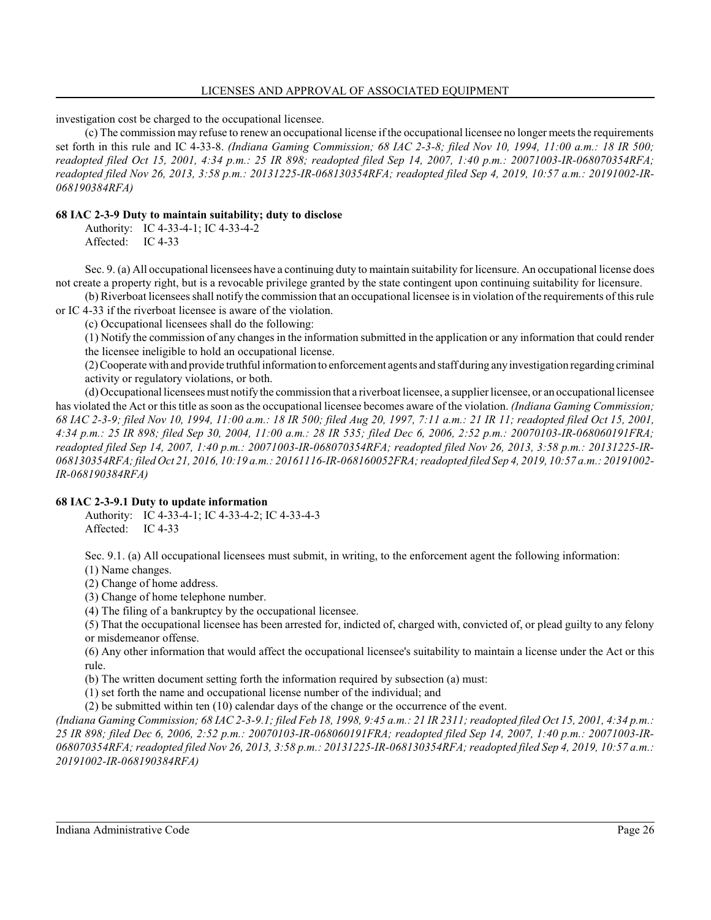#### LICENSES AND APPROVAL OF ASSOCIATED EQUIPMENT

investigation cost be charged to the occupational licensee.

(c) The commission may refuse to renew an occupational license if the occupational licensee no longer meets the requirements set forth in this rule and IC 4-33-8. *(Indiana Gaming Commission; 68 IAC 2-3-8; filed Nov 10, 1994, 11:00 a.m.: 18 IR 500; readopted filed Oct 15, 2001, 4:34 p.m.: 25 IR 898; readopted filed Sep 14, 2007, 1:40 p.m.: 20071003-IR-068070354RFA; readopted filed Nov 26, 2013, 3:58 p.m.: 20131225-IR-068130354RFA; readopted filed Sep 4, 2019, 10:57 a.m.: 20191002-IR-068190384RFA)*

### **68 IAC 2-3-9 Duty to maintain suitability; duty to disclose**

Authority: IC 4-33-4-1; IC 4-33-4-2 Affected: IC 4-33

Sec. 9. (a) All occupational licensees have a continuing duty to maintain suitability for licensure. An occupational license does not create a property right, but is a revocable privilege granted by the state contingent upon continuing suitability for licensure.

(b) Riverboat licensees shall notify the commission that an occupational licensee is in violation of the requirements of this rule or IC 4-33 if the riverboat licensee is aware of the violation.

(c) Occupational licensees shall do the following:

(1) Notify the commission of any changes in the information submitted in the application or any information that could render the licensee ineligible to hold an occupational license.

(2)Cooperate with and provide truthful information to enforcement agents and staff during anyinvestigation regarding criminal activity or regulatory violations, or both.

(d) Occupational licensees must notify the commission that a riverboat licensee, a supplier licensee, or an occupational licensee has violated the Act or this title as soon as the occupational licensee becomes aware of the violation. *(Indiana Gaming Commission; 68 IAC 2-3-9; filed Nov 10, 1994, 11:00 a.m.: 18 IR 500; filed Aug 20, 1997, 7:11 a.m.: 21 IR 11; readopted filed Oct 15, 2001, 4:34 p.m.: 25 IR 898; filed Sep 30, 2004, 11:00 a.m.: 28 IR 535; filed Dec 6, 2006, 2:52 p.m.: 20070103-IR-068060191FRA; readopted filed Sep 14, 2007, 1:40 p.m.: 20071003-IR-068070354RFA; readopted filed Nov 26, 2013, 3:58 p.m.: 20131225-IR-068130354RFA; filed Oct 21, 2016, 10:19 a.m.: 20161116-IR-068160052FRA; readopted filed Sep 4, 2019, 10:57 a.m.: 20191002- IR-068190384RFA)*

## **68 IAC 2-3-9.1 Duty to update information**

Authority: IC 4-33-4-1; IC 4-33-4-2; IC 4-33-4-3 Affected: IC 4-33

Sec. 9.1. (a) All occupational licensees must submit, in writing, to the enforcement agent the following information: (1) Name changes.

(2) Change of home address.

(3) Change of home telephone number.

(4) The filing of a bankruptcy by the occupational licensee.

(5) That the occupational licensee has been arrested for, indicted of, charged with, convicted of, or plead guilty to any felony or misdemeanor offense.

(6) Any other information that would affect the occupational licensee's suitability to maintain a license under the Act or this rule.

(b) The written document setting forth the information required by subsection (a) must:

(1) set forth the name and occupational license number of the individual; and

(2) be submitted within ten (10) calendar days of the change or the occurrence of the event.

*(Indiana Gaming Commission; 68 IAC 2-3-9.1; filed Feb 18, 1998, 9:45 a.m.: 21 IR 2311; readopted filed Oct 15, 2001, 4:34 p.m.: 25 IR 898; filed Dec 6, 2006, 2:52 p.m.: 20070103-IR-068060191FRA; readopted filed Sep 14, 2007, 1:40 p.m.: 20071003-IR-068070354RFA; readopted filed Nov 26, 2013, 3:58 p.m.: 20131225-IR-068130354RFA; readopted filed Sep 4, 2019, 10:57 a.m.: 20191002-IR-068190384RFA)*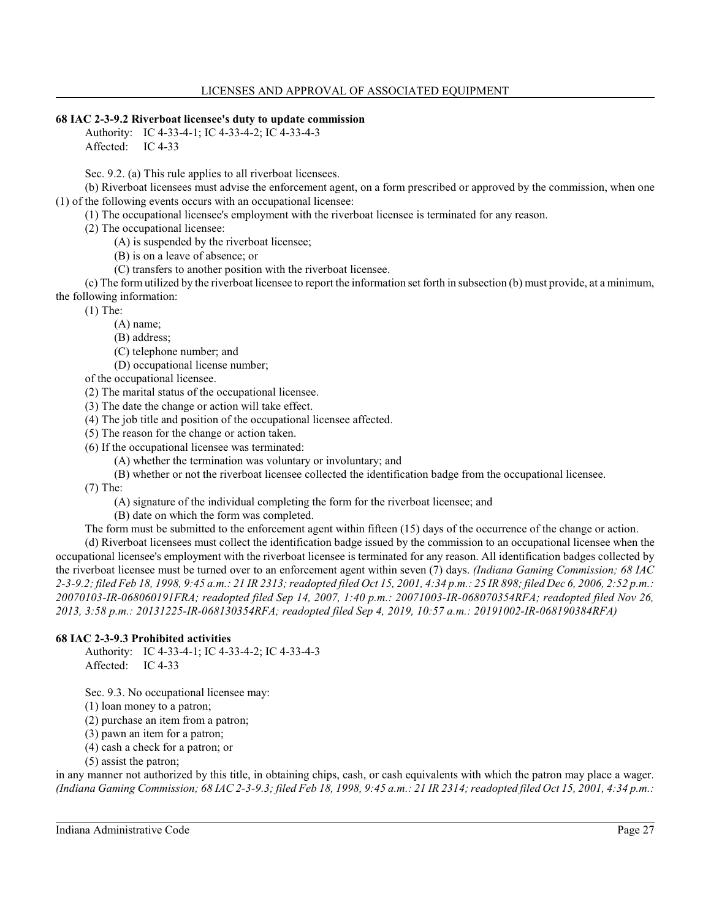## **68 IAC 2-3-9.2 Riverboat licensee's duty to update commission**

Authority: IC 4-33-4-1; IC 4-33-4-2; IC 4-33-4-3 Affected: IC 4-33

Sec. 9.2. (a) This rule applies to all riverboat licensees.

(b) Riverboat licensees must advise the enforcement agent, on a form prescribed or approved by the commission, when one (1) of the following events occurs with an occupational licensee:

(1) The occupational licensee's employment with the riverboat licensee is terminated for any reason.

(2) The occupational licensee:

(A) is suspended by the riverboat licensee;

(B) is on a leave of absence; or

(C) transfers to another position with the riverboat licensee.

(c) The form utilized by the riverboat licensee to report the information set forth in subsection (b) must provide, at a minimum, the following information:

(1) The:

(A) name;

(B) address;

(C) telephone number; and

(D) occupational license number;

of the occupational licensee.

(2) The marital status of the occupational licensee.

(3) The date the change or action will take effect.

(4) The job title and position of the occupational licensee affected.

(5) The reason for the change or action taken.

(6) If the occupational licensee was terminated:

(A) whether the termination was voluntary or involuntary; and

(B) whether or not the riverboat licensee collected the identification badge from the occupational licensee.

(7) The:

(A) signature of the individual completing the form for the riverboat licensee; and

(B) date on which the form was completed.

The form must be submitted to the enforcement agent within fifteen (15) days of the occurrence of the change or action. (d) Riverboat licensees must collect the identification badge issued by the commission to an occupational licensee when the occupational licensee's employment with the riverboat licensee is terminated for any reason. All identification badges collected by the riverboat licensee must be turned over to an enforcement agent within seven (7) days. *(Indiana Gaming Commission; 68 IAC 2-3-9.2; filed Feb 18, 1998, 9:45 a.m.: 21 IR 2313; readopted filed Oct 15, 2001, 4:34 p.m.: 25 IR 898; filed Dec 6, 2006, 2:52 p.m.: 20070103-IR-068060191FRA; readopted filed Sep 14, 2007, 1:40 p.m.: 20071003-IR-068070354RFA; readopted filed Nov 26, 2013, 3:58 p.m.: 20131225-IR-068130354RFA; readopted filed Sep 4, 2019, 10:57 a.m.: 20191002-IR-068190384RFA)*

## **68 IAC 2-3-9.3 Prohibited activities**

Authority: IC 4-33-4-1; IC 4-33-4-2; IC 4-33-4-3 Affected: IC 4-33

Sec. 9.3. No occupational licensee may:

(1) loan money to a patron;

(2) purchase an item from a patron;

(3) pawn an item for a patron;

(4) cash a check for a patron; or

(5) assist the patron;

in any manner not authorized by this title, in obtaining chips, cash, or cash equivalents with which the patron may place a wager. *(Indiana Gaming Commission; 68 IAC 2-3-9.3; filed Feb 18, 1998, 9:45 a.m.: 21 IR 2314; readopted filed Oct 15, 2001, 4:34 p.m.:*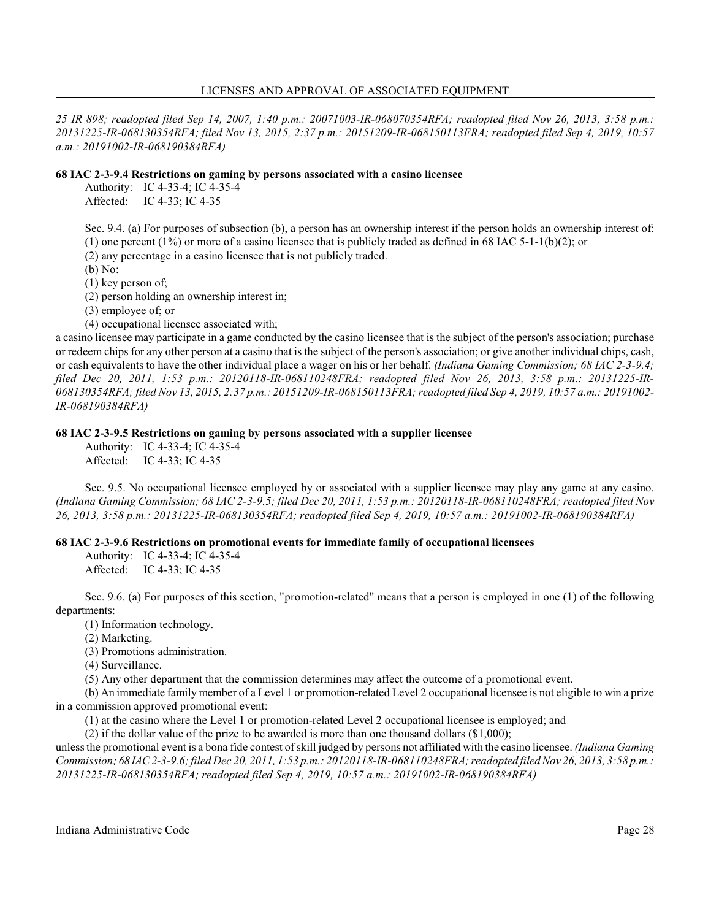*25 IR 898; readopted filed Sep 14, 2007, 1:40 p.m.: 20071003-IR-068070354RFA; readopted filed Nov 26, 2013, 3:58 p.m.: 20131225-IR-068130354RFA; filed Nov 13, 2015, 2:37 p.m.: 20151209-IR-068150113FRA; readopted filed Sep 4, 2019, 10:57 a.m.: 20191002-IR-068190384RFA)*

## **68 IAC 2-3-9.4 Restrictions on gaming by persons associated with a casino licensee**

Authority: IC 4-33-4; IC 4-35-4 Affected: IC 4-33; IC 4-35

Sec. 9.4. (a) For purposes of subsection (b), a person has an ownership interest if the person holds an ownership interest of: (1) one percent (1%) or more of a casino licensee that is publicly traded as defined in 68 IAC 5-1-1(b)(2); or

(2) any percentage in a casino licensee that is not publicly traded.

(b) No:

(1) key person of;

(2) person holding an ownership interest in;

(3) employee of; or

(4) occupational licensee associated with;

a casino licensee may participate in a game conducted by the casino licensee that is the subject of the person's association; purchase or redeem chips for any other person at a casino that is the subject of the person's association; or give another individual chips, cash, or cash equivalents to have the other individual place a wager on his or her behalf. *(Indiana Gaming Commission; 68 IAC 2-3-9.4; filed Dec 20, 2011, 1:53 p.m.: 20120118-IR-068110248FRA; readopted filed Nov 26, 2013, 3:58 p.m.: 20131225-IR-068130354RFA; filed Nov 13, 2015, 2:37 p.m.: 20151209-IR-068150113FRA; readopted filed Sep 4, 2019, 10:57 a.m.: 20191002- IR-068190384RFA)*

## **68 IAC 2-3-9.5 Restrictions on gaming by persons associated with a supplier licensee**

Authority: IC 4-33-4; IC 4-35-4 Affected: IC 4-33; IC 4-35

Sec. 9.5. No occupational licensee employed by or associated with a supplier licensee may play any game at any casino. *(Indiana Gaming Commission; 68 IAC 2-3-9.5; filed Dec 20, 2011, 1:53 p.m.: 20120118-IR-068110248FRA; readopted filed Nov 26, 2013, 3:58 p.m.: 20131225-IR-068130354RFA; readopted filed Sep 4, 2019, 10:57 a.m.: 20191002-IR-068190384RFA)*

## **68 IAC 2-3-9.6 Restrictions on promotional events for immediate family of occupational licensees**

Authority: IC 4-33-4; IC 4-35-4 Affected: IC 4-33; IC 4-35

Sec. 9.6. (a) For purposes of this section, "promotion-related" means that a person is employed in one (1) of the following departments:

(1) Information technology.

(2) Marketing.

(3) Promotions administration.

(4) Surveillance.

(5) Any other department that the commission determines may affect the outcome of a promotional event.

(b) An immediate family member of a Level 1 or promotion-related Level 2 occupational licensee is not eligible to win a prize in a commission approved promotional event:

(1) at the casino where the Level 1 or promotion-related Level 2 occupational licensee is employed; and

(2) if the dollar value of the prize to be awarded is more than one thousand dollars (\$1,000);

unless the promotional event is a bona fide contest ofskill judged by persons not affiliated with the casino licensee. *(Indiana Gaming Commission; 68 IAC2-3-9.6; filed Dec 20, 2011, 1:53 p.m.: 20120118-IR-068110248FRA; readopted filedNov 26, 2013, 3:58 p.m.: 20131225-IR-068130354RFA; readopted filed Sep 4, 2019, 10:57 a.m.: 20191002-IR-068190384RFA)*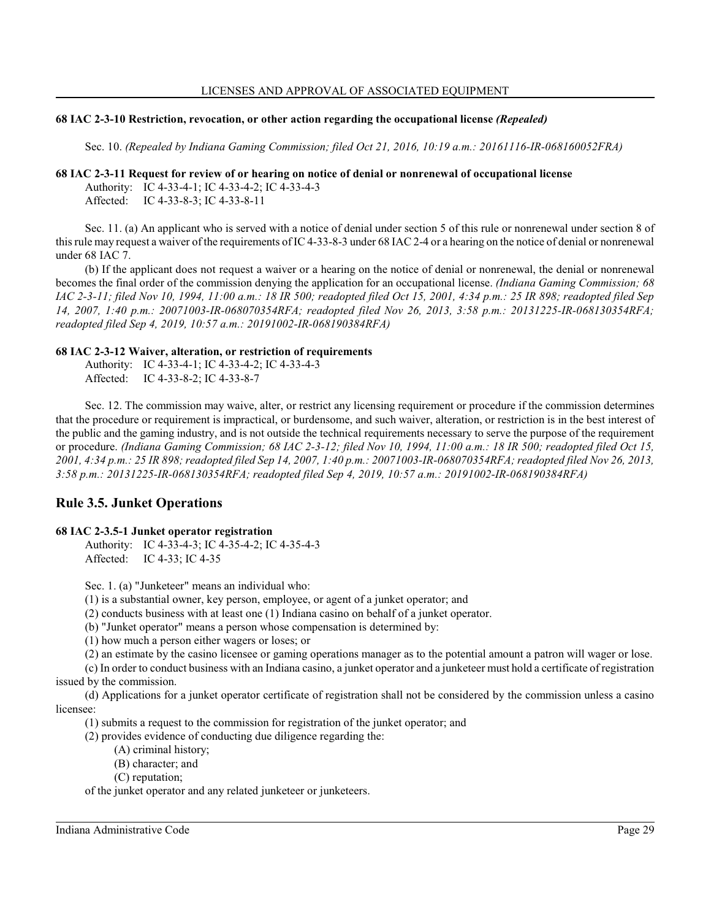#### **68 IAC 2-3-10 Restriction, revocation, or other action regarding the occupational license** *(Repealed)*

Sec. 10. *(Repealed by Indiana Gaming Commission; filed Oct 21, 2016, 10:19 a.m.: 20161116-IR-068160052FRA)*

#### **68 IAC 2-3-11 Request for review of or hearing on notice of denial or nonrenewal of occupational license**

Authority: IC 4-33-4-1; IC 4-33-4-2; IC 4-33-4-3

Affected: IC 4-33-8-3; IC 4-33-8-11

Sec. 11. (a) An applicant who is served with a notice of denial under section 5 of this rule or nonrenewal under section 8 of this rule may request a waiver of the requirements of IC 4-33-8-3 under 68 IAC2-4 or a hearing on the notice of denial or nonrenewal under 68 IAC 7.

(b) If the applicant does not request a waiver or a hearing on the notice of denial or nonrenewal, the denial or nonrenewal becomes the final order of the commission denying the application for an occupational license. *(Indiana Gaming Commission; 68 IAC 2-3-11; filed Nov 10, 1994, 11:00 a.m.: 18 IR 500; readopted filed Oct 15, 2001, 4:34 p.m.: 25 IR 898; readopted filed Sep 14, 2007, 1:40 p.m.: 20071003-IR-068070354RFA; readopted filed Nov 26, 2013, 3:58 p.m.: 20131225-IR-068130354RFA; readopted filed Sep 4, 2019, 10:57 a.m.: 20191002-IR-068190384RFA)*

## **68 IAC 2-3-12 Waiver, alteration, or restriction of requirements**

Authority: IC 4-33-4-1; IC 4-33-4-2; IC 4-33-4-3 Affected: IC 4-33-8-2; IC 4-33-8-7

Sec. 12. The commission may waive, alter, or restrict any licensing requirement or procedure if the commission determines that the procedure or requirement is impractical, or burdensome, and such waiver, alteration, or restriction is in the best interest of the public and the gaming industry, and is not outside the technical requirements necessary to serve the purpose of the requirement or procedure. *(Indiana Gaming Commission; 68 IAC 2-3-12; filed Nov 10, 1994, 11:00 a.m.: 18 IR 500; readopted filed Oct 15, 2001, 4:34 p.m.: 25 IR 898; readopted filed Sep 14, 2007, 1:40 p.m.: 20071003-IR-068070354RFA; readopted filed Nov 26, 2013, 3:58 p.m.: 20131225-IR-068130354RFA; readopted filed Sep 4, 2019, 10:57 a.m.: 20191002-IR-068190384RFA)*

# **Rule 3.5. Junket Operations**

## **68 IAC 2-3.5-1 Junket operator registration**

Authority: IC 4-33-4-3; IC 4-35-4-2; IC 4-35-4-3 Affected: IC 4-33; IC 4-35

Sec. 1. (a) "Junketeer" means an individual who:

(1) is a substantial owner, key person, employee, or agent of a junket operator; and

(2) conducts business with at least one (1) Indiana casino on behalf of a junket operator.

(b) "Junket operator" means a person whose compensation is determined by:

(1) how much a person either wagers or loses; or

(2) an estimate by the casino licensee or gaming operations manager as to the potential amount a patron will wager or lose.

(c) In order to conduct business with an Indiana casino, a junket operator and a junketeer must hold a certificate of registration issued by the commission.

(d) Applications for a junket operator certificate of registration shall not be considered by the commission unless a casino licensee:

(1) submits a request to the commission for registration of the junket operator; and

(2) provides evidence of conducting due diligence regarding the:

(A) criminal history;

(B) character; and

(C) reputation;

of the junket operator and any related junketeer or junketeers.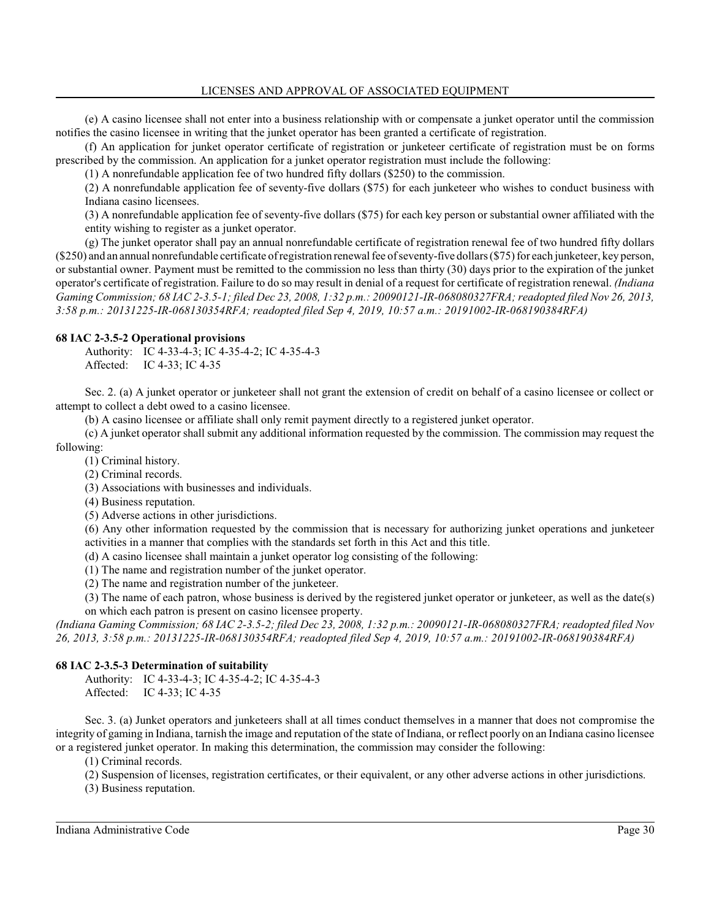(e) A casino licensee shall not enter into a business relationship with or compensate a junket operator until the commission notifies the casino licensee in writing that the junket operator has been granted a certificate of registration.

(f) An application for junket operator certificate of registration or junketeer certificate of registration must be on forms prescribed by the commission. An application for a junket operator registration must include the following:

(1) A nonrefundable application fee of two hundred fifty dollars (\$250) to the commission.

(2) A nonrefundable application fee of seventy-five dollars (\$75) for each junketeer who wishes to conduct business with Indiana casino licensees.

(3) A nonrefundable application fee of seventy-five dollars (\$75) for each key person or substantial owner affiliated with the entity wishing to register as a junket operator.

(g) The junket operator shall pay an annual nonrefundable certificate of registration renewal fee of two hundred fifty dollars (\$250) and an annual nonrefundable certificate ofregistration renewal fee ofseventy-five dollars (\$75) for each junketeer, key person, or substantial owner. Payment must be remitted to the commission no less than thirty (30) days prior to the expiration of the junket operator's certificate of registration. Failure to do so may result in denial of a request for certificate of registration renewal. *(Indiana Gaming Commission; 68 IAC 2-3.5-1; filed Dec 23, 2008, 1:32 p.m.: 20090121-IR-068080327FRA; readopted filed Nov 26, 2013, 3:58 p.m.: 20131225-IR-068130354RFA; readopted filed Sep 4, 2019, 10:57 a.m.: 20191002-IR-068190384RFA)*

## **68 IAC 2-3.5-2 Operational provisions**

Authority: IC 4-33-4-3; IC 4-35-4-2; IC 4-35-4-3 Affected: IC 4-33; IC 4-35

Sec. 2. (a) A junket operator or junketeer shall not grant the extension of credit on behalf of a casino licensee or collect or attempt to collect a debt owed to a casino licensee.

(b) A casino licensee or affiliate shall only remit payment directly to a registered junket operator.

(c) A junket operator shall submit any additional information requested by the commission. The commission may request the following:

(1) Criminal history.

(2) Criminal records.

(3) Associations with businesses and individuals.

(4) Business reputation.

(5) Adverse actions in other jurisdictions.

(6) Any other information requested by the commission that is necessary for authorizing junket operations and junketeer activities in a manner that complies with the standards set forth in this Act and this title.

(d) A casino licensee shall maintain a junket operator log consisting of the following:

(1) The name and registration number of the junket operator.

(2) The name and registration number of the junketeer.

(3) The name of each patron, whose business is derived by the registered junket operator or junketeer, as well as the date(s) on which each patron is present on casino licensee property.

*(Indiana Gaming Commission; 68 IAC 2-3.5-2; filed Dec 23, 2008, 1:32 p.m.: 20090121-IR-068080327FRA; readopted filed Nov 26, 2013, 3:58 p.m.: 20131225-IR-068130354RFA; readopted filed Sep 4, 2019, 10:57 a.m.: 20191002-IR-068190384RFA)*

## **68 IAC 2-3.5-3 Determination of suitability**

Authority: IC 4-33-4-3; IC 4-35-4-2; IC 4-35-4-3 Affected: IC 4-33; IC 4-35

Sec. 3. (a) Junket operators and junketeers shall at all times conduct themselves in a manner that does not compromise the integrity of gaming in Indiana, tarnish the image and reputation of the state of Indiana, or reflect poorly on an Indiana casino licensee or a registered junket operator. In making this determination, the commission may consider the following:

(1) Criminal records.

(2) Suspension of licenses, registration certificates, or their equivalent, or any other adverse actions in other jurisdictions.

(3) Business reputation.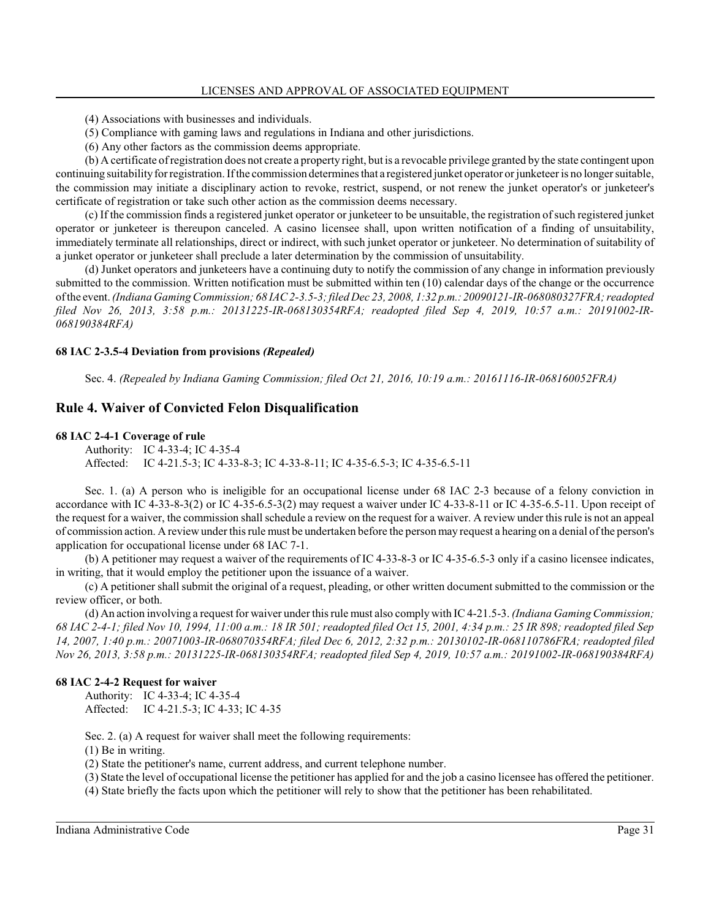- (4) Associations with businesses and individuals.
- (5) Compliance with gaming laws and regulations in Indiana and other jurisdictions.
- (6) Any other factors as the commission deems appropriate.

(b) A certificate ofregistration does not create a property right, but is a revocable privilege granted by the state contingent upon continuing suitabilityfor registration. Ifthe commission determines that a registered junket operator or junketeer is no longer suitable, the commission may initiate a disciplinary action to revoke, restrict, suspend, or not renew the junket operator's or junketeer's certificate of registration or take such other action as the commission deems necessary.

(c) If the commission finds a registered junket operator or junketeer to be unsuitable, the registration ofsuch registered junket operator or junketeer is thereupon canceled. A casino licensee shall, upon written notification of a finding of unsuitability, immediately terminate all relationships, direct or indirect, with such junket operator or junketeer. No determination of suitability of a junket operator or junketeer shall preclude a later determination by the commission of unsuitability.

(d) Junket operators and junketeers have a continuing duty to notify the commission of any change in information previously submitted to the commission. Written notification must be submitted within ten (10) calendar days of the change or the occurrence ofthe event. *(Indiana GamingCommission; 68 IAC 2-3.5-3; filed Dec 23, 2008, 1:32 p.m.: 20090121-IR-068080327FRA; readopted filed Nov 26, 2013, 3:58 p.m.: 20131225-IR-068130354RFA; readopted filed Sep 4, 2019, 10:57 a.m.: 20191002-IR-068190384RFA)*

#### **68 IAC 2-3.5-4 Deviation from provisions** *(Repealed)*

Sec. 4. *(Repealed by Indiana Gaming Commission; filed Oct 21, 2016, 10:19 a.m.: 20161116-IR-068160052FRA)*

### **Rule 4. Waiver of Convicted Felon Disqualification**

#### **68 IAC 2-4-1 Coverage of rule**

Authority: IC 4-33-4; IC 4-35-4 Affected: IC 4-21.5-3; IC 4-33-8-3; IC 4-33-8-11; IC 4-35-6.5-3; IC 4-35-6.5-11

Sec. 1. (a) A person who is ineligible for an occupational license under 68 IAC 2-3 because of a felony conviction in accordance with IC 4-33-8-3(2) or IC 4-35-6.5-3(2) may request a waiver under IC 4-33-8-11 or IC 4-35-6.5-11. Upon receipt of the request for a waiver, the commission shall schedule a review on the request for a waiver. A review under this rule is not an appeal of commission action. A review under this rule must be undertaken before the person may request a hearing on a denial ofthe person's application for occupational license under 68 IAC 7-1.

(b) A petitioner may request a waiver of the requirements of IC 4-33-8-3 or IC 4-35-6.5-3 only if a casino licensee indicates, in writing, that it would employ the petitioner upon the issuance of a waiver.

(c) A petitioner shall submit the original of a request, pleading, or other written document submitted to the commission or the review officer, or both.

(d) An action involving a request for waiver under this rule must also comply with IC 4-21.5-3. *(Indiana Gaming Commission; 68 IAC 2-4-1; filed Nov 10, 1994, 11:00 a.m.: 18 IR 501; readopted filed Oct 15, 2001, 4:34 p.m.: 25 IR 898; readopted filed Sep 14, 2007, 1:40 p.m.: 20071003-IR-068070354RFA; filed Dec 6, 2012, 2:32 p.m.: 20130102-IR-068110786FRA; readopted filed Nov 26, 2013, 3:58 p.m.: 20131225-IR-068130354RFA; readopted filed Sep 4, 2019, 10:57 a.m.: 20191002-IR-068190384RFA)*

#### **68 IAC 2-4-2 Request for waiver**

Authority: IC 4-33-4; IC 4-35-4 Affected: IC 4-21.5-3; IC 4-33; IC 4-35

Sec. 2. (a) A request for waiver shall meet the following requirements:

(1) Be in writing.

(2) State the petitioner's name, current address, and current telephone number.

(3) State the level of occupational license the petitioner has applied for and the job a casino licensee has offered the petitioner.

(4) State briefly the facts upon which the petitioner will rely to show that the petitioner has been rehabilitated.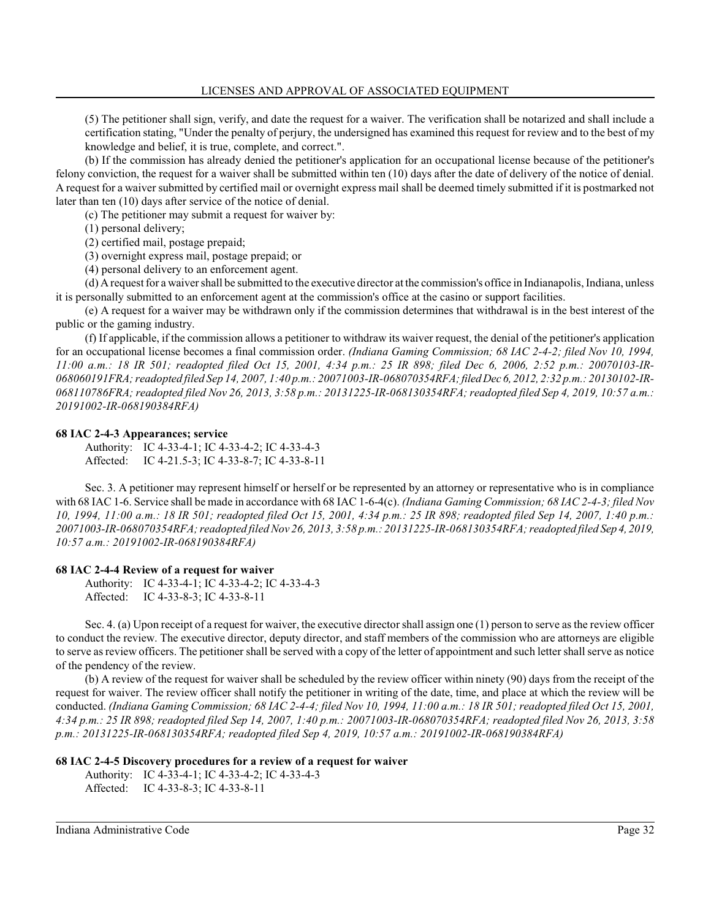(5) The petitioner shall sign, verify, and date the request for a waiver. The verification shall be notarized and shall include a certification stating, "Under the penalty of perjury, the undersigned has examined this request for review and to the best of my knowledge and belief, it is true, complete, and correct.".

(b) If the commission has already denied the petitioner's application for an occupational license because of the petitioner's felony conviction, the request for a waiver shall be submitted within ten (10) days after the date of delivery of the notice of denial. A request for a waiver submitted by certified mail or overnight express mail shall be deemed timely submitted if it is postmarked not later than ten (10) days after service of the notice of denial.

(c) The petitioner may submit a request for waiver by:

(1) personal delivery;

(2) certified mail, postage prepaid;

(3) overnight express mail, postage prepaid; or

(4) personal delivery to an enforcement agent.

(d) A request for a waiver shall be submitted to the executive director at the commission's office in Indianapolis, Indiana, unless it is personally submitted to an enforcement agent at the commission's office at the casino or support facilities.

(e) A request for a waiver may be withdrawn only if the commission determines that withdrawal is in the best interest of the public or the gaming industry.

(f) If applicable, if the commission allows a petitioner to withdraw its waiver request, the denial of the petitioner's application for an occupational license becomes a final commission order. *(Indiana Gaming Commission; 68 IAC 2-4-2; filed Nov 10, 1994, 11:00 a.m.: 18 IR 501; readopted filed Oct 15, 2001, 4:34 p.m.: 25 IR 898; filed Dec 6, 2006, 2:52 p.m.: 20070103-IR-068060191FRA; readopted filed Sep 14, 2007, 1:40 p.m.: 20071003-IR-068070354RFA;filedDec 6, 2012, 2:32 p.m.: 20130102-IR-068110786FRA; readopted filed Nov 26, 2013, 3:58 p.m.: 20131225-IR-068130354RFA; readopted filed Sep 4, 2019, 10:57 a.m.: 20191002-IR-068190384RFA)*

#### **68 IAC 2-4-3 Appearances; service**

Authority: IC 4-33-4-1; IC 4-33-4-2; IC 4-33-4-3 Affected: IC 4-21.5-3; IC 4-33-8-7; IC 4-33-8-11

Sec. 3. A petitioner may represent himself or herself or be represented by an attorney or representative who is in compliance with 68 IAC 1-6. Service shall be made in accordance with 68 IAC 1-6-4(c). *(Indiana Gaming Commission; 68 IAC 2-4-3; filed Nov 10, 1994, 11:00 a.m.: 18 IR 501; readopted filed Oct 15, 2001, 4:34 p.m.: 25 IR 898; readopted filed Sep 14, 2007, 1:40 p.m.: 20071003-IR-068070354RFA; readopted filedNov 26, 2013, 3:58 p.m.: 20131225-IR-068130354RFA; readopted filed Sep 4, 2019, 10:57 a.m.: 20191002-IR-068190384RFA)*

#### **68 IAC 2-4-4 Review of a request for waiver**

Authority: IC 4-33-4-1; IC 4-33-4-2; IC 4-33-4-3 Affected: IC 4-33-8-3; IC 4-33-8-11

Sec. 4. (a) Upon receipt of a request for waiver, the executive director shall assign one (1) person to serve as the review officer to conduct the review. The executive director, deputy director, and staff members of the commission who are attorneys are eligible to serve as review officers. The petitioner shall be served with a copy of the letter of appointment and such letter shall serve as notice of the pendency of the review.

(b) A review of the request for waiver shall be scheduled by the review officer within ninety (90) days from the receipt of the request for waiver. The review officer shall notify the petitioner in writing of the date, time, and place at which the review will be conducted. *(Indiana Gaming Commission; 68 IAC 2-4-4; filed Nov 10, 1994, 11:00 a.m.: 18 IR 501; readopted filed Oct 15, 2001, 4:34 p.m.: 25 IR 898; readopted filed Sep 14, 2007, 1:40 p.m.: 20071003-IR-068070354RFA; readopted filed Nov 26, 2013, 3:58 p.m.: 20131225-IR-068130354RFA; readopted filed Sep 4, 2019, 10:57 a.m.: 20191002-IR-068190384RFA)*

#### **68 IAC 2-4-5 Discovery procedures for a review of a request for waiver**

```
Authority: IC 4-33-4-1; IC 4-33-4-2; IC 4-33-4-3
Affected: IC 4-33-8-3; IC 4-33-8-11
```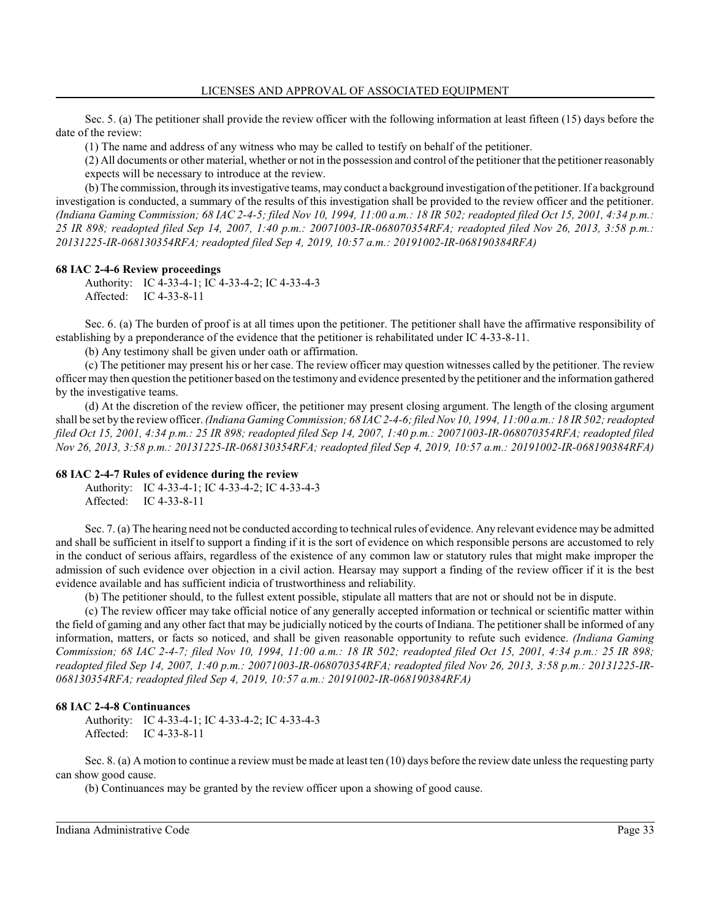Sec. 5. (a) The petitioner shall provide the review officer with the following information at least fifteen (15) days before the date of the review:

(1) The name and address of any witness who may be called to testify on behalf of the petitioner.

(2) All documents or other material, whether or not in the possession and control of the petitioner that the petitioner reasonably expects will be necessary to introduce at the review.

(b) The commission, through its investigative teams, may conduct a background investigation ofthe petitioner. If a background investigation is conducted, a summary of the results of this investigation shall be provided to the review officer and the petitioner. *(Indiana Gaming Commission; 68 IAC 2-4-5; filed Nov 10, 1994, 11:00 a.m.: 18 IR 502; readopted filed Oct 15, 2001, 4:34 p.m.: 25 IR 898; readopted filed Sep 14, 2007, 1:40 p.m.: 20071003-IR-068070354RFA; readopted filed Nov 26, 2013, 3:58 p.m.: 20131225-IR-068130354RFA; readopted filed Sep 4, 2019, 10:57 a.m.: 20191002-IR-068190384RFA)*

#### **68 IAC 2-4-6 Review proceedings**

Authority: IC 4-33-4-1; IC 4-33-4-2; IC 4-33-4-3 Affected: IC 4-33-8-11

Sec. 6. (a) The burden of proof is at all times upon the petitioner. The petitioner shall have the affirmative responsibility of establishing by a preponderance of the evidence that the petitioner is rehabilitated under IC 4-33-8-11.

(b) Any testimony shall be given under oath or affirmation.

(c) The petitioner may present his or her case. The review officer may question witnesses called by the petitioner. The review officer may then question the petitioner based on the testimony and evidence presented by the petitioner and the information gathered by the investigative teams.

(d) At the discretion of the review officer, the petitioner may present closing argument. The length of the closing argument shall be set by the review officer. *(Indiana GamingCommission; 68 IAC 2-4-6; filedNov 10, 1994, 11:00 a.m.: 18 IR 502; readopted filed Oct 15, 2001, 4:34 p.m.: 25 IR 898; readopted filed Sep 14, 2007, 1:40 p.m.: 20071003-IR-068070354RFA; readopted filed Nov 26, 2013, 3:58 p.m.: 20131225-IR-068130354RFA; readopted filed Sep 4, 2019, 10:57 a.m.: 20191002-IR-068190384RFA)*

#### **68 IAC 2-4-7 Rules of evidence during the review**

Authority: IC 4-33-4-1; IC 4-33-4-2; IC 4-33-4-3 Affected: IC 4-33-8-11

Sec. 7. (a) The hearing need not be conducted according to technical rules of evidence. Any relevant evidence may be admitted and shall be sufficient in itself to support a finding if it is the sort of evidence on which responsible persons are accustomed to rely in the conduct of serious affairs, regardless of the existence of any common law or statutory rules that might make improper the admission of such evidence over objection in a civil action. Hearsay may support a finding of the review officer if it is the best evidence available and has sufficient indicia of trustworthiness and reliability.

(b) The petitioner should, to the fullest extent possible, stipulate all matters that are not or should not be in dispute.

(c) The review officer may take official notice of any generally accepted information or technical or scientific matter within the field of gaming and any other fact that may be judicially noticed by the courts of Indiana. The petitioner shall be informed of any information, matters, or facts so noticed, and shall be given reasonable opportunity to refute such evidence. *(Indiana Gaming Commission; 68 IAC 2-4-7; filed Nov 10, 1994, 11:00 a.m.: 18 IR 502; readopted filed Oct 15, 2001, 4:34 p.m.: 25 IR 898; readopted filed Sep 14, 2007, 1:40 p.m.: 20071003-IR-068070354RFA; readopted filed Nov 26, 2013, 3:58 p.m.: 20131225-IR-068130354RFA; readopted filed Sep 4, 2019, 10:57 a.m.: 20191002-IR-068190384RFA)*

#### **68 IAC 2-4-8 Continuances**

Authority: IC 4-33-4-1; IC 4-33-4-2; IC 4-33-4-3 Affected: IC 4-33-8-11

Sec. 8. (a) A motion to continue a review must be made at least ten (10) days before the review date unless the requesting party can show good cause.

(b) Continuances may be granted by the review officer upon a showing of good cause.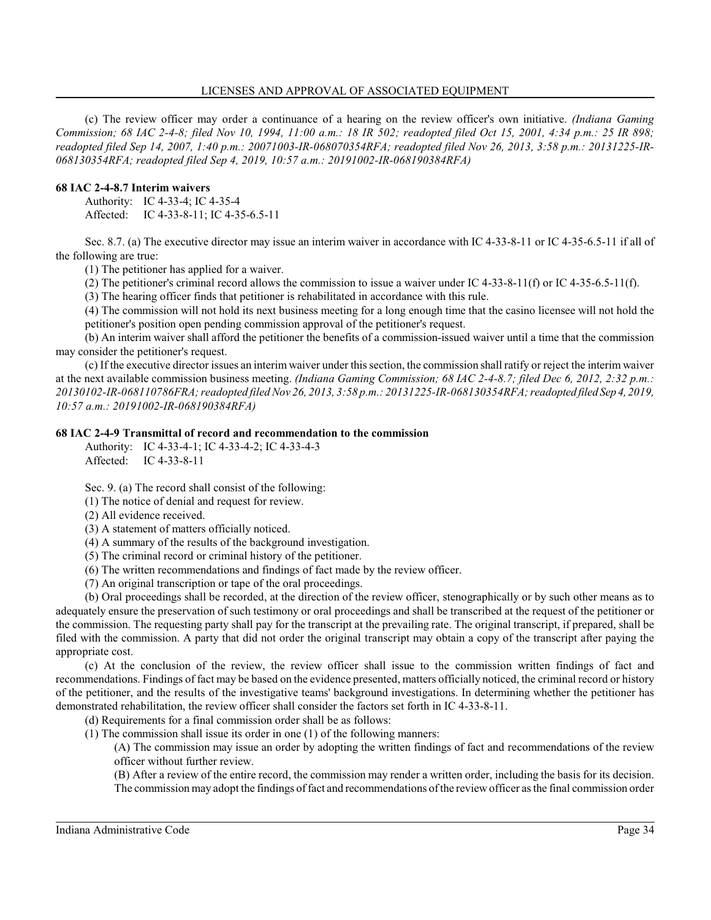#### LICENSES AND APPROVAL OF ASSOCIATED EQUIPMENT

(c) The review officer may order a continuance of a hearing on the review officer's own initiative. *(Indiana Gaming Commission; 68 IAC 2-4-8; filed Nov 10, 1994, 11:00 a.m.: 18 IR 502; readopted filed Oct 15, 2001, 4:34 p.m.: 25 IR 898; readopted filed Sep 14, 2007, 1:40 p.m.: 20071003-IR-068070354RFA; readopted filed Nov 26, 2013, 3:58 p.m.: 20131225-IR-068130354RFA; readopted filed Sep 4, 2019, 10:57 a.m.: 20191002-IR-068190384RFA)*

### **68 IAC 2-4-8.7 Interim waivers**

Authority: IC 4-33-4; IC 4-35-4 Affected: IC 4-33-8-11; IC 4-35-6.5-11

Sec. 8.7. (a) The executive director may issue an interim waiver in accordance with IC 4-33-8-11 or IC 4-35-6.5-11 if all of the following are true:

(1) The petitioner has applied for a waiver.

(2) The petitioner's criminal record allows the commission to issue a waiver under IC 4-33-8-11(f) or IC 4-35-6.5-11(f).

(3) The hearing officer finds that petitioner is rehabilitated in accordance with this rule.

(4) The commission will not hold its next business meeting for a long enough time that the casino licensee will not hold the petitioner's position open pending commission approval of the petitioner's request.

(b) An interim waiver shall afford the petitioner the benefits of a commission-issued waiver until a time that the commission may consider the petitioner's request.

(c) If the executive director issues an interim waiver under this section, the commission shall ratify or reject the interim waiver at the next available commission business meeting. *(Indiana Gaming Commission; 68 IAC 2-4-8.7; filed Dec 6, 2012, 2:32 p.m.: 20130102-IR-068110786FRA; readopted filedNov 26, 2013, 3:58 p.m.: 20131225-IR-068130354RFA; readopted filed Sep 4, 2019, 10:57 a.m.: 20191002-IR-068190384RFA)*

### **68 IAC 2-4-9 Transmittal of record and recommendation to the commission**

Authority: IC 4-33-4-1; IC 4-33-4-2; IC 4-33-4-3 Affected: IC 4-33-8-11

Sec. 9. (a) The record shall consist of the following:

(1) The notice of denial and request for review.

(2) All evidence received.

(3) A statement of matters officially noticed.

(4) A summary of the results of the background investigation.

(5) The criminal record or criminal history of the petitioner.

(6) The written recommendations and findings of fact made by the review officer.

(7) An original transcription or tape of the oral proceedings.

(b) Oral proceedings shall be recorded, at the direction of the review officer, stenographically or by such other means as to adequately ensure the preservation of such testimony or oral proceedings and shall be transcribed at the request of the petitioner or the commission. The requesting party shall pay for the transcript at the prevailing rate. The original transcript, if prepared, shall be filed with the commission. A party that did not order the original transcript may obtain a copy of the transcript after paying the appropriate cost.

(c) At the conclusion of the review, the review officer shall issue to the commission written findings of fact and recommendations. Findings of fact may be based on the evidence presented, matters officially noticed, the criminal record or history of the petitioner, and the results of the investigative teams' background investigations. In determining whether the petitioner has demonstrated rehabilitation, the review officer shall consider the factors set forth in IC 4-33-8-11.

(d) Requirements for a final commission order shall be as follows:

(1) The commission shall issue its order in one (1) of the following manners:

(A) The commission may issue an order by adopting the written findings of fact and recommendations of the review officer without further review.

(B) After a review of the entire record, the commission may render a written order, including the basis for its decision. The commission may adopt the findings offact and recommendations ofthe reviewofficer as the final commission order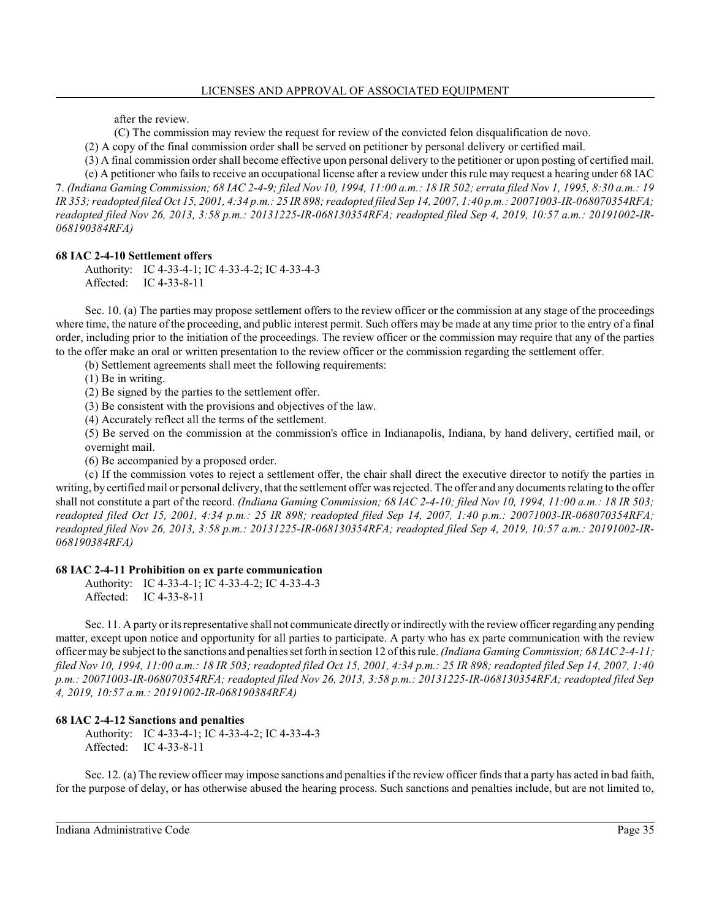after the review.

(C) The commission may review the request for review of the convicted felon disqualification de novo.

(2) A copy of the final commission order shall be served on petitioner by personal delivery or certified mail.

(3) A final commission order shall become effective upon personal delivery to the petitioner or upon posting of certified mail.

(e) A petitioner who fails to receive an occupational license after a review under this rule may request a hearing under 68 IAC 7. *(Indiana Gaming Commission; 68 IAC 2-4-9; filed Nov 10, 1994, 11:00 a.m.: 18 IR 502; errata filed Nov 1, 1995, 8:30 a.m.: 19 IR 353; readopted filed Oct 15, 2001, 4:34 p.m.: 25 IR 898; readopted filed Sep 14, 2007, 1:40 p.m.: 20071003-IR-068070354RFA; readopted filed Nov 26, 2013, 3:58 p.m.: 20131225-IR-068130354RFA; readopted filed Sep 4, 2019, 10:57 a.m.: 20191002-IR-068190384RFA)*

# **68 IAC 2-4-10 Settlement offers**

Authority: IC 4-33-4-1; IC 4-33-4-2; IC 4-33-4-3 Affected: IC 4-33-8-11

Sec. 10. (a) The parties may propose settlement offers to the review officer or the commission at any stage of the proceedings where time, the nature of the proceeding, and public interest permit. Such offers may be made at any time prior to the entry of a final order, including prior to the initiation of the proceedings. The review officer or the commission may require that any of the parties to the offer make an oral or written presentation to the review officer or the commission regarding the settlement offer.

(b) Settlement agreements shall meet the following requirements:

(1) Be in writing.

(2) Be signed by the parties to the settlement offer.

(3) Be consistent with the provisions and objectives of the law.

(4) Accurately reflect all the terms of the settlement.

(5) Be served on the commission at the commission's office in Indianapolis, Indiana, by hand delivery, certified mail, or overnight mail.

(6) Be accompanied by a proposed order.

(c) If the commission votes to reject a settlement offer, the chair shall direct the executive director to notify the parties in writing, by certified mail or personal delivery, that the settlement offer was rejected. The offer and any documents relating to the offer shall not constitute a part of the record. *(Indiana Gaming Commission; 68 IAC 2-4-10; filed Nov 10, 1994, 11:00 a.m.: 18 IR 503; readopted filed Oct 15, 2001, 4:34 p.m.: 25 IR 898; readopted filed Sep 14, 2007, 1:40 p.m.: 20071003-IR-068070354RFA; readopted filed Nov 26, 2013, 3:58 p.m.: 20131225-IR-068130354RFA; readopted filed Sep 4, 2019, 10:57 a.m.: 20191002-IR-068190384RFA)*

## **68 IAC 2-4-11 Prohibition on ex parte communication**

Authority: IC 4-33-4-1; IC 4-33-4-2; IC 4-33-4-3 Affected: IC 4-33-8-11

Sec. 11. A party or its representative shall not communicate directly or indirectly with the review officer regarding any pending matter, except upon notice and opportunity for all parties to participate. A party who has ex parte communication with the review officer may be subject to the sanctions and penalties set forth in section 12 ofthis rule. *(Indiana Gaming Commission; 68 IAC 2-4-11; filed Nov 10, 1994, 11:00 a.m.: 18 IR 503; readopted filed Oct 15, 2001, 4:34 p.m.: 25 IR 898; readopted filed Sep 14, 2007, 1:40 p.m.: 20071003-IR-068070354RFA; readopted filed Nov 26, 2013, 3:58 p.m.: 20131225-IR-068130354RFA; readopted filed Sep 4, 2019, 10:57 a.m.: 20191002-IR-068190384RFA)*

## **68 IAC 2-4-12 Sanctions and penalties**

Authority: IC 4-33-4-1; IC 4-33-4-2; IC 4-33-4-3 Affected: IC 4-33-8-11

Sec. 12. (a) The review officer may impose sanctions and penalties if the review officer finds that a party has acted in bad faith, for the purpose of delay, or has otherwise abused the hearing process. Such sanctions and penalties include, but are not limited to,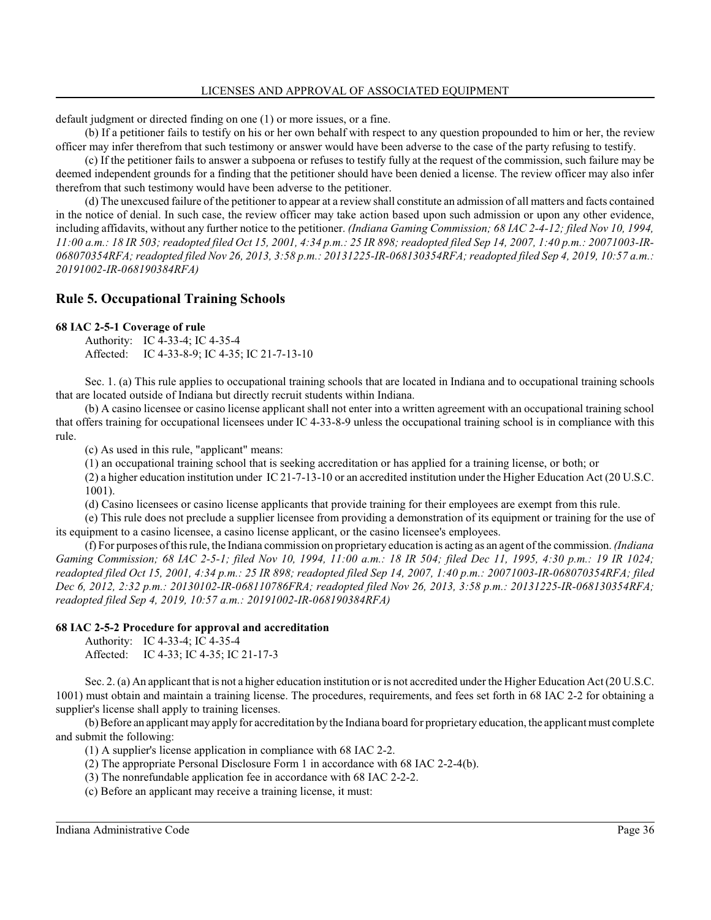default judgment or directed finding on one (1) or more issues, or a fine.

(b) If a petitioner fails to testify on his or her own behalf with respect to any question propounded to him or her, the review officer may infer therefrom that such testimony or answer would have been adverse to the case of the party refusing to testify.

(c) If the petitioner fails to answer a subpoena or refuses to testify fully at the request of the commission, such failure may be deemed independent grounds for a finding that the petitioner should have been denied a license. The review officer may also infer therefrom that such testimony would have been adverse to the petitioner.

(d) The unexcused failure of the petitioner to appear at a review shall constitute an admission of all matters and facts contained in the notice of denial. In such case, the review officer may take action based upon such admission or upon any other evidence, including affidavits, without any further notice to the petitioner. *(Indiana Gaming Commission; 68 IAC 2-4-12; filed Nov 10, 1994, 11:00 a.m.: 18 IR 503; readopted filed Oct 15, 2001, 4:34 p.m.: 25 IR 898; readopted filed Sep 14, 2007, 1:40 p.m.: 20071003-IR-068070354RFA; readopted filed Nov 26, 2013, 3:58 p.m.: 20131225-IR-068130354RFA; readopted filed Sep 4, 2019, 10:57 a.m.: 20191002-IR-068190384RFA)*

# **Rule 5. Occupational Training Schools**

#### **68 IAC 2-5-1 Coverage of rule**

Authority: IC 4-33-4; IC 4-35-4 Affected: IC 4-33-8-9; IC 4-35; IC 21-7-13-10

Sec. 1. (a) This rule applies to occupational training schools that are located in Indiana and to occupational training schools that are located outside of Indiana but directly recruit students within Indiana.

(b) A casino licensee or casino license applicant shall not enter into a written agreement with an occupational training school that offers training for occupational licensees under IC 4-33-8-9 unless the occupational training school is in compliance with this rule.

(c) As used in this rule, "applicant" means:

(1) an occupational training school that is seeking accreditation or has applied for a training license, or both; or

(2) a higher education institution under IC 21-7-13-10 or an accredited institution under the Higher Education Act (20 U.S.C. 1001).

(d) Casino licensees or casino license applicants that provide training for their employees are exempt from this rule.

(e) This rule does not preclude a supplier licensee from providing a demonstration of its equipment or training for the use of its equipment to a casino licensee, a casino license applicant, or the casino licensee's employees.

(f) For purposes ofthis rule, the Indiana commission on proprietary education is acting as an agent ofthe commission. *(Indiana Gaming Commission; 68 IAC 2-5-1; filed Nov 10, 1994, 11:00 a.m.: 18 IR 504; filed Dec 11, 1995, 4:30 p.m.: 19 IR 1024; readopted filed Oct 15, 2001, 4:34 p.m.: 25 IR 898; readopted filed Sep 14, 2007, 1:40 p.m.: 20071003-IR-068070354RFA; filed Dec 6, 2012, 2:32 p.m.: 20130102-IR-068110786FRA; readopted filed Nov 26, 2013, 3:58 p.m.: 20131225-IR-068130354RFA; readopted filed Sep 4, 2019, 10:57 a.m.: 20191002-IR-068190384RFA)*

## **68 IAC 2-5-2 Procedure for approval and accreditation**

Authority: IC 4-33-4; IC 4-35-4 Affected: IC 4-33; IC 4-35; IC 21-17-3

Sec. 2. (a) An applicant that is not a higher education institution or is not accredited under the Higher Education Act (20 U.S.C. 1001) must obtain and maintain a training license. The procedures, requirements, and fees set forth in 68 IAC 2-2 for obtaining a supplier's license shall apply to training licenses.

(b) Before an applicant may apply for accreditation by the Indiana board for proprietary education, the applicant must complete and submit the following:

(1) A supplier's license application in compliance with 68 IAC 2-2.

- (2) The appropriate Personal Disclosure Form 1 in accordance with 68 IAC 2-2-4(b).
- (3) The nonrefundable application fee in accordance with 68 IAC 2-2-2.

(c) Before an applicant may receive a training license, it must: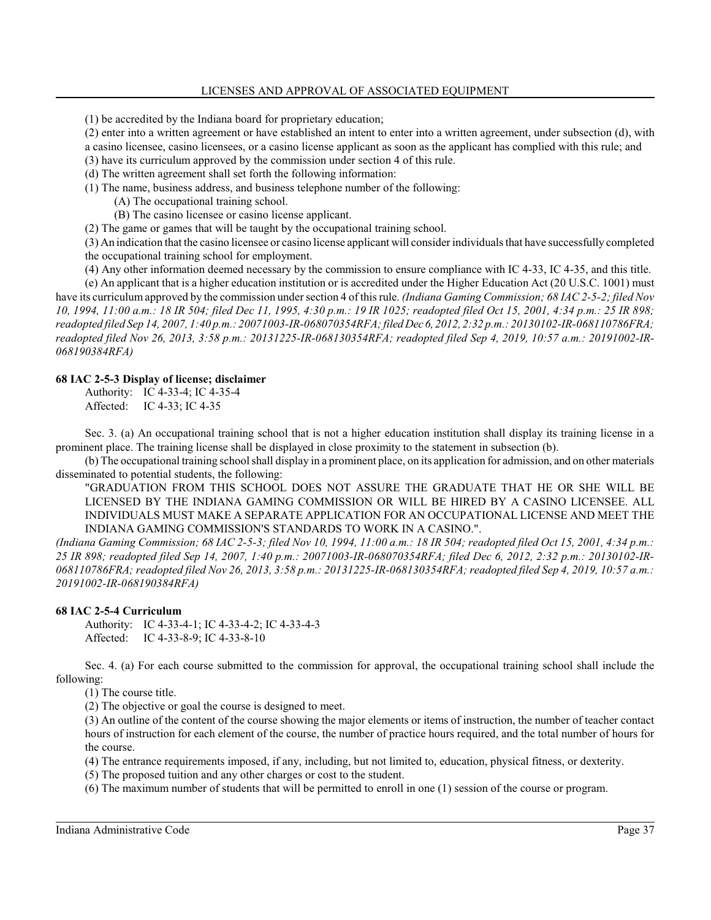(1) be accredited by the Indiana board for proprietary education;

(2) enter into a written agreement or have established an intent to enter into a written agreement, under subsection (d), with a casino licensee, casino licensees, or a casino license applicant as soon as the applicant has complied with this rule; and

(3) have its curriculum approved by the commission under section 4 of this rule.

(d) The written agreement shall set forth the following information:

(1) The name, business address, and business telephone number of the following:

(A) The occupational training school.

(B) The casino licensee or casino license applicant.

(2) The game or games that will be taught by the occupational training school.

(3) An indication that the casino licensee or casino license applicant will consider individuals that have successfully completed the occupational training school for employment.

(4) Any other information deemed necessary by the commission to ensure compliance with IC 4-33, IC 4-35, and this title.

(e) An applicant that is a higher education institution or is accredited under the Higher Education Act (20 U.S.C. 1001) must have its curriculum approved by the commission under section 4 of this rule. *(Indiana Gaming Commission; 68 IAC 2-5-2; filed Nov 10, 1994, 11:00 a.m.: 18 IR 504; filed Dec 11, 1995, 4:30 p.m.: 19 IR 1025; readopted filed Oct 15, 2001, 4:34 p.m.: 25 IR 898; readopted filed Sep 14, 2007, 1:40 p.m.: 20071003-IR-068070354RFA; filedDec 6, 2012, 2:32 p.m.: 20130102-IR-068110786FRA; readopted filed Nov 26, 2013, 3:58 p.m.: 20131225-IR-068130354RFA; readopted filed Sep 4, 2019, 10:57 a.m.: 20191002-IR-068190384RFA)*

#### **68 IAC 2-5-3 Display of license; disclaimer**

Authority: IC 4-33-4; IC 4-35-4 Affected: IC 4-33; IC 4-35

Sec. 3. (a) An occupational training school that is not a higher education institution shall display its training license in a prominent place. The training license shall be displayed in close proximity to the statement in subsection (b).

(b) The occupational training school shall display in a prominent place, on its application for admission, and on other materials disseminated to potential students, the following:

"GRADUATION FROM THIS SCHOOL DOES NOT ASSURE THE GRADUATE THAT HE OR SHE WILL BE LICENSED BY THE INDIANA GAMING COMMISSION OR WILL BE HIRED BY A CASINO LICENSEE. ALL INDIVIDUALS MUST MAKE A SEPARATE APPLICATION FOR AN OCCUPATIONAL LICENSE AND MEET THE INDIANA GAMING COMMISSION'S STANDARDS TO WORK IN A CASINO.".

*(Indiana Gaming Commission; 68 IAC 2-5-3; filed Nov 10, 1994, 11:00 a.m.: 18 IR 504; readopted filed Oct 15, 2001, 4:34 p.m.: 25 IR 898; readopted filed Sep 14, 2007, 1:40 p.m.: 20071003-IR-068070354RFA; filed Dec 6, 2012, 2:32 p.m.: 20130102-IR-068110786FRA; readopted filed Nov 26, 2013, 3:58 p.m.: 20131225-IR-068130354RFA; readopted filed Sep 4, 2019, 10:57 a.m.: 20191002-IR-068190384RFA)*

## **68 IAC 2-5-4 Curriculum**

Authority: IC 4-33-4-1; IC 4-33-4-2; IC 4-33-4-3 Affected: IC 4-33-8-9; IC 4-33-8-10

Sec. 4. (a) For each course submitted to the commission for approval, the occupational training school shall include the following:

(1) The course title.

(2) The objective or goal the course is designed to meet.

(3) An outline of the content of the course showing the major elements or items of instruction, the number of teacher contact hours of instruction for each element of the course, the number of practice hours required, and the total number of hours for the course.

(4) The entrance requirements imposed, if any, including, but not limited to, education, physical fitness, or dexterity.

(5) The proposed tuition and any other charges or cost to the student.

(6) The maximum number of students that will be permitted to enroll in one (1) session of the course or program.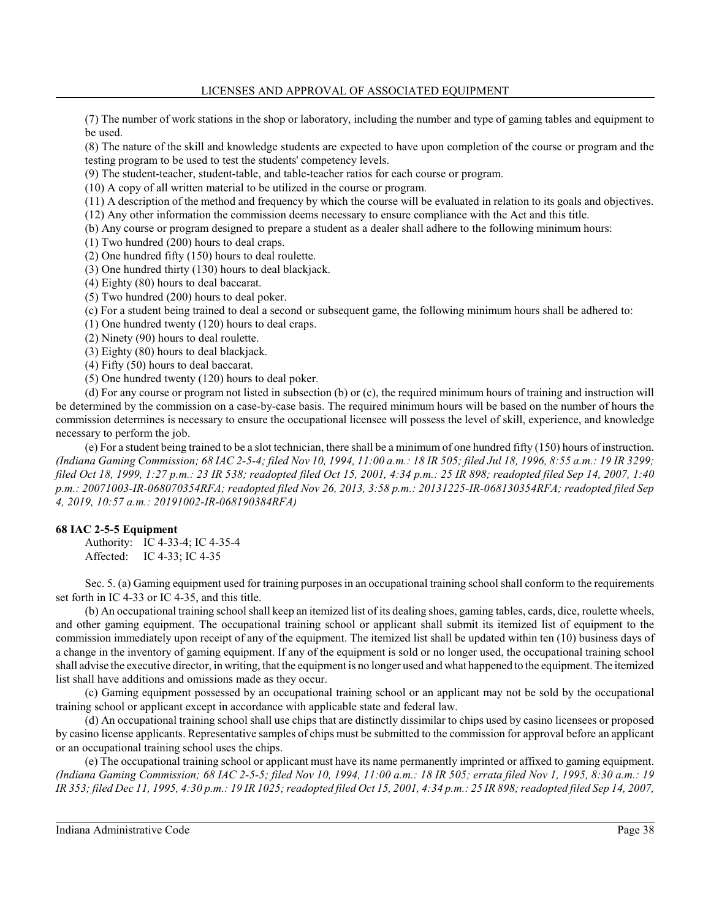(7) The number of work stations in the shop or laboratory, including the number and type of gaming tables and equipment to be used.

(8) The nature of the skill and knowledge students are expected to have upon completion of the course or program and the testing program to be used to test the students' competency levels.

(9) The student-teacher, student-table, and table-teacher ratios for each course or program.

(10) A copy of all written material to be utilized in the course or program.

(11) A description of the method and frequency by which the course will be evaluated in relation to its goals and objectives.

(12) Any other information the commission deems necessary to ensure compliance with the Act and this title.

(b) Any course or program designed to prepare a student as a dealer shall adhere to the following minimum hours:

(1) Two hundred (200) hours to deal craps.

(2) One hundred fifty (150) hours to deal roulette.

(3) One hundred thirty (130) hours to deal blackjack.

(4) Eighty (80) hours to deal baccarat.

(5) Two hundred (200) hours to deal poker.

(c) For a student being trained to deal a second or subsequent game, the following minimum hours shall be adhered to:

(1) One hundred twenty (120) hours to deal craps.

(2) Ninety (90) hours to deal roulette.

(3) Eighty (80) hours to deal blackjack.

(4) Fifty (50) hours to deal baccarat.

(5) One hundred twenty (120) hours to deal poker.

(d) For any course or program not listed in subsection (b) or (c), the required minimum hours of training and instruction will be determined by the commission on a case-by-case basis. The required minimum hours will be based on the number of hours the commission determines is necessary to ensure the occupational licensee will possess the level of skill, experience, and knowledge necessary to perform the job.

(e) For a student being trained to be a slot technician, there shall be a minimum of one hundred fifty (150) hours of instruction. *(Indiana Gaming Commission; 68 IAC 2-5-4; filed Nov 10, 1994, 11:00 a.m.: 18 IR 505; filed Jul 18, 1996, 8:55 a.m.: 19 IR 3299; filed Oct 18, 1999, 1:27 p.m.: 23 IR 538; readopted filed Oct 15, 2001, 4:34 p.m.: 25 IR 898; readopted filed Sep 14, 2007, 1:40 p.m.: 20071003-IR-068070354RFA; readopted filed Nov 26, 2013, 3:58 p.m.: 20131225-IR-068130354RFA; readopted filed Sep 4, 2019, 10:57 a.m.: 20191002-IR-068190384RFA)*

## **68 IAC 2-5-5 Equipment**

Authority: IC 4-33-4; IC 4-35-4 Affected: IC 4-33; IC 4-35

Sec. 5. (a) Gaming equipment used for training purposes in an occupational training school shall conform to the requirements set forth in IC 4-33 or IC 4-35, and this title.

(b) An occupational training school shall keep an itemized list of its dealing shoes, gaming tables, cards, dice, roulette wheels, and other gaming equipment. The occupational training school or applicant shall submit its itemized list of equipment to the commission immediately upon receipt of any of the equipment. The itemized list shall be updated within ten (10) business days of a change in the inventory of gaming equipment. If any of the equipment is sold or no longer used, the occupational training school shall advise the executive director, in writing, that the equipment is no longer used and what happened to the equipment. The itemized list shall have additions and omissions made as they occur.

(c) Gaming equipment possessed by an occupational training school or an applicant may not be sold by the occupational training school or applicant except in accordance with applicable state and federal law.

(d) An occupational training school shall use chips that are distinctly dissimilar to chips used by casino licensees or proposed by casino license applicants. Representative samples of chips must be submitted to the commission for approval before an applicant or an occupational training school uses the chips.

(e) The occupational training school or applicant must have its name permanently imprinted or affixed to gaming equipment. *(Indiana Gaming Commission; 68 IAC 2-5-5; filed Nov 10, 1994, 11:00 a.m.: 18 IR 505; errata filed Nov 1, 1995, 8:30 a.m.: 19 IR 353; filed Dec 11, 1995, 4:30 p.m.: 19 IR 1025; readopted filed Oct 15, 2001, 4:34 p.m.: 25 IR 898; readopted filed Sep 14, 2007,*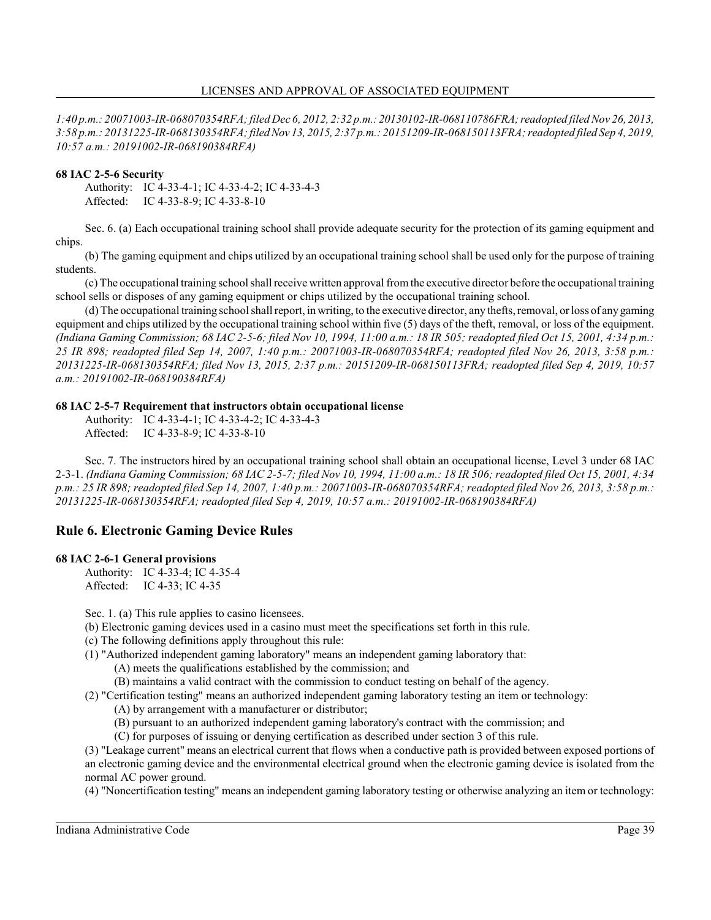*1:40 p.m.: 20071003-IR-068070354RFA; filed Dec 6, 2012, 2:32 p.m.: 20130102-IR-068110786FRA;readopted filedNov 26, 2013, 3:58 p.m.: 20131225-IR-068130354RFA; filedNov 13, 2015, 2:37 p.m.: 20151209-IR-068150113FRA; readopted filed Sep 4, 2019, 10:57 a.m.: 20191002-IR-068190384RFA)*

# **68 IAC 2-5-6 Security**

Authority: IC 4-33-4-1; IC 4-33-4-2; IC 4-33-4-3 Affected: IC 4-33-8-9; IC 4-33-8-10

Sec. 6. (a) Each occupational training school shall provide adequate security for the protection of its gaming equipment and chips.

(b) The gaming equipment and chips utilized by an occupational training school shall be used only for the purpose of training students.

(c) The occupational training school shall receive written approval fromthe executive director before the occupational training school sells or disposes of any gaming equipment or chips utilized by the occupational training school.

(d) The occupational training school shall report, in writing, to the executive director, any thefts, removal, or loss of any gaming equipment and chips utilized by the occupational training school within five (5) days of the theft, removal, or loss of the equipment. *(Indiana Gaming Commission; 68 IAC 2-5-6; filed Nov 10, 1994, 11:00 a.m.: 18 IR 505; readopted filed Oct 15, 2001, 4:34 p.m.: 25 IR 898; readopted filed Sep 14, 2007, 1:40 p.m.: 20071003-IR-068070354RFA; readopted filed Nov 26, 2013, 3:58 p.m.: 20131225-IR-068130354RFA; filed Nov 13, 2015, 2:37 p.m.: 20151209-IR-068150113FRA; readopted filed Sep 4, 2019, 10:57 a.m.: 20191002-IR-068190384RFA)*

# **68 IAC 2-5-7 Requirement that instructors obtain occupational license**

Authority: IC 4-33-4-1; IC 4-33-4-2; IC 4-33-4-3 Affected: IC 4-33-8-9; IC 4-33-8-10

Sec. 7. The instructors hired by an occupational training school shall obtain an occupational license, Level 3 under 68 IAC 2-3-1. *(Indiana Gaming Commission; 68 IAC 2-5-7; filed Nov 10, 1994, 11:00 a.m.: 18 IR 506; readopted filed Oct 15, 2001, 4:34 p.m.: 25 IR 898; readopted filed Sep 14, 2007, 1:40 p.m.: 20071003-IR-068070354RFA; readopted filed Nov 26, 2013, 3:58 p.m.: 20131225-IR-068130354RFA; readopted filed Sep 4, 2019, 10:57 a.m.: 20191002-IR-068190384RFA)*

# **Rule 6. Electronic Gaming Device Rules**

## **68 IAC 2-6-1 General provisions**

Authority: IC 4-33-4; IC 4-35-4 Affected: IC 4-33; IC 4-35

Sec. 1. (a) This rule applies to casino licensees.

- (b) Electronic gaming devices used in a casino must meet the specifications set forth in this rule.
- (c) The following definitions apply throughout this rule:
- (1) "Authorized independent gaming laboratory" means an independent gaming laboratory that:
	- (A) meets the qualifications established by the commission; and
	- (B) maintains a valid contract with the commission to conduct testing on behalf of the agency.
- (2) "Certification testing" means an authorized independent gaming laboratory testing an item or technology:
	- (A) by arrangement with a manufacturer or distributor;
	- (B) pursuant to an authorized independent gaming laboratory's contract with the commission; and
	- (C) for purposes of issuing or denying certification as described under section 3 of this rule.

(3) "Leakage current" means an electrical current that flows when a conductive path is provided between exposed portions of an electronic gaming device and the environmental electrical ground when the electronic gaming device is isolated from the normal AC power ground.

(4) "Noncertification testing" means an independent gaming laboratory testing or otherwise analyzing an item or technology: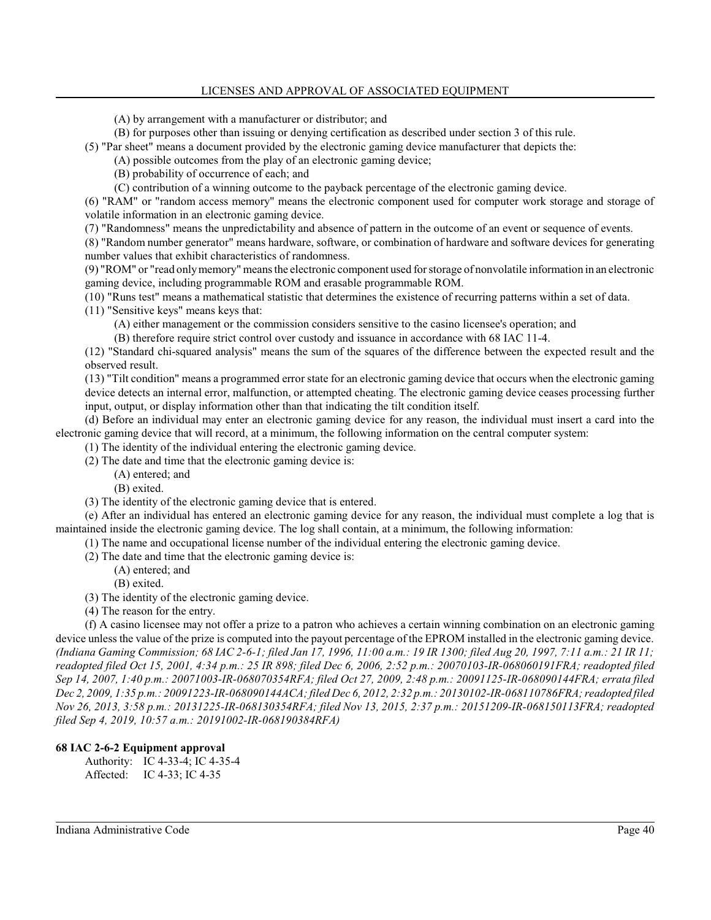### LICENSES AND APPROVAL OF ASSOCIATED EQUIPMENT

(A) by arrangement with a manufacturer or distributor; and

(B) for purposes other than issuing or denying certification as described under section 3 of this rule.

(5) "Par sheet" means a document provided by the electronic gaming device manufacturer that depicts the:

(A) possible outcomes from the play of an electronic gaming device;

(B) probability of occurrence of each; and

(C) contribution of a winning outcome to the payback percentage of the electronic gaming device.

(6) "RAM" or "random access memory" means the electronic component used for computer work storage and storage of volatile information in an electronic gaming device.

(7) "Randomness" means the unpredictability and absence of pattern in the outcome of an event or sequence of events.

(8) "Random number generator" means hardware, software, or combination of hardware and software devices for generating number values that exhibit characteristics of randomness.

(9) "ROM" or "read onlymemory" means the electronic component used for storage of nonvolatile information in an electronic gaming device, including programmable ROM and erasable programmable ROM.

(10) "Runs test" means a mathematical statistic that determines the existence of recurring patterns within a set of data.

(11) "Sensitive keys" means keys that:

(A) either management or the commission considers sensitive to the casino licensee's operation; and

(B) therefore require strict control over custody and issuance in accordance with 68 IAC 11-4.

(12) "Standard chi-squared analysis" means the sum of the squares of the difference between the expected result and the observed result.

(13) "Tilt condition" means a programmed error state for an electronic gaming device that occurs when the electronic gaming device detects an internal error, malfunction, or attempted cheating. The electronic gaming device ceases processing further input, output, or display information other than that indicating the tilt condition itself.

(d) Before an individual may enter an electronic gaming device for any reason, the individual must insert a card into the electronic gaming device that will record, at a minimum, the following information on the central computer system:

(1) The identity of the individual entering the electronic gaming device.

(2) The date and time that the electronic gaming device is:

(A) entered; and

(B) exited.

(3) The identity of the electronic gaming device that is entered.

(e) After an individual has entered an electronic gaming device for any reason, the individual must complete a log that is maintained inside the electronic gaming device. The log shall contain, at a minimum, the following information:

(1) The name and occupational license number of the individual entering the electronic gaming device.

(2) The date and time that the electronic gaming device is:

(A) entered; and

(B) exited.

- (3) The identity of the electronic gaming device.
- (4) The reason for the entry.

(f) A casino licensee may not offer a prize to a patron who achieves a certain winning combination on an electronic gaming device unless the value of the prize is computed into the payout percentage of the EPROM installed in the electronic gaming device. *(Indiana Gaming Commission; 68 IAC 2-6-1; filed Jan 17, 1996, 11:00 a.m.: 19 IR 1300; filed Aug 20, 1997, 7:11 a.m.: 21 IR 11; readopted filed Oct 15, 2001, 4:34 p.m.: 25 IR 898; filed Dec 6, 2006, 2:52 p.m.: 20070103-IR-068060191FRA; readopted filed Sep 14, 2007, 1:40 p.m.: 20071003-IR-068070354RFA; filed Oct 27, 2009, 2:48 p.m.: 20091125-IR-068090144FRA; errata filed Dec 2, 2009, 1:35 p.m.: 20091223-IR-068090144ACA; filed Dec 6, 2012, 2:32 p.m.: 20130102-IR-068110786FRA; readopted filed Nov 26, 2013, 3:58 p.m.: 20131225-IR-068130354RFA; filed Nov 13, 2015, 2:37 p.m.: 20151209-IR-068150113FRA; readopted filed Sep 4, 2019, 10:57 a.m.: 20191002-IR-068190384RFA)*

## **68 IAC 2-6-2 Equipment approval**

Authority: IC 4-33-4; IC 4-35-4 Affected: IC 4-33; IC 4-35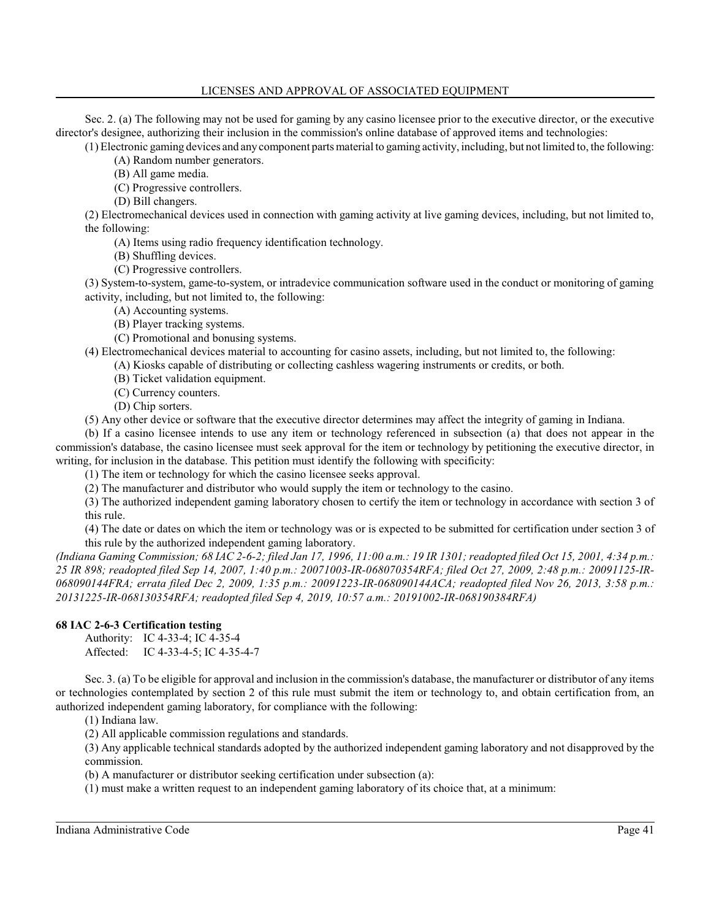### LICENSES AND APPROVAL OF ASSOCIATED EQUIPMENT

Sec. 2. (a) The following may not be used for gaming by any casino licensee prior to the executive director, or the executive director's designee, authorizing their inclusion in the commission's online database of approved items and technologies:

(1) Electronic gaming devices and any component parts material to gaming activity, including, but not limited to, the following: (A) Random number generators.

(B) All game media.

(C) Progressive controllers.

(D) Bill changers.

(2) Electromechanical devices used in connection with gaming activity at live gaming devices, including, but not limited to, the following:

(A) Items using radio frequency identification technology.

- (B) Shuffling devices.
- (C) Progressive controllers.

(3) System-to-system, game-to-system, or intradevice communication software used in the conduct or monitoring of gaming activity, including, but not limited to, the following:

(A) Accounting systems.

(B) Player tracking systems.

(C) Promotional and bonusing systems.

(4) Electromechanical devices material to accounting for casino assets, including, but not limited to, the following:

(A) Kiosks capable of distributing or collecting cashless wagering instruments or credits, or both.

(B) Ticket validation equipment.

(C) Currency counters.

(D) Chip sorters.

(5) Any other device or software that the executive director determines may affect the integrity of gaming in Indiana.

(b) If a casino licensee intends to use any item or technology referenced in subsection (a) that does not appear in the commission's database, the casino licensee must seek approval for the item or technology by petitioning the executive director, in writing, for inclusion in the database. This petition must identify the following with specificity:

(1) The item or technology for which the casino licensee seeks approval.

(2) The manufacturer and distributor who would supply the item or technology to the casino.

(3) The authorized independent gaming laboratory chosen to certify the item or technology in accordance with section 3 of this rule.

(4) The date or dates on which the item or technology was or is expected to be submitted for certification under section 3 of this rule by the authorized independent gaming laboratory.

*(Indiana Gaming Commission; 68 IAC 2-6-2; filed Jan 17, 1996, 11:00 a.m.: 19 IR 1301; readopted filed Oct 15, 2001, 4:34 p.m.: 25 IR 898; readopted filed Sep 14, 2007, 1:40 p.m.: 20071003-IR-068070354RFA; filed Oct 27, 2009, 2:48 p.m.: 20091125-IR-068090144FRA; errata filed Dec 2, 2009, 1:35 p.m.: 20091223-IR-068090144ACA; readopted filed Nov 26, 2013, 3:58 p.m.: 20131225-IR-068130354RFA; readopted filed Sep 4, 2019, 10:57 a.m.: 20191002-IR-068190384RFA)*

## **68 IAC 2-6-3 Certification testing**

Authority: IC 4-33-4; IC 4-35-4 Affected: IC 4-33-4-5; IC 4-35-4-7

Sec. 3. (a) To be eligible for approval and inclusion in the commission's database, the manufacturer or distributor of any items or technologies contemplated by section 2 of this rule must submit the item or technology to, and obtain certification from, an authorized independent gaming laboratory, for compliance with the following:

(1) Indiana law.

(2) All applicable commission regulations and standards.

(3) Any applicable technical standards adopted by the authorized independent gaming laboratory and not disapproved by the commission.

(b) A manufacturer or distributor seeking certification under subsection (a):

(1) must make a written request to an independent gaming laboratory of its choice that, at a minimum: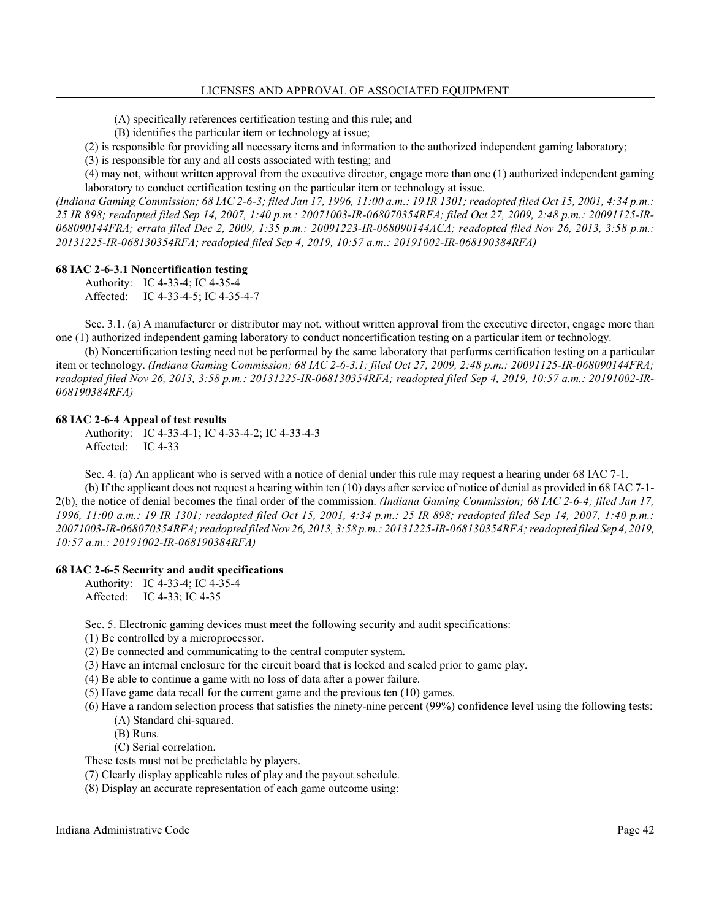(A) specifically references certification testing and this rule; and

(B) identifies the particular item or technology at issue;

(2) is responsible for providing all necessary items and information to the authorized independent gaming laboratory;

(3) is responsible for any and all costs associated with testing; and

(4) may not, without written approval from the executive director, engage more than one (1) authorized independent gaming laboratory to conduct certification testing on the particular item or technology at issue.

*(Indiana Gaming Commission; 68 IAC 2-6-3; filed Jan 17, 1996, 11:00 a.m.: 19 IR 1301; readopted filed Oct 15, 2001, 4:34 p.m.: 25 IR 898; readopted filed Sep 14, 2007, 1:40 p.m.: 20071003-IR-068070354RFA; filed Oct 27, 2009, 2:48 p.m.: 20091125-IR-068090144FRA; errata filed Dec 2, 2009, 1:35 p.m.: 20091223-IR-068090144ACA; readopted filed Nov 26, 2013, 3:58 p.m.: 20131225-IR-068130354RFA; readopted filed Sep 4, 2019, 10:57 a.m.: 20191002-IR-068190384RFA)*

#### **68 IAC 2-6-3.1 Noncertification testing**

Authority: IC 4-33-4; IC 4-35-4 Affected: IC 4-33-4-5; IC 4-35-4-7

Sec. 3.1. (a) A manufacturer or distributor may not, without written approval from the executive director, engage more than one (1) authorized independent gaming laboratory to conduct noncertification testing on a particular item or technology.

(b) Noncertification testing need not be performed by the same laboratory that performs certification testing on a particular item or technology. *(Indiana Gaming Commission; 68 IAC 2-6-3.1; filed Oct 27, 2009, 2:48 p.m.: 20091125-IR-068090144FRA; readopted filed Nov 26, 2013, 3:58 p.m.: 20131225-IR-068130354RFA; readopted filed Sep 4, 2019, 10:57 a.m.: 20191002-IR-068190384RFA)*

#### **68 IAC 2-6-4 Appeal of test results**

Authority: IC 4-33-4-1; IC 4-33-4-2; IC 4-33-4-3 Affected: IC 4-33

Sec. 4. (a) An applicant who is served with a notice of denial under this rule may request a hearing under 68 IAC 7-1. (b) If the applicant does not request a hearing within ten (10) days after service of notice of denial as provided in 68 IAC 7-1- 2(b), the notice of denial becomes the final order of the commission. *(Indiana Gaming Commission; 68 IAC 2-6-4; filed Jan 17, 1996, 11:00 a.m.: 19 IR 1301; readopted filed Oct 15, 2001, 4:34 p.m.: 25 IR 898; readopted filed Sep 14, 2007, 1:40 p.m.: 20071003-IR-068070354RFA; readopted filedNov 26, 2013, 3:58 p.m.: 20131225-IR-068130354RFA; readopted filed Sep 4, 2019, 10:57 a.m.: 20191002-IR-068190384RFA)*

#### **68 IAC 2-6-5 Security and audit specifications**

Authority: IC 4-33-4; IC 4-35-4 Affected: IC 4-33; IC 4-35

Sec. 5. Electronic gaming devices must meet the following security and audit specifications:

- (1) Be controlled by a microprocessor.
- (2) Be connected and communicating to the central computer system.
- (3) Have an internal enclosure for the circuit board that is locked and sealed prior to game play.
- (4) Be able to continue a game with no loss of data after a power failure.
- (5) Have game data recall for the current game and the previous ten (10) games.
- (6) Have a random selection process that satisfies the ninety-nine percent (99%) confidence level using the following tests: (A) Standard chi-squared.
	- (B) Runs.

(C) Serial correlation.

These tests must not be predictable by players.

(7) Clearly display applicable rules of play and the payout schedule.

(8) Display an accurate representation of each game outcome using: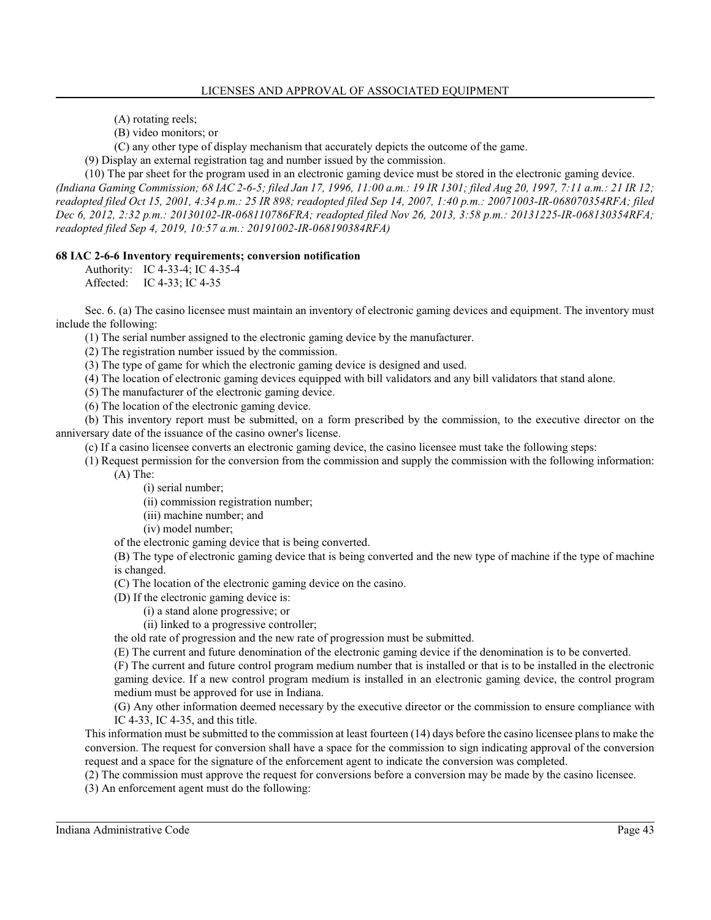(A) rotating reels;

(B) video monitors; or

(C) any other type of display mechanism that accurately depicts the outcome of the game.

(9) Display an external registration tag and number issued by the commission.

(10) The par sheet for the program used in an electronic gaming device must be stored in the electronic gaming device. *(Indiana Gaming Commission; 68 IAC 2-6-5; filed Jan 17, 1996, 11:00 a.m.: 19 IR 1301; filed Aug 20, 1997, 7:11 a.m.: 21 IR 12; readopted filed Oct 15, 2001, 4:34 p.m.: 25 IR 898; readopted filed Sep 14, 2007, 1:40 p.m.: 20071003-IR-068070354RFA; filed Dec 6, 2012, 2:32 p.m.: 20130102-IR-068110786FRA; readopted filed Nov 26, 2013, 3:58 p.m.: 20131225-IR-068130354RFA; readopted filed Sep 4, 2019, 10:57 a.m.: 20191002-IR-068190384RFA)*

## **68 IAC 2-6-6 Inventory requirements; conversion notification**

Authority: IC 4-33-4; IC 4-35-4 Affected: IC 4-33; IC 4-35

Sec. 6. (a) The casino licensee must maintain an inventory of electronic gaming devices and equipment. The inventory must include the following:

(1) The serial number assigned to the electronic gaming device by the manufacturer.

(2) The registration number issued by the commission.

(3) The type of game for which the electronic gaming device is designed and used.

(4) The location of electronic gaming devices equipped with bill validators and any bill validators that stand alone.

(5) The manufacturer of the electronic gaming device.

(6) The location of the electronic gaming device.

(b) This inventory report must be submitted, on a form prescribed by the commission, to the executive director on the anniversary date of the issuance of the casino owner's license.

(c) If a casino licensee converts an electronic gaming device, the casino licensee must take the following steps:

(1) Request permission for the conversion from the commission and supply the commission with the following information:

(A) The:

(i) serial number;

(ii) commission registration number;

(iii) machine number; and

(iv) model number;

of the electronic gaming device that is being converted.

(B) The type of electronic gaming device that is being converted and the new type of machine if the type of machine is changed.

(C) The location of the electronic gaming device on the casino.

(D) If the electronic gaming device is:

(i) a stand alone progressive; or

(ii) linked to a progressive controller;

the old rate of progression and the new rate of progression must be submitted.

(E) The current and future denomination of the electronic gaming device if the denomination is to be converted.

(F) The current and future control program medium number that is installed or that is to be installed in the electronic gaming device. If a new control program medium is installed in an electronic gaming device, the control program medium must be approved for use in Indiana.

(G) Any other information deemed necessary by the executive director or the commission to ensure compliance with IC 4-33, IC 4-35, and this title.

This information must be submitted to the commission at least fourteen (14) days before the casino licensee plans to make the conversion. The request for conversion shall have a space for the commission to sign indicating approval of the conversion request and a space for the signature of the enforcement agent to indicate the conversion was completed.

(2) The commission must approve the request for conversions before a conversion may be made by the casino licensee.

(3) An enforcement agent must do the following: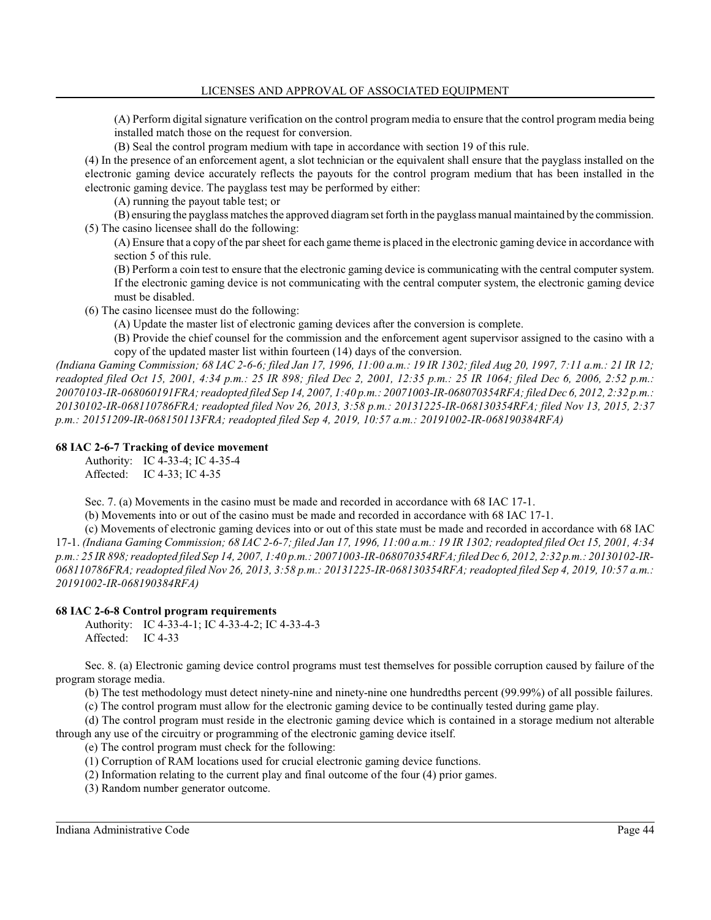(A) Perform digital signature verification on the control program media to ensure that the control program media being installed match those on the request for conversion.

(B) Seal the control program medium with tape in accordance with section 19 of this rule.

(4) In the presence of an enforcement agent, a slot technician or the equivalent shall ensure that the payglass installed on the electronic gaming device accurately reflects the payouts for the control program medium that has been installed in the electronic gaming device. The payglass test may be performed by either:

(A) running the payout table test; or

(B) ensuring the payglass matches the approved diagram set forth in the payglass manual maintained by the commission. (5) The casino licensee shall do the following:

(A) Ensure that a copy of the par sheet for each game theme is placed in the electronic gaming device in accordance with section 5 of this rule.

(B) Perform a coin test to ensure that the electronic gaming device is communicating with the central computer system. If the electronic gaming device is not communicating with the central computer system, the electronic gaming device must be disabled.

(6) The casino licensee must do the following:

(A) Update the master list of electronic gaming devices after the conversion is complete.

(B) Provide the chief counsel for the commission and the enforcement agent supervisor assigned to the casino with a copy of the updated master list within fourteen (14) days of the conversion.

*(Indiana Gaming Commission; 68 IAC 2-6-6; filed Jan 17, 1996, 11:00 a.m.: 19 IR 1302; filed Aug 20, 1997, 7:11 a.m.: 21 IR 12; readopted filed Oct 15, 2001, 4:34 p.m.: 25 IR 898; filed Dec 2, 2001, 12:35 p.m.: 25 IR 1064; filed Dec 6, 2006, 2:52 p.m.: 20070103-IR-068060191FRA; readopted filed Sep 14, 2007, 1:40 p.m.: 20071003-IR-068070354RFA; filed Dec 6, 2012, 2:32 p.m.: 20130102-IR-068110786FRA; readopted filed Nov 26, 2013, 3:58 p.m.: 20131225-IR-068130354RFA; filed Nov 13, 2015, 2:37 p.m.: 20151209-IR-068150113FRA; readopted filed Sep 4, 2019, 10:57 a.m.: 20191002-IR-068190384RFA)*

## **68 IAC 2-6-7 Tracking of device movement**

Authority: IC 4-33-4; IC 4-35-4 Affected: IC 4-33; IC 4-35

Sec. 7. (a) Movements in the casino must be made and recorded in accordance with 68 IAC 17-1.

(b) Movements into or out of the casino must be made and recorded in accordance with 68 IAC 17-1.

(c) Movements of electronic gaming devices into or out of this state must be made and recorded in accordance with 68 IAC 17-1. *(Indiana Gaming Commission; 68 IAC 2-6-7; filed Jan 17, 1996, 11:00 a.m.: 19 IR 1302; readopted filed Oct 15, 2001, 4:34 p.m.: 25 IR 898; readopted filed Sep 14, 2007, 1:40 p.m.: 20071003-IR-068070354RFA; filed Dec 6, 2012, 2:32 p.m.: 20130102-IR-068110786FRA; readopted filed Nov 26, 2013, 3:58 p.m.: 20131225-IR-068130354RFA; readopted filed Sep 4, 2019, 10:57 a.m.: 20191002-IR-068190384RFA)*

## **68 IAC 2-6-8 Control program requirements**

Authority: IC 4-33-4-1; IC 4-33-4-2; IC 4-33-4-3 Affected: IC 4-33

Sec. 8. (a) Electronic gaming device control programs must test themselves for possible corruption caused by failure of the program storage media.

(b) The test methodology must detect ninety-nine and ninety-nine one hundredths percent (99.99%) of all possible failures.

(c) The control program must allow for the electronic gaming device to be continually tested during game play.

(d) The control program must reside in the electronic gaming device which is contained in a storage medium not alterable through any use of the circuitry or programming of the electronic gaming device itself.

(e) The control program must check for the following:

(1) Corruption of RAM locations used for crucial electronic gaming device functions.

(2) Information relating to the current play and final outcome of the four (4) prior games.

(3) Random number generator outcome.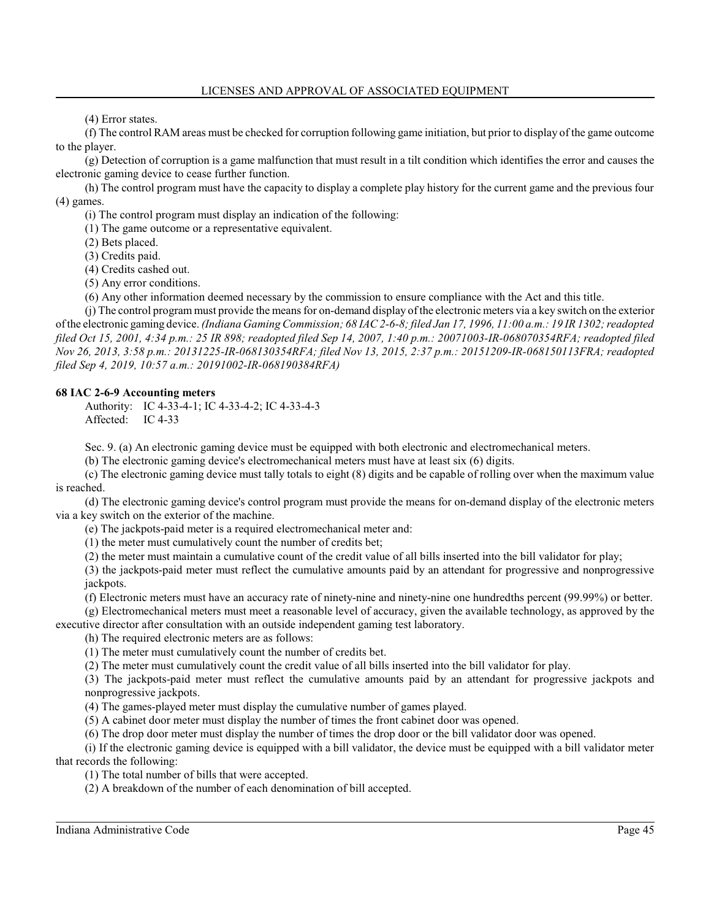(4) Error states.

(f) The control RAM areas must be checked for corruption following game initiation, but prior to display of the game outcome to the player.

(g) Detection of corruption is a game malfunction that must result in a tilt condition which identifies the error and causes the electronic gaming device to cease further function.

(h) The control program must have the capacity to display a complete play history for the current game and the previous four (4) games.

(i) The control program must display an indication of the following:

(1) The game outcome or a representative equivalent.

(2) Bets placed.

(3) Credits paid.

(4) Credits cashed out.

(5) Any error conditions.

(6) Any other information deemed necessary by the commission to ensure compliance with the Act and this title.

(j) The control program must provide the means for on-demand display ofthe electronic meters via a key switch on the exterior ofthe electronic gaming device. *(Indiana GamingCommission; 68 IAC 2-6-8; filed Jan 17, 1996, 11:00 a.m.: 19 IR 1302; readopted filed Oct 15, 2001, 4:34 p.m.: 25 IR 898; readopted filed Sep 14, 2007, 1:40 p.m.: 20071003-IR-068070354RFA; readopted filed Nov 26, 2013, 3:58 p.m.: 20131225-IR-068130354RFA; filed Nov 13, 2015, 2:37 p.m.: 20151209-IR-068150113FRA; readopted filed Sep 4, 2019, 10:57 a.m.: 20191002-IR-068190384RFA)*

## **68 IAC 2-6-9 Accounting meters**

Authority: IC 4-33-4-1; IC 4-33-4-2; IC 4-33-4-3 Affected: IC 4-33

Sec. 9. (a) An electronic gaming device must be equipped with both electronic and electromechanical meters.

(b) The electronic gaming device's electromechanical meters must have at least six (6) digits.

(c) The electronic gaming device must tally totals to eight (8) digits and be capable of rolling over when the maximum value is reached.

(d) The electronic gaming device's control program must provide the means for on-demand display of the electronic meters via a key switch on the exterior of the machine.

(e) The jackpots-paid meter is a required electromechanical meter and:

(1) the meter must cumulatively count the number of credits bet;

(2) the meter must maintain a cumulative count of the credit value of all bills inserted into the bill validator for play;

(3) the jackpots-paid meter must reflect the cumulative amounts paid by an attendant for progressive and nonprogressive jackpots.

(f) Electronic meters must have an accuracy rate of ninety-nine and ninety-nine one hundredths percent (99.99%) or better.

(g) Electromechanical meters must meet a reasonable level of accuracy, given the available technology, as approved by the executive director after consultation with an outside independent gaming test laboratory.

(h) The required electronic meters are as follows:

(1) The meter must cumulatively count the number of credits bet.

(2) The meter must cumulatively count the credit value of all bills inserted into the bill validator for play.

(3) The jackpots-paid meter must reflect the cumulative amounts paid by an attendant for progressive jackpots and nonprogressive jackpots.

(4) The games-played meter must display the cumulative number of games played.

(5) A cabinet door meter must display the number of times the front cabinet door was opened.

(6) The drop door meter must display the number of times the drop door or the bill validator door was opened.

(i) If the electronic gaming device is equipped with a bill validator, the device must be equipped with a bill validator meter that records the following:

(1) The total number of bills that were accepted.

(2) A breakdown of the number of each denomination of bill accepted.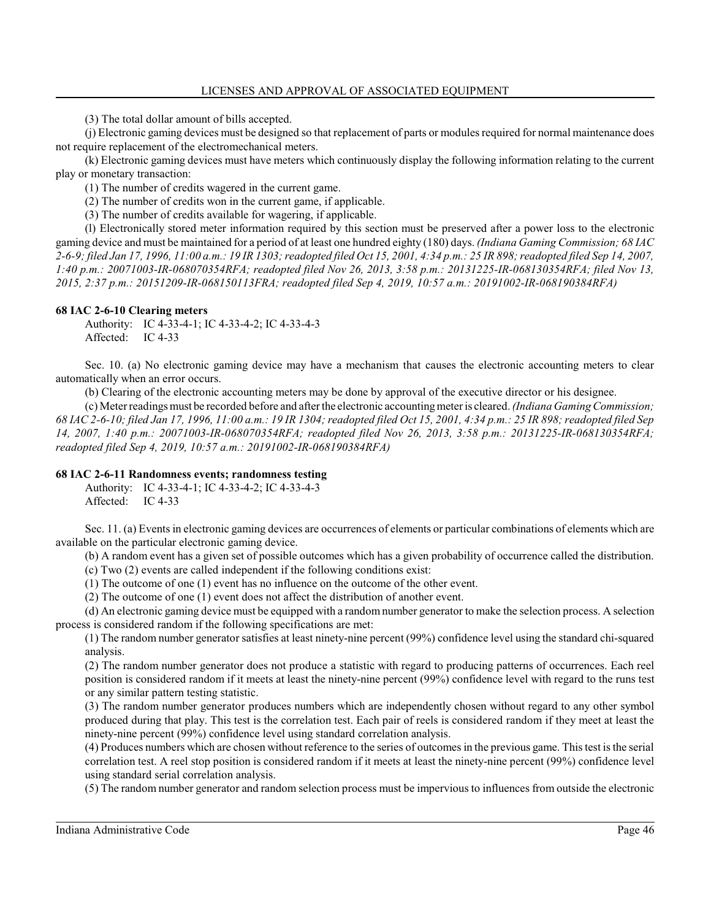(3) The total dollar amount of bills accepted.

(j) Electronic gaming devices must be designed so that replacement of parts or modules required for normal maintenance does not require replacement of the electromechanical meters.

(k) Electronic gaming devices must have meters which continuously display the following information relating to the current play or monetary transaction:

(1) The number of credits wagered in the current game.

(2) The number of credits won in the current game, if applicable.

(3) The number of credits available for wagering, if applicable.

(l) Electronically stored meter information required by this section must be preserved after a power loss to the electronic gaming device and must be maintained for a period of at least one hundred eighty (180) days. *(Indiana Gaming Commission; 68 IAC 2-6-9; filed Jan 17, 1996, 11:00 a.m.: 19 IR 1303; readopted filed Oct 15, 2001, 4:34 p.m.: 25 IR 898; readopted filed Sep 14, 2007, 1:40 p.m.: 20071003-IR-068070354RFA; readopted filed Nov 26, 2013, 3:58 p.m.: 20131225-IR-068130354RFA; filed Nov 13, 2015, 2:37 p.m.: 20151209-IR-068150113FRA; readopted filed Sep 4, 2019, 10:57 a.m.: 20191002-IR-068190384RFA)*

#### **68 IAC 2-6-10 Clearing meters**

Authority: IC 4-33-4-1; IC 4-33-4-2; IC 4-33-4-3 Affected: IC 4-33

Sec. 10. (a) No electronic gaming device may have a mechanism that causes the electronic accounting meters to clear automatically when an error occurs.

(b) Clearing of the electronic accounting meters may be done by approval of the executive director or his designee.

(c) Meter readings must be recorded before and after the electronic accountingmeter is cleared. *(Indiana GamingCommission; 68 IAC 2-6-10; filed Jan 17, 1996, 11:00 a.m.: 19 IR 1304; readopted filed Oct 15, 2001, 4:34 p.m.: 25 IR 898; readopted filed Sep 14, 2007, 1:40 p.m.: 20071003-IR-068070354RFA; readopted filed Nov 26, 2013, 3:58 p.m.: 20131225-IR-068130354RFA; readopted filed Sep 4, 2019, 10:57 a.m.: 20191002-IR-068190384RFA)*

#### **68 IAC 2-6-11 Randomness events; randomness testing**

Authority: IC 4-33-4-1; IC 4-33-4-2; IC 4-33-4-3 Affected: IC 4-33

Sec. 11. (a) Events in electronic gaming devices are occurrences of elements or particular combinations of elements which are available on the particular electronic gaming device.

(b) A random event has a given set of possible outcomes which has a given probability of occurrence called the distribution.

(c) Two (2) events are called independent if the following conditions exist:

(1) The outcome of one (1) event has no influence on the outcome of the other event.

(2) The outcome of one (1) event does not affect the distribution of another event.

(d) An electronic gaming device must be equipped with a random number generator to make the selection process. A selection process is considered random if the following specifications are met:

(1) The random number generator satisfies at least ninety-nine percent (99%) confidence level using the standard chi-squared analysis.

(2) The random number generator does not produce a statistic with regard to producing patterns of occurrences. Each reel position is considered random if it meets at least the ninety-nine percent (99%) confidence level with regard to the runs test or any similar pattern testing statistic.

(3) The random number generator produces numbers which are independently chosen without regard to any other symbol produced during that play. This test is the correlation test. Each pair of reels is considered random if they meet at least the ninety-nine percent (99%) confidence level using standard correlation analysis.

(4) Produces numbers which are chosen without reference to the series of outcomes in the previous game. This test is the serial correlation test. A reel stop position is considered random if it meets at least the ninety-nine percent (99%) confidence level using standard serial correlation analysis.

(5) The random number generator and random selection process must be impervious to influences from outside the electronic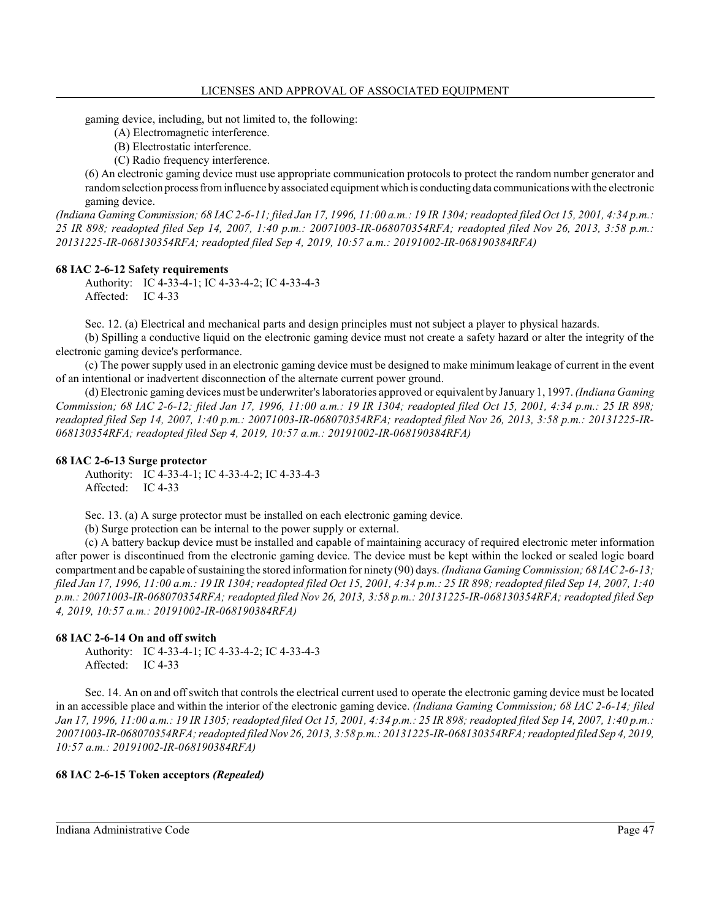gaming device, including, but not limited to, the following:

- (A) Electromagnetic interference.
- (B) Electrostatic interference.
- (C) Radio frequency interference.

(6) An electronic gaming device must use appropriate communication protocols to protect the random number generator and randomselection processfrominfluence by associated equipment which is conducting data communications with the electronic gaming device.

*(Indiana Gaming Commission; 68 IAC 2-6-11; filed Jan 17, 1996, 11:00 a.m.: 19 IR 1304; readopted filed Oct 15, 2001, 4:34 p.m.: 25 IR 898; readopted filed Sep 14, 2007, 1:40 p.m.: 20071003-IR-068070354RFA; readopted filed Nov 26, 2013, 3:58 p.m.: 20131225-IR-068130354RFA; readopted filed Sep 4, 2019, 10:57 a.m.: 20191002-IR-068190384RFA)*

#### **68 IAC 2-6-12 Safety requirements**

Authority: IC 4-33-4-1; IC 4-33-4-2; IC 4-33-4-3 Affected: IC 4-33

Sec. 12. (a) Electrical and mechanical parts and design principles must not subject a player to physical hazards.

(b) Spilling a conductive liquid on the electronic gaming device must not create a safety hazard or alter the integrity of the electronic gaming device's performance.

(c) The power supply used in an electronic gaming device must be designed to make minimum leakage of current in the event of an intentional or inadvertent disconnection of the alternate current power ground.

(d) Electronic gaming devices must be underwriter's laboratories approved or equivalent by January 1, 1997. *(Indiana Gaming Commission; 68 IAC 2-6-12; filed Jan 17, 1996, 11:00 a.m.: 19 IR 1304; readopted filed Oct 15, 2001, 4:34 p.m.: 25 IR 898; readopted filed Sep 14, 2007, 1:40 p.m.: 20071003-IR-068070354RFA; readopted filed Nov 26, 2013, 3:58 p.m.: 20131225-IR-068130354RFA; readopted filed Sep 4, 2019, 10:57 a.m.: 20191002-IR-068190384RFA)*

#### **68 IAC 2-6-13 Surge protector**

Authority: IC 4-33-4-1; IC 4-33-4-2; IC 4-33-4-3 Affected: IC 4-33

Sec. 13. (a) A surge protector must be installed on each electronic gaming device.

(b) Surge protection can be internal to the power supply or external.

(c) A battery backup device must be installed and capable of maintaining accuracy of required electronic meter information after power is discontinued from the electronic gaming device. The device must be kept within the locked or sealed logic board compartment and be capable ofsustaining the stored information for ninety (90) days. *(Indiana GamingCommission; 68 IAC 2-6-13; filed Jan 17, 1996, 11:00 a.m.: 19 IR 1304; readopted filed Oct 15, 2001, 4:34 p.m.: 25 IR 898; readopted filed Sep 14, 2007, 1:40 p.m.: 20071003-IR-068070354RFA; readopted filed Nov 26, 2013, 3:58 p.m.: 20131225-IR-068130354RFA; readopted filed Sep 4, 2019, 10:57 a.m.: 20191002-IR-068190384RFA)*

#### **68 IAC 2-6-14 On and off switch**

Authority: IC 4-33-4-1; IC 4-33-4-2; IC 4-33-4-3 Affected: IC 4-33

Sec. 14. An on and off switch that controls the electrical current used to operate the electronic gaming device must be located in an accessible place and within the interior of the electronic gaming device. *(Indiana Gaming Commission; 68 IAC 2-6-14; filed Jan 17, 1996, 11:00 a.m.: 19 IR 1305; readopted filed Oct 15, 2001, 4:34 p.m.: 25 IR 898; readopted filed Sep 14, 2007, 1:40 p.m.: 20071003-IR-068070354RFA; readopted filedNov 26, 2013, 3:58 p.m.: 20131225-IR-068130354RFA; readopted filed Sep 4, 2019, 10:57 a.m.: 20191002-IR-068190384RFA)*

#### **68 IAC 2-6-15 Token acceptors** *(Repealed)*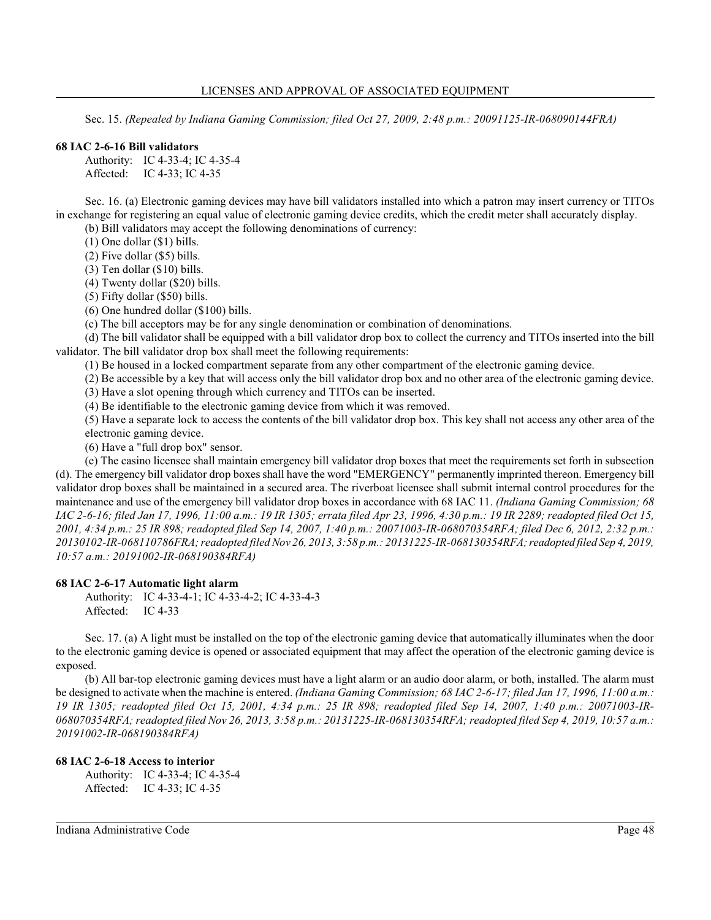Sec. 15. *(Repealed by Indiana Gaming Commission; filed Oct 27, 2009, 2:48 p.m.: 20091125-IR-068090144FRA)*

#### **68 IAC 2-6-16 Bill validators**

Authority: IC 4-33-4; IC 4-35-4 Affected: IC 4-33; IC 4-35

Sec. 16. (a) Electronic gaming devices may have bill validators installed into which a patron may insert currency or TITOs in exchange for registering an equal value of electronic gaming device credits, which the credit meter shall accurately display.

(b) Bill validators may accept the following denominations of currency:

(1) One dollar (\$1) bills.

(2) Five dollar (\$5) bills.

(3) Ten dollar (\$10) bills.

(4) Twenty dollar (\$20) bills.

(5) Fifty dollar (\$50) bills.

(6) One hundred dollar (\$100) bills.

(c) The bill acceptors may be for any single denomination or combination of denominations.

(d) The bill validator shall be equipped with a bill validator drop box to collect the currency and TITOs inserted into the bill validator. The bill validator drop box shall meet the following requirements:

(1) Be housed in a locked compartment separate from any other compartment of the electronic gaming device.

(2) Be accessible by a key that will access only the bill validator drop box and no other area of the electronic gaming device.

(3) Have a slot opening through which currency and TITOs can be inserted.

(4) Be identifiable to the electronic gaming device from which it was removed.

(5) Have a separate lock to access the contents of the bill validator drop box. This key shall not access any other area of the electronic gaming device.

(6) Have a "full drop box" sensor.

(e) The casino licensee shall maintain emergency bill validator drop boxes that meet the requirements set forth in subsection (d). The emergency bill validator drop boxes shall have the word "EMERGENCY" permanently imprinted thereon. Emergency bill validator drop boxes shall be maintained in a secured area. The riverboat licensee shall submit internal control procedures for the maintenance and use of the emergency bill validator drop boxes in accordance with 68 IAC 11. *(Indiana Gaming Commission; 68 IAC 2-6-16; filed Jan 17, 1996, 11:00 a.m.: 19 IR 1305; errata filed Apr 23, 1996, 4:30 p.m.: 19 IR 2289; readopted filed Oct 15, 2001, 4:34 p.m.: 25 IR 898; readopted filed Sep 14, 2007, 1:40 p.m.: 20071003-IR-068070354RFA; filed Dec 6, 2012, 2:32 p.m.: 20130102-IR-068110786FRA; readopted filedNov 26, 2013, 3:58 p.m.: 20131225-IR-068130354RFA;readopted filed Sep 4, 2019, 10:57 a.m.: 20191002-IR-068190384RFA)*

#### **68 IAC 2-6-17 Automatic light alarm**

Authority: IC 4-33-4-1; IC 4-33-4-2; IC 4-33-4-3 Affected: IC 4-33

Sec. 17. (a) A light must be installed on the top of the electronic gaming device that automatically illuminates when the door to the electronic gaming device is opened or associated equipment that may affect the operation of the electronic gaming device is exposed.

(b) All bar-top electronic gaming devices must have a light alarm or an audio door alarm, or both, installed. The alarm must be designed to activate when the machine is entered. *(Indiana Gaming Commission; 68 IAC 2-6-17; filed Jan 17, 1996, 11:00 a.m.: 19 IR 1305; readopted filed Oct 15, 2001, 4:34 p.m.: 25 IR 898; readopted filed Sep 14, 2007, 1:40 p.m.: 20071003-IR-068070354RFA; readopted filed Nov 26, 2013, 3:58 p.m.: 20131225-IR-068130354RFA; readopted filed Sep 4, 2019, 10:57 a.m.: 20191002-IR-068190384RFA)*

### **68 IAC 2-6-18 Access to interior**

Authority: IC 4-33-4; IC 4-35-4 Affected: IC 4-33; IC 4-35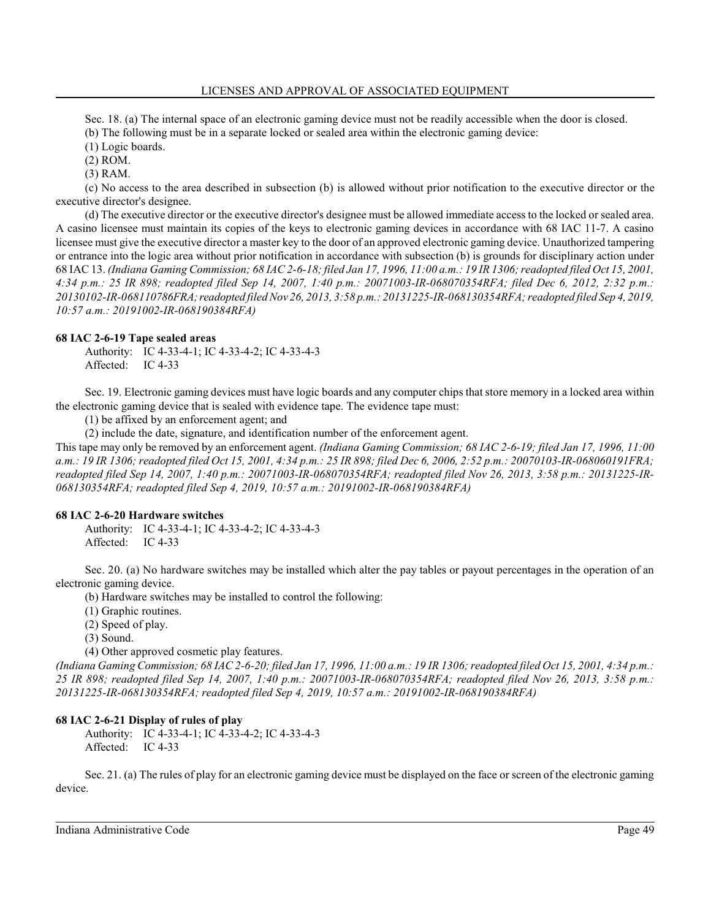Sec. 18. (a) The internal space of an electronic gaming device must not be readily accessible when the door is closed.

(b) The following must be in a separate locked or sealed area within the electronic gaming device:

(1) Logic boards.

(2) ROM.

(3) RAM.

(c) No access to the area described in subsection (b) is allowed without prior notification to the executive director or the executive director's designee.

(d) The executive director or the executive director's designee must be allowed immediate access to the locked or sealed area. A casino licensee must maintain its copies of the keys to electronic gaming devices in accordance with 68 IAC 11-7. A casino licensee must give the executive director a master key to the door of an approved electronic gaming device. Unauthorized tampering or entrance into the logic area without prior notification in accordance with subsection (b) is grounds for disciplinary action under 68 IAC 13. *(Indiana Gaming Commission; 68 IAC 2-6-18; filed Jan 17, 1996, 11:00 a.m.: 19 IR 1306; readopted filed Oct 15, 2001, 4:34 p.m.: 25 IR 898; readopted filed Sep 14, 2007, 1:40 p.m.: 20071003-IR-068070354RFA; filed Dec 6, 2012, 2:32 p.m.: 20130102-IR-068110786FRA;readopted filedNov 26, 2013, 3:58 p.m.: 20131225-IR-068130354RFA; readopted filed Sep 4, 2019, 10:57 a.m.: 20191002-IR-068190384RFA)*

# **68 IAC 2-6-19 Tape sealed areas**

Authority: IC 4-33-4-1; IC 4-33-4-2; IC 4-33-4-3 Affected: IC 4-33

Sec. 19. Electronic gaming devices must have logic boards and any computer chips that store memory in a locked area within the electronic gaming device that is sealed with evidence tape. The evidence tape must:

(1) be affixed by an enforcement agent; and

(2) include the date, signature, and identification number of the enforcement agent.

This tape may only be removed by an enforcement agent. *(Indiana Gaming Commission; 68 IAC 2-6-19; filed Jan 17, 1996, 11:00 a.m.: 19 IR 1306; readopted filed Oct 15, 2001, 4:34 p.m.: 25 IR 898; filed Dec 6, 2006, 2:52 p.m.: 20070103-IR-068060191FRA; readopted filed Sep 14, 2007, 1:40 p.m.: 20071003-IR-068070354RFA; readopted filed Nov 26, 2013, 3:58 p.m.: 20131225-IR-068130354RFA; readopted filed Sep 4, 2019, 10:57 a.m.: 20191002-IR-068190384RFA)*

# **68 IAC 2-6-20 Hardware switches**

Authority: IC 4-33-4-1; IC 4-33-4-2; IC 4-33-4-3 Affected: IC 4-33

Sec. 20. (a) No hardware switches may be installed which alter the pay tables or payout percentages in the operation of an electronic gaming device.

(b) Hardware switches may be installed to control the following:

(1) Graphic routines.

(2) Speed of play.

(3) Sound.

(4) Other approved cosmetic play features.

*(Indiana Gaming Commission; 68 IAC 2-6-20; filed Jan 17, 1996, 11:00 a.m.: 19 IR 1306; readopted filed Oct 15, 2001, 4:34 p.m.: 25 IR 898; readopted filed Sep 14, 2007, 1:40 p.m.: 20071003-IR-068070354RFA; readopted filed Nov 26, 2013, 3:58 p.m.: 20131225-IR-068130354RFA; readopted filed Sep 4, 2019, 10:57 a.m.: 20191002-IR-068190384RFA)*

# **68 IAC 2-6-21 Display of rules of play**

Authority: IC 4-33-4-1; IC 4-33-4-2; IC 4-33-4-3 Affected: IC 4-33

Sec. 21. (a) The rules of play for an electronic gaming device must be displayed on the face or screen of the electronic gaming device.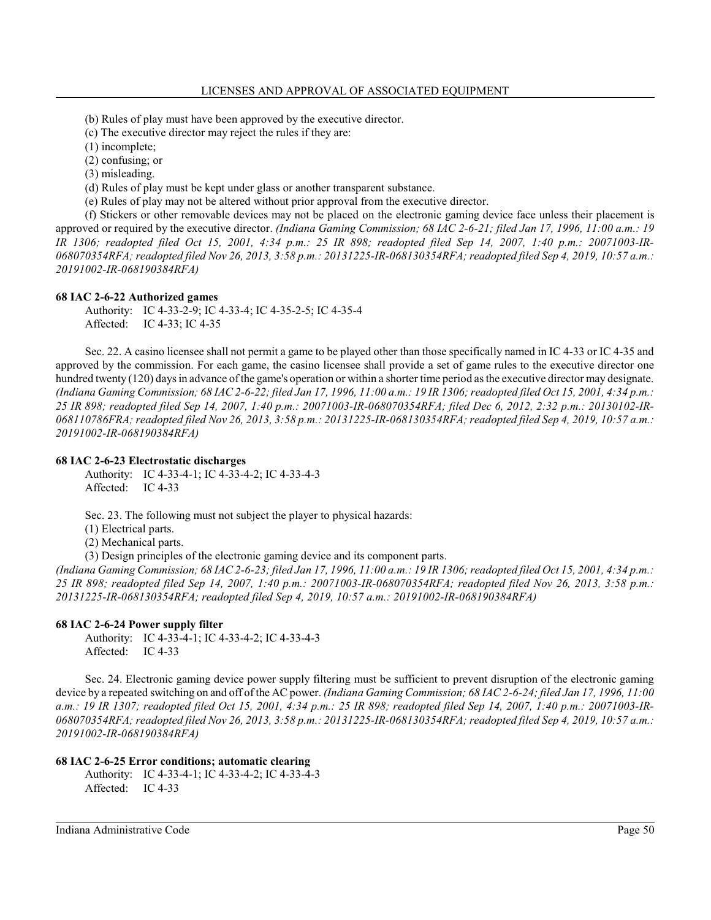(b) Rules of play must have been approved by the executive director.

- (c) The executive director may reject the rules if they are:
- (1) incomplete;
- (2) confusing; or
- (3) misleading.
- (d) Rules of play must be kept under glass or another transparent substance.
- (e) Rules of play may not be altered without prior approval from the executive director.

(f) Stickers or other removable devices may not be placed on the electronic gaming device face unless their placement is approved or required by the executive director. *(Indiana Gaming Commission; 68 IAC 2-6-21; filed Jan 17, 1996, 11:00 a.m.: 19 IR 1306; readopted filed Oct 15, 2001, 4:34 p.m.: 25 IR 898; readopted filed Sep 14, 2007, 1:40 p.m.: 20071003-IR-068070354RFA; readopted filed Nov 26, 2013, 3:58 p.m.: 20131225-IR-068130354RFA; readopted filed Sep 4, 2019, 10:57 a.m.: 20191002-IR-068190384RFA)*

#### **68 IAC 2-6-22 Authorized games**

Authority: IC 4-33-2-9; IC 4-33-4; IC 4-35-2-5; IC 4-35-4 Affected: IC 4-33; IC 4-35

Sec. 22. A casino licensee shall not permit a game to be played other than those specifically named in IC 4-33 or IC 4-35 and approved by the commission. For each game, the casino licensee shall provide a set of game rules to the executive director one hundred twenty (120) days in advance of the game's operation or within a shorter time period as the executive director may designate. *(Indiana Gaming Commission; 68 IAC 2-6-22; filed Jan 17, 1996, 11:00 a.m.: 19 IR 1306; readopted filed Oct 15, 2001, 4:34 p.m.: 25 IR 898; readopted filed Sep 14, 2007, 1:40 p.m.: 20071003-IR-068070354RFA; filed Dec 6, 2012, 2:32 p.m.: 20130102-IR-068110786FRA; readopted filed Nov 26, 2013, 3:58 p.m.: 20131225-IR-068130354RFA; readopted filed Sep 4, 2019, 10:57 a.m.: 20191002-IR-068190384RFA)*

#### **68 IAC 2-6-23 Electrostatic discharges**

Authority: IC 4-33-4-1; IC 4-33-4-2; IC 4-33-4-3 Affected: IC 4-33

Sec. 23. The following must not subject the player to physical hazards:

(1) Electrical parts.

(2) Mechanical parts.

(3) Design principles of the electronic gaming device and its component parts.

*(Indiana Gaming Commission; 68 IAC 2-6-23; filed Jan 17, 1996, 11:00 a.m.: 19 IR 1306; readopted filed Oct 15, 2001, 4:34 p.m.: 25 IR 898; readopted filed Sep 14, 2007, 1:40 p.m.: 20071003-IR-068070354RFA; readopted filed Nov 26, 2013, 3:58 p.m.: 20131225-IR-068130354RFA; readopted filed Sep 4, 2019, 10:57 a.m.: 20191002-IR-068190384RFA)*

#### **68 IAC 2-6-24 Power supply filter**

Authority: IC 4-33-4-1; IC 4-33-4-2; IC 4-33-4-3 Affected: IC 4-33

Sec. 24. Electronic gaming device power supply filtering must be sufficient to prevent disruption of the electronic gaming device by a repeated switching on and off ofthe AC power. *(Indiana Gaming Commission; 68 IAC 2-6-24; filed Jan 17, 1996, 11:00 a.m.: 19 IR 1307; readopted filed Oct 15, 2001, 4:34 p.m.: 25 IR 898; readopted filed Sep 14, 2007, 1:40 p.m.: 20071003-IR-068070354RFA; readopted filed Nov 26, 2013, 3:58 p.m.: 20131225-IR-068130354RFA; readopted filed Sep 4, 2019, 10:57 a.m.: 20191002-IR-068190384RFA)*

#### **68 IAC 2-6-25 Error conditions; automatic clearing**

Authority: IC 4-33-4-1; IC 4-33-4-2; IC 4-33-4-3 Affected: IC 4-33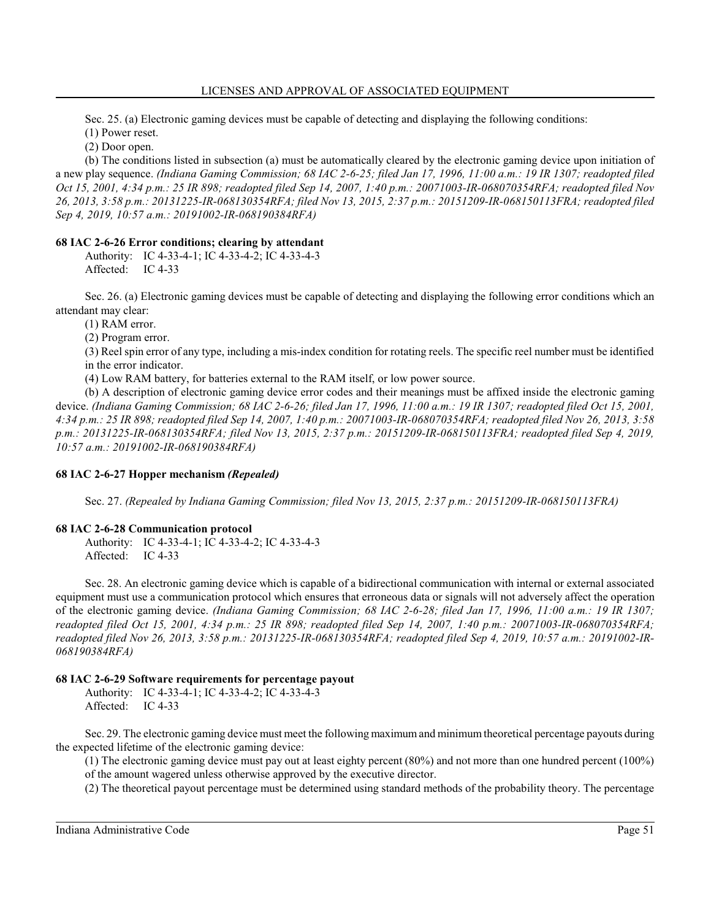Sec. 25. (a) Electronic gaming devices must be capable of detecting and displaying the following conditions:

(1) Power reset.

(2) Door open.

(b) The conditions listed in subsection (a) must be automatically cleared by the electronic gaming device upon initiation of a new play sequence. *(Indiana Gaming Commission; 68 IAC 2-6-25; filed Jan 17, 1996, 11:00 a.m.: 19 IR 1307; readopted filed Oct 15, 2001, 4:34 p.m.: 25 IR 898; readopted filed Sep 14, 2007, 1:40 p.m.: 20071003-IR-068070354RFA; readopted filed Nov 26, 2013, 3:58 p.m.: 20131225-IR-068130354RFA; filed Nov 13, 2015, 2:37 p.m.: 20151209-IR-068150113FRA; readopted filed Sep 4, 2019, 10:57 a.m.: 20191002-IR-068190384RFA)*

# **68 IAC 2-6-26 Error conditions; clearing by attendant**

Authority: IC 4-33-4-1; IC 4-33-4-2; IC 4-33-4-3 Affected: IC 4-33

Sec. 26. (a) Electronic gaming devices must be capable of detecting and displaying the following error conditions which an attendant may clear:

(1) RAM error.

(2) Program error.

(3) Reel spin error of any type, including a mis-index condition for rotating reels. The specific reel number must be identified in the error indicator.

(4) Low RAM battery, for batteries external to the RAM itself, or low power source.

(b) A description of electronic gaming device error codes and their meanings must be affixed inside the electronic gaming device. *(Indiana Gaming Commission; 68 IAC 2-6-26; filed Jan 17, 1996, 11:00 a.m.: 19 IR 1307; readopted filed Oct 15, 2001, 4:34 p.m.: 25 IR 898; readopted filed Sep 14, 2007, 1:40 p.m.: 20071003-IR-068070354RFA; readopted filed Nov 26, 2013, 3:58 p.m.: 20131225-IR-068130354RFA; filed Nov 13, 2015, 2:37 p.m.: 20151209-IR-068150113FRA; readopted filed Sep 4, 2019, 10:57 a.m.: 20191002-IR-068190384RFA)*

# **68 IAC 2-6-27 Hopper mechanism** *(Repealed)*

Sec. 27. *(Repealed by Indiana Gaming Commission; filed Nov 13, 2015, 2:37 p.m.: 20151209-IR-068150113FRA)*

# **68 IAC 2-6-28 Communication protocol**

Authority: IC 4-33-4-1; IC 4-33-4-2; IC 4-33-4-3 Affected: IC 4-33

Sec. 28. An electronic gaming device which is capable of a bidirectional communication with internal or external associated equipment must use a communication protocol which ensures that erroneous data or signals will not adversely affect the operation of the electronic gaming device. *(Indiana Gaming Commission; 68 IAC 2-6-28; filed Jan 17, 1996, 11:00 a.m.: 19 IR 1307; readopted filed Oct 15, 2001, 4:34 p.m.: 25 IR 898; readopted filed Sep 14, 2007, 1:40 p.m.: 20071003-IR-068070354RFA; readopted filed Nov 26, 2013, 3:58 p.m.: 20131225-IR-068130354RFA; readopted filed Sep 4, 2019, 10:57 a.m.: 20191002-IR-068190384RFA)*

# **68 IAC 2-6-29 Software requirements for percentage payout**

Authority: IC 4-33-4-1; IC 4-33-4-2; IC 4-33-4-3 Affected: IC 4-33

Sec. 29. The electronic gaming device must meet the following maximum and minimum theoretical percentage payouts during the expected lifetime of the electronic gaming device:

(1) The electronic gaming device must pay out at least eighty percent (80%) and not more than one hundred percent (100%) of the amount wagered unless otherwise approved by the executive director.

(2) The theoretical payout percentage must be determined using standard methods of the probability theory. The percentage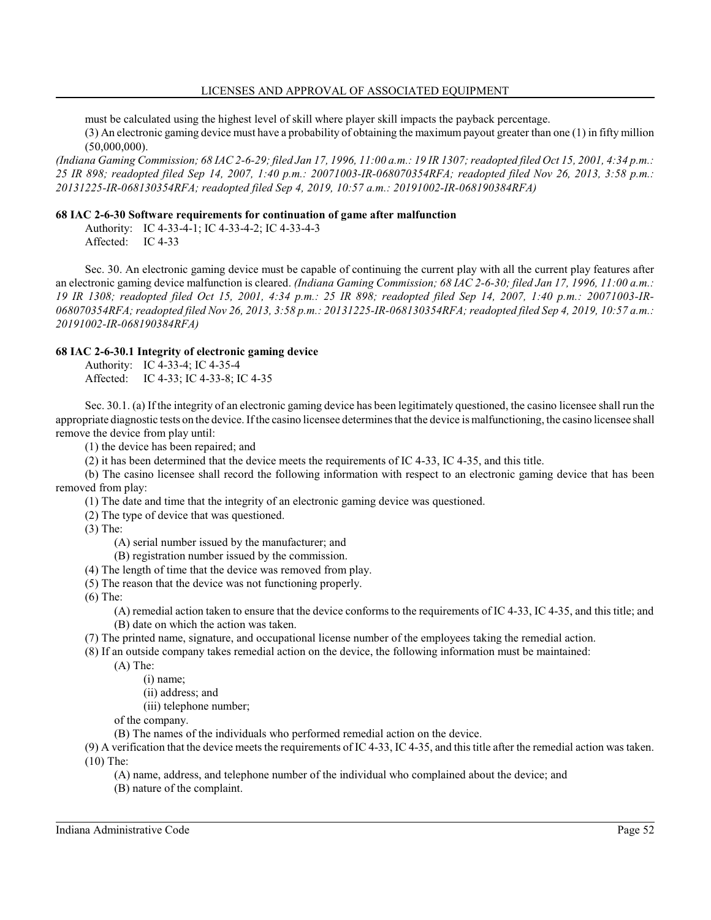must be calculated using the highest level of skill where player skill impacts the payback percentage.

(3) An electronic gaming device must have a probability of obtaining the maximum payout greater than one (1) in fifty million (50,000,000).

*(Indiana Gaming Commission; 68 IAC 2-6-29; filed Jan 17, 1996, 11:00 a.m.: 19 IR 1307; readopted filed Oct 15, 2001, 4:34 p.m.: 25 IR 898; readopted filed Sep 14, 2007, 1:40 p.m.: 20071003-IR-068070354RFA; readopted filed Nov 26, 2013, 3:58 p.m.: 20131225-IR-068130354RFA; readopted filed Sep 4, 2019, 10:57 a.m.: 20191002-IR-068190384RFA)*

# **68 IAC 2-6-30 Software requirements for continuation of game after malfunction**

Authority: IC 4-33-4-1; IC 4-33-4-2; IC 4-33-4-3 Affected: IC 4-33

Sec. 30. An electronic gaming device must be capable of continuing the current play with all the current play features after an electronic gaming device malfunction is cleared. *(Indiana Gaming Commission; 68 IAC 2-6-30; filed Jan 17, 1996, 11:00 a.m.: 19 IR 1308; readopted filed Oct 15, 2001, 4:34 p.m.: 25 IR 898; readopted filed Sep 14, 2007, 1:40 p.m.: 20071003-IR-068070354RFA; readopted filed Nov 26, 2013, 3:58 p.m.: 20131225-IR-068130354RFA; readopted filed Sep 4, 2019, 10:57 a.m.: 20191002-IR-068190384RFA)*

# **68 IAC 2-6-30.1 Integrity of electronic gaming device**

Authority: IC 4-33-4; IC 4-35-4

Affected: IC 4-33; IC 4-33-8; IC 4-35

Sec. 30.1. (a) If the integrity of an electronic gaming device has been legitimately questioned, the casino licensee shall run the appropriate diagnostic tests on the device. Ifthe casino licensee determines that the device is malfunctioning, the casino licensee shall remove the device from play until:

(1) the device has been repaired; and

(2) it has been determined that the device meets the requirements of IC 4-33, IC 4-35, and this title.

(b) The casino licensee shall record the following information with respect to an electronic gaming device that has been removed from play:

(1) The date and time that the integrity of an electronic gaming device was questioned.

(2) The type of device that was questioned.

(3) The:

(A) serial number issued by the manufacturer; and

(B) registration number issued by the commission.

(4) The length of time that the device was removed from play.

(5) The reason that the device was not functioning properly.

(6) The:

(A) remedial action taken to ensure that the device conforms to the requirements of IC 4-33, IC 4-35, and this title; and

(B) date on which the action was taken.

(7) The printed name, signature, and occupational license number of the employees taking the remedial action.

(8) If an outside company takes remedial action on the device, the following information must be maintained:

(A) The:

(i) name;

(ii) address; and

(iii) telephone number;

of the company.

(B) The names of the individuals who performed remedial action on the device.

(9) A verification that the device meets the requirements of IC 4-33, IC 4-35, and this title after the remedial action was taken. (10) The:

(A) name, address, and telephone number of the individual who complained about the device; and

(B) nature of the complaint.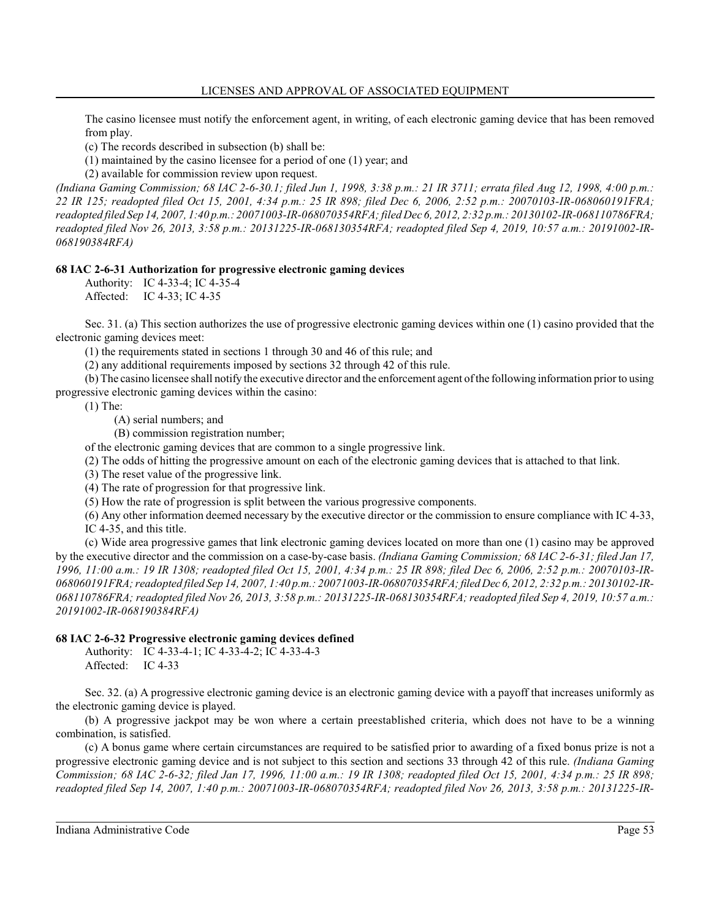The casino licensee must notify the enforcement agent, in writing, of each electronic gaming device that has been removed from play.

(c) The records described in subsection (b) shall be:

(1) maintained by the casino licensee for a period of one (1) year; and

(2) available for commission review upon request.

*(Indiana Gaming Commission; 68 IAC 2-6-30.1; filed Jun 1, 1998, 3:38 p.m.: 21 IR 3711; errata filed Aug 12, 1998, 4:00 p.m.: 22 IR 125; readopted filed Oct 15, 2001, 4:34 p.m.: 25 IR 898; filed Dec 6, 2006, 2:52 p.m.: 20070103-IR-068060191FRA; readopted filed Sep 14, 2007, 1:40 p.m.: 20071003-IR-068070354RFA; filed Dec 6, 2012, 2:32 p.m.: 20130102-IR-068110786FRA; readopted filed Nov 26, 2013, 3:58 p.m.: 20131225-IR-068130354RFA; readopted filed Sep 4, 2019, 10:57 a.m.: 20191002-IR-068190384RFA)*

# **68 IAC 2-6-31 Authorization for progressive electronic gaming devices**

Authority: IC 4-33-4; IC 4-35-4

Affected: IC 4-33; IC 4-35

Sec. 31. (a) This section authorizes the use of progressive electronic gaming devices within one (1) casino provided that the electronic gaming devices meet:

(1) the requirements stated in sections 1 through 30 and 46 of this rule; and

(2) any additional requirements imposed by sections 32 through 42 of this rule.

(b) The casino licensee shall notify the executive director and the enforcement agent ofthe following information prior to using progressive electronic gaming devices within the casino:

(1) The:

(A) serial numbers; and

(B) commission registration number;

of the electronic gaming devices that are common to a single progressive link.

(2) The odds of hitting the progressive amount on each of the electronic gaming devices that is attached to that link.

(3) The reset value of the progressive link.

(4) The rate of progression for that progressive link.

(5) How the rate of progression is split between the various progressive components.

(6) Any other information deemed necessary by the executive director or the commission to ensure compliance with IC 4-33, IC 4-35, and this title.

(c) Wide area progressive games that link electronic gaming devices located on more than one (1) casino may be approved by the executive director and the commission on a case-by-case basis. *(Indiana Gaming Commission; 68 IAC 2-6-31; filed Jan 17, 1996, 11:00 a.m.: 19 IR 1308; readopted filed Oct 15, 2001, 4:34 p.m.: 25 IR 898; filed Dec 6, 2006, 2:52 p.m.: 20070103-IR-068060191FRA; readopted filed Sep 14, 2007, 1:40 p.m.: 20071003-IR-068070354RFA;filedDec 6, 2012, 2:32 p.m.: 20130102-IR-068110786FRA; readopted filed Nov 26, 2013, 3:58 p.m.: 20131225-IR-068130354RFA; readopted filed Sep 4, 2019, 10:57 a.m.: 20191002-IR-068190384RFA)*

# **68 IAC 2-6-32 Progressive electronic gaming devices defined**

Authority: IC 4-33-4-1; IC 4-33-4-2; IC 4-33-4-3 Affected: IC 4-33

Sec. 32. (a) A progressive electronic gaming device is an electronic gaming device with a payoff that increases uniformly as the electronic gaming device is played.

(b) A progressive jackpot may be won where a certain preestablished criteria, which does not have to be a winning combination, is satisfied.

(c) A bonus game where certain circumstances are required to be satisfied prior to awarding of a fixed bonus prize is not a progressive electronic gaming device and is not subject to this section and sections 33 through 42 of this rule. *(Indiana Gaming Commission; 68 IAC 2-6-32; filed Jan 17, 1996, 11:00 a.m.: 19 IR 1308; readopted filed Oct 15, 2001, 4:34 p.m.: 25 IR 898; readopted filed Sep 14, 2007, 1:40 p.m.: 20071003-IR-068070354RFA; readopted filed Nov 26, 2013, 3:58 p.m.: 20131225-IR-*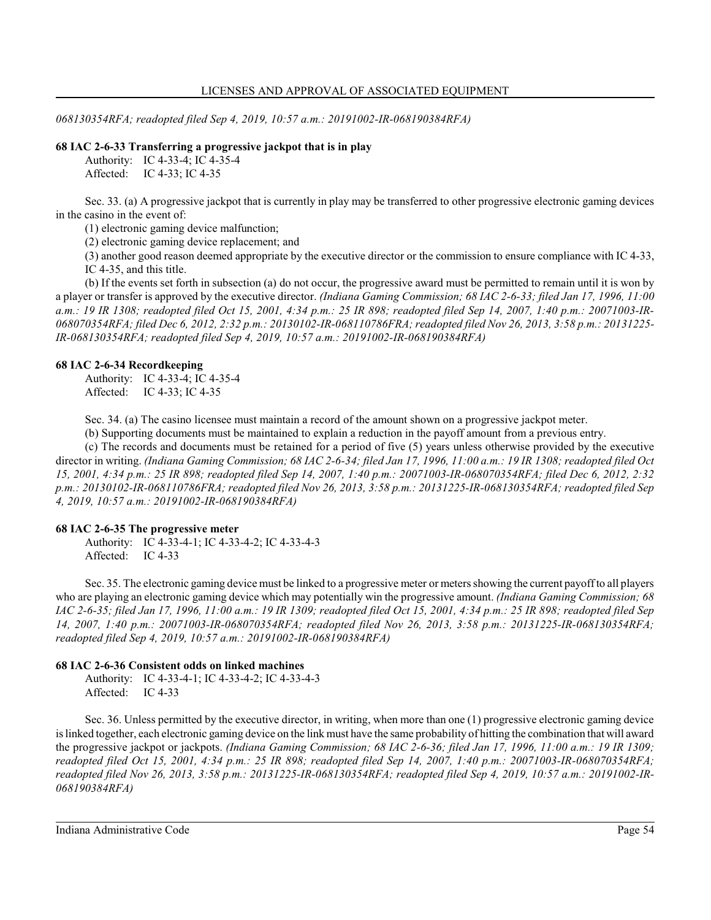*068130354RFA; readopted filed Sep 4, 2019, 10:57 a.m.: 20191002-IR-068190384RFA)*

#### **68 IAC 2-6-33 Transferring a progressive jackpot that is in play**

Authority: IC 4-33-4; IC 4-35-4 Affected: IC 4-33; IC 4-35

Sec. 33. (a) A progressive jackpot that is currently in play may be transferred to other progressive electronic gaming devices in the casino in the event of:

(1) electronic gaming device malfunction;

(2) electronic gaming device replacement; and

(3) another good reason deemed appropriate by the executive director or the commission to ensure compliance with IC 4-33, IC 4-35, and this title.

(b) If the events set forth in subsection (a) do not occur, the progressive award must be permitted to remain until it is won by a player or transfer is approved by the executive director. *(Indiana Gaming Commission; 68 IAC 2-6-33; filed Jan 17, 1996, 11:00 a.m.: 19 IR 1308; readopted filed Oct 15, 2001, 4:34 p.m.: 25 IR 898; readopted filed Sep 14, 2007, 1:40 p.m.: 20071003-IR-068070354RFA; filed Dec 6, 2012, 2:32 p.m.: 20130102-IR-068110786FRA; readopted filed Nov 26, 2013, 3:58 p.m.: 20131225- IR-068130354RFA; readopted filed Sep 4, 2019, 10:57 a.m.: 20191002-IR-068190384RFA)*

#### **68 IAC 2-6-34 Recordkeeping**

Authority: IC 4-33-4; IC 4-35-4 Affected: IC 4-33; IC 4-35

Sec. 34. (a) The casino licensee must maintain a record of the amount shown on a progressive jackpot meter.

(b) Supporting documents must be maintained to explain a reduction in the payoff amount from a previous entry.

(c) The records and documents must be retained for a period of five (5) years unless otherwise provided by the executive director in writing. *(Indiana Gaming Commission; 68 IAC 2-6-34; filed Jan 17, 1996, 11:00 a.m.: 19 IR 1308; readopted filed Oct 15, 2001, 4:34 p.m.: 25 IR 898; readopted filed Sep 14, 2007, 1:40 p.m.: 20071003-IR-068070354RFA; filed Dec 6, 2012, 2:32 p.m.: 20130102-IR-068110786FRA; readopted filed Nov 26, 2013, 3:58 p.m.: 20131225-IR-068130354RFA; readopted filed Sep 4, 2019, 10:57 a.m.: 20191002-IR-068190384RFA)*

#### **68 IAC 2-6-35 The progressive meter**

Authority: IC 4-33-4-1; IC 4-33-4-2; IC 4-33-4-3 Affected: IC 4-33

Sec. 35. The electronic gaming device must be linked to a progressive meter or meters showing the current payoffto all players who are playing an electronic gaming device which may potentially win the progressive amount. *(Indiana Gaming Commission; 68 IAC 2-6-35; filed Jan 17, 1996, 11:00 a.m.: 19 IR 1309; readopted filed Oct 15, 2001, 4:34 p.m.: 25 IR 898; readopted filed Sep 14, 2007, 1:40 p.m.: 20071003-IR-068070354RFA; readopted filed Nov 26, 2013, 3:58 p.m.: 20131225-IR-068130354RFA; readopted filed Sep 4, 2019, 10:57 a.m.: 20191002-IR-068190384RFA)*

#### **68 IAC 2-6-36 Consistent odds on linked machines**

Authority: IC 4-33-4-1; IC 4-33-4-2; IC 4-33-4-3 Affected: IC 4-33

Sec. 36. Unless permitted by the executive director, in writing, when more than one (1) progressive electronic gaming device is linked together, each electronic gaming device on the link must have the same probability of hitting the combination that will award the progressive jackpot or jackpots. *(Indiana Gaming Commission; 68 IAC 2-6-36; filed Jan 17, 1996, 11:00 a.m.: 19 IR 1309; readopted filed Oct 15, 2001, 4:34 p.m.: 25 IR 898; readopted filed Sep 14, 2007, 1:40 p.m.: 20071003-IR-068070354RFA; readopted filed Nov 26, 2013, 3:58 p.m.: 20131225-IR-068130354RFA; readopted filed Sep 4, 2019, 10:57 a.m.: 20191002-IR-068190384RFA)*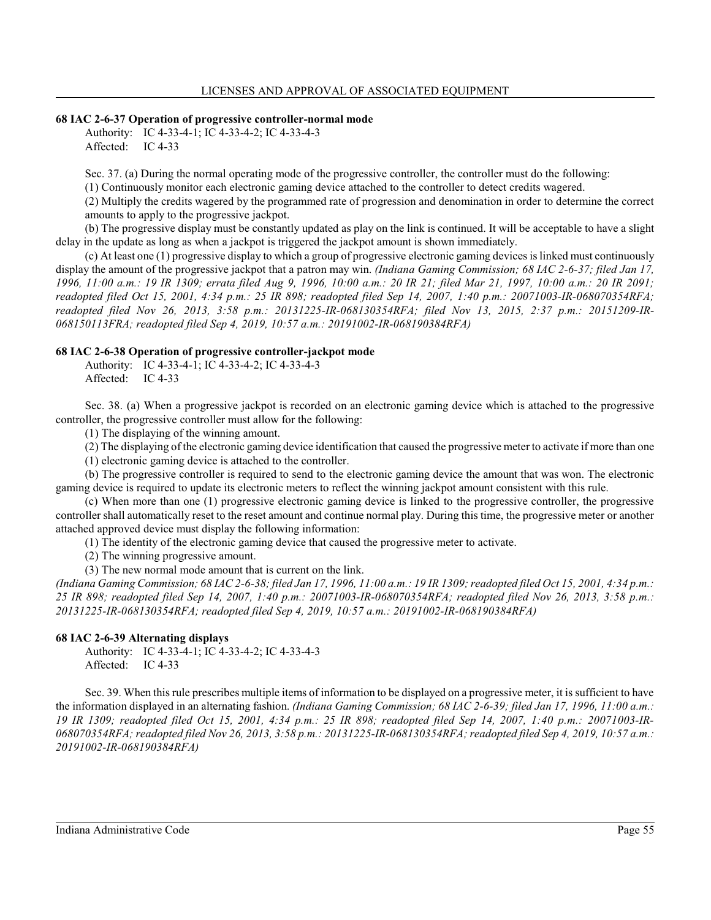#### **68 IAC 2-6-37 Operation of progressive controller-normal mode**

Authority: IC 4-33-4-1; IC 4-33-4-2; IC 4-33-4-3 Affected: IC 4-33

Sec. 37. (a) During the normal operating mode of the progressive controller, the controller must do the following:

(1) Continuously monitor each electronic gaming device attached to the controller to detect credits wagered.

(2) Multiply the credits wagered by the programmed rate of progression and denomination in order to determine the correct amounts to apply to the progressive jackpot.

(b) The progressive display must be constantly updated as play on the link is continued. It will be acceptable to have a slight delay in the update as long as when a jackpot is triggered the jackpot amount is shown immediately.

(c) At least one (1) progressive display to which a group of progressive electronic gaming devices is linked must continuously display the amount of the progressive jackpot that a patron may win. *(Indiana Gaming Commission; 68 IAC 2-6-37; filed Jan 17, 1996, 11:00 a.m.: 19 IR 1309; errata filed Aug 9, 1996, 10:00 a.m.: 20 IR 21; filed Mar 21, 1997, 10:00 a.m.: 20 IR 2091; readopted filed Oct 15, 2001, 4:34 p.m.: 25 IR 898; readopted filed Sep 14, 2007, 1:40 p.m.: 20071003-IR-068070354RFA; readopted filed Nov 26, 2013, 3:58 p.m.: 20131225-IR-068130354RFA; filed Nov 13, 2015, 2:37 p.m.: 20151209-IR-068150113FRA; readopted filed Sep 4, 2019, 10:57 a.m.: 20191002-IR-068190384RFA)*

#### **68 IAC 2-6-38 Operation of progressive controller-jackpot mode**

Authority: IC 4-33-4-1; IC 4-33-4-2; IC 4-33-4-3 Affected: IC 4-33

Sec. 38. (a) When a progressive jackpot is recorded on an electronic gaming device which is attached to the progressive controller, the progressive controller must allow for the following:

(1) The displaying of the winning amount.

(2) The displaying of the electronic gaming device identification that caused the progressive meter to activate if more than one

(1) electronic gaming device is attached to the controller.

(b) The progressive controller is required to send to the electronic gaming device the amount that was won. The electronic gaming device is required to update its electronic meters to reflect the winning jackpot amount consistent with this rule.

(c) When more than one (1) progressive electronic gaming device is linked to the progressive controller, the progressive controller shall automatically reset to the reset amount and continue normal play. During this time, the progressive meter or another attached approved device must display the following information:

(1) The identity of the electronic gaming device that caused the progressive meter to activate.

(2) The winning progressive amount.

(3) The new normal mode amount that is current on the link.

*(Indiana Gaming Commission; 68 IAC 2-6-38; filed Jan 17, 1996, 11:00 a.m.: 19 IR 1309; readopted filed Oct 15, 2001, 4:34 p.m.: 25 IR 898; readopted filed Sep 14, 2007, 1:40 p.m.: 20071003-IR-068070354RFA; readopted filed Nov 26, 2013, 3:58 p.m.: 20131225-IR-068130354RFA; readopted filed Sep 4, 2019, 10:57 a.m.: 20191002-IR-068190384RFA)*

## **68 IAC 2-6-39 Alternating displays**

Authority: IC 4-33-4-1; IC 4-33-4-2; IC 4-33-4-3 Affected: IC 4-33

Sec. 39. When this rule prescribes multiple items of information to be displayed on a progressive meter, it is sufficient to have the information displayed in an alternating fashion. *(Indiana Gaming Commission; 68 IAC 2-6-39; filed Jan 17, 1996, 11:00 a.m.: 19 IR 1309; readopted filed Oct 15, 2001, 4:34 p.m.: 25 IR 898; readopted filed Sep 14, 2007, 1:40 p.m.: 20071003-IR-068070354RFA; readopted filed Nov 26, 2013, 3:58 p.m.: 20131225-IR-068130354RFA; readopted filed Sep 4, 2019, 10:57 a.m.: 20191002-IR-068190384RFA)*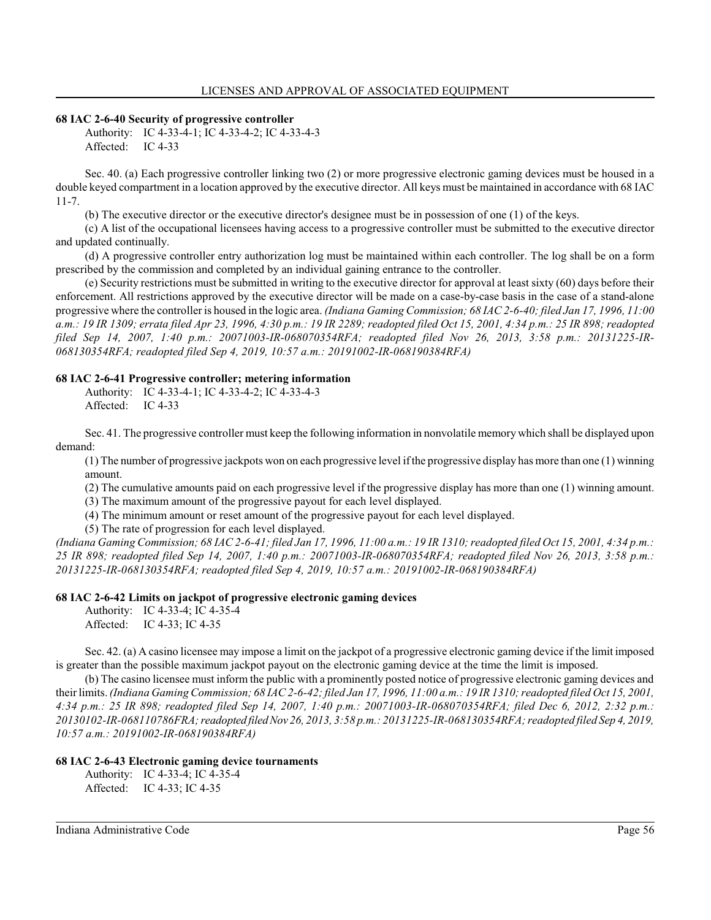### **68 IAC 2-6-40 Security of progressive controller**

Authority: IC 4-33-4-1; IC 4-33-4-2; IC 4-33-4-3 Affected: IC 4-33

Sec. 40. (a) Each progressive controller linking two (2) or more progressive electronic gaming devices must be housed in a double keyed compartment in a location approved by the executive director. All keys must be maintained in accordance with 68 IAC 11-7.

(b) The executive director or the executive director's designee must be in possession of one (1) of the keys.

(c) A list of the occupational licensees having access to a progressive controller must be submitted to the executive director and updated continually.

(d) A progressive controller entry authorization log must be maintained within each controller. The log shall be on a form prescribed by the commission and completed by an individual gaining entrance to the controller.

(e) Security restrictions must be submitted in writing to the executive director for approval at least sixty (60) days before their enforcement. All restrictions approved by the executive director will be made on a case-by-case basis in the case of a stand-alone progressive where the controller is housed in the logic area. *(Indiana Gaming Commission; 68 IAC 2-6-40; filed Jan 17, 1996, 11:00 a.m.: 19 IR 1309; errata filed Apr 23, 1996, 4:30 p.m.: 19 IR 2289; readopted filed Oct 15, 2001, 4:34 p.m.: 25 IR 898; readopted filed Sep 14, 2007, 1:40 p.m.: 20071003-IR-068070354RFA; readopted filed Nov 26, 2013, 3:58 p.m.: 20131225-IR-068130354RFA; readopted filed Sep 4, 2019, 10:57 a.m.: 20191002-IR-068190384RFA)*

#### **68 IAC 2-6-41 Progressive controller; metering information**

Authority: IC 4-33-4-1; IC 4-33-4-2; IC 4-33-4-3 Affected: IC 4-33

Sec. 41. The progressive controller must keep the following information in nonvolatile memory which shall be displayed upon demand:

(1) The number of progressive jackpots won on each progressive level ifthe progressive display has more than one (1) winning amount.

(2) The cumulative amounts paid on each progressive level if the progressive display has more than one (1) winning amount.

(3) The maximum amount of the progressive payout for each level displayed.

(4) The minimum amount or reset amount of the progressive payout for each level displayed.

(5) The rate of progression for each level displayed.

*(Indiana Gaming Commission; 68 IAC 2-6-41; filed Jan 17, 1996, 11:00 a.m.: 19 IR 1310; readopted filed Oct 15, 2001, 4:34 p.m.: 25 IR 898; readopted filed Sep 14, 2007, 1:40 p.m.: 20071003-IR-068070354RFA; readopted filed Nov 26, 2013, 3:58 p.m.: 20131225-IR-068130354RFA; readopted filed Sep 4, 2019, 10:57 a.m.: 20191002-IR-068190384RFA)*

#### **68 IAC 2-6-42 Limits on jackpot of progressive electronic gaming devices**

Authority: IC 4-33-4; IC 4-35-4 Affected: IC 4-33; IC 4-35

Sec. 42. (a) A casino licensee may impose a limit on the jackpot of a progressive electronic gaming device if the limit imposed is greater than the possible maximum jackpot payout on the electronic gaming device at the time the limit is imposed.

(b) The casino licensee must inform the public with a prominently posted notice of progressive electronic gaming devices and their limits. *(Indiana GamingCommission; 68 IAC 2-6-42; filed Jan 17, 1996, 11:00 a.m.: 19 IR 1310; readopted filed Oct 15, 2001, 4:34 p.m.: 25 IR 898; readopted filed Sep 14, 2007, 1:40 p.m.: 20071003-IR-068070354RFA; filed Dec 6, 2012, 2:32 p.m.: 20130102-IR-068110786FRA; readopted filedNov 26, 2013, 3:58 p.m.: 20131225-IR-068130354RFA; readopted filed Sep 4, 2019, 10:57 a.m.: 20191002-IR-068190384RFA)*

#### **68 IAC 2-6-43 Electronic gaming device tournaments**

Authority: IC 4-33-4; IC 4-35-4 Affected: IC 4-33; IC 4-35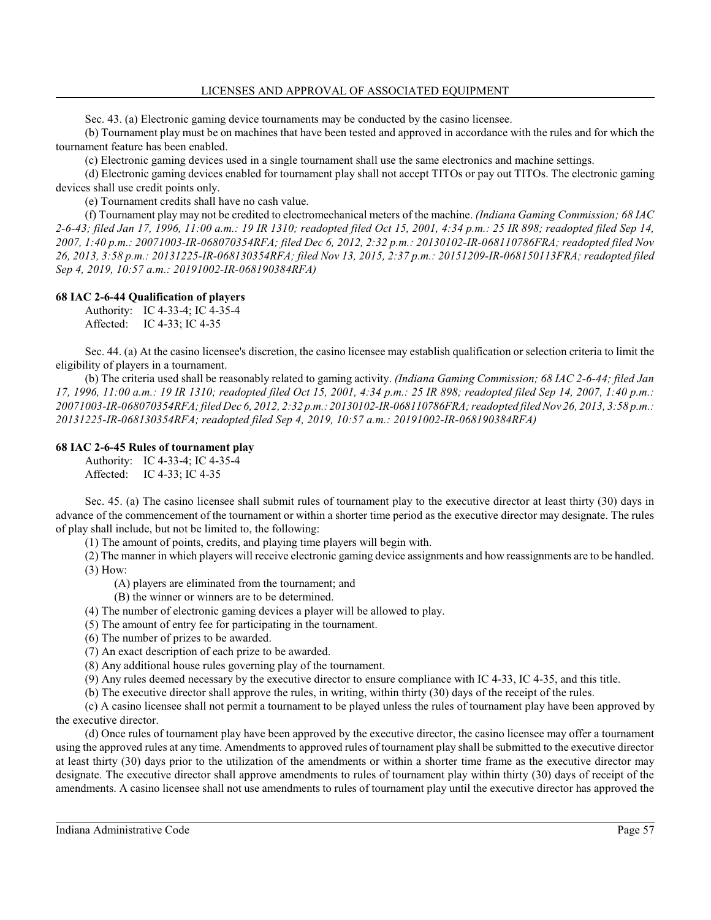Sec. 43. (a) Electronic gaming device tournaments may be conducted by the casino licensee.

(b) Tournament play must be on machines that have been tested and approved in accordance with the rules and for which the tournament feature has been enabled.

(c) Electronic gaming devices used in a single tournament shall use the same electronics and machine settings.

(d) Electronic gaming devices enabled for tournament play shall not accept TITOs or pay out TITOs. The electronic gaming devices shall use credit points only.

(e) Tournament credits shall have no cash value.

(f) Tournament play may not be credited to electromechanical meters of the machine. *(Indiana Gaming Commission; 68 IAC 2-6-43; filed Jan 17, 1996, 11:00 a.m.: 19 IR 1310; readopted filed Oct 15, 2001, 4:34 p.m.: 25 IR 898; readopted filed Sep 14, 2007, 1:40 p.m.: 20071003-IR-068070354RFA; filed Dec 6, 2012, 2:32 p.m.: 20130102-IR-068110786FRA; readopted filed Nov 26, 2013, 3:58 p.m.: 20131225-IR-068130354RFA; filed Nov 13, 2015, 2:37 p.m.: 20151209-IR-068150113FRA; readopted filed Sep 4, 2019, 10:57 a.m.: 20191002-IR-068190384RFA)*

#### **68 IAC 2-6-44 Qualification of players**

Authority: IC 4-33-4; IC 4-35-4 Affected: IC 4-33; IC 4-35

Sec. 44. (a) At the casino licensee's discretion, the casino licensee may establish qualification or selection criteria to limit the eligibility of players in a tournament.

(b) The criteria used shall be reasonably related to gaming activity. *(Indiana Gaming Commission; 68 IAC 2-6-44; filed Jan 17, 1996, 11:00 a.m.: 19 IR 1310; readopted filed Oct 15, 2001, 4:34 p.m.: 25 IR 898; readopted filed Sep 14, 2007, 1:40 p.m.: 20071003-IR-068070354RFA; filedDec 6, 2012, 2:32 p.m.: 20130102-IR-068110786FRA; readopted filedNov 26, 2013, 3:58 p.m.: 20131225-IR-068130354RFA; readopted filed Sep 4, 2019, 10:57 a.m.: 20191002-IR-068190384RFA)*

#### **68 IAC 2-6-45 Rules of tournament play**

Authority: IC 4-33-4; IC 4-35-4 Affected: IC 4-33; IC 4-35

Sec. 45. (a) The casino licensee shall submit rules of tournament play to the executive director at least thirty (30) days in advance of the commencement of the tournament or within a shorter time period as the executive director may designate. The rules of play shall include, but not be limited to, the following:

(1) The amount of points, credits, and playing time players will begin with.

(2) The manner in which players will receive electronic gaming device assignments and how reassignments are to be handled. (3) How:

(A) players are eliminated from the tournament; and

(B) the winner or winners are to be determined.

- (4) The number of electronic gaming devices a player will be allowed to play.
- (5) The amount of entry fee for participating in the tournament.
- (6) The number of prizes to be awarded.
- (7) An exact description of each prize to be awarded.
- (8) Any additional house rules governing play of the tournament.
- (9) Any rules deemed necessary by the executive director to ensure compliance with IC 4-33, IC 4-35, and this title.
- (b) The executive director shall approve the rules, in writing, within thirty (30) days of the receipt of the rules.

(c) A casino licensee shall not permit a tournament to be played unless the rules of tournament play have been approved by the executive director.

(d) Once rules of tournament play have been approved by the executive director, the casino licensee may offer a tournament using the approved rules at any time. Amendments to approved rules of tournament play shall be submitted to the executive director at least thirty (30) days prior to the utilization of the amendments or within a shorter time frame as the executive director may designate. The executive director shall approve amendments to rules of tournament play within thirty (30) days of receipt of the amendments. A casino licensee shall not use amendments to rules of tournament play until the executive director has approved the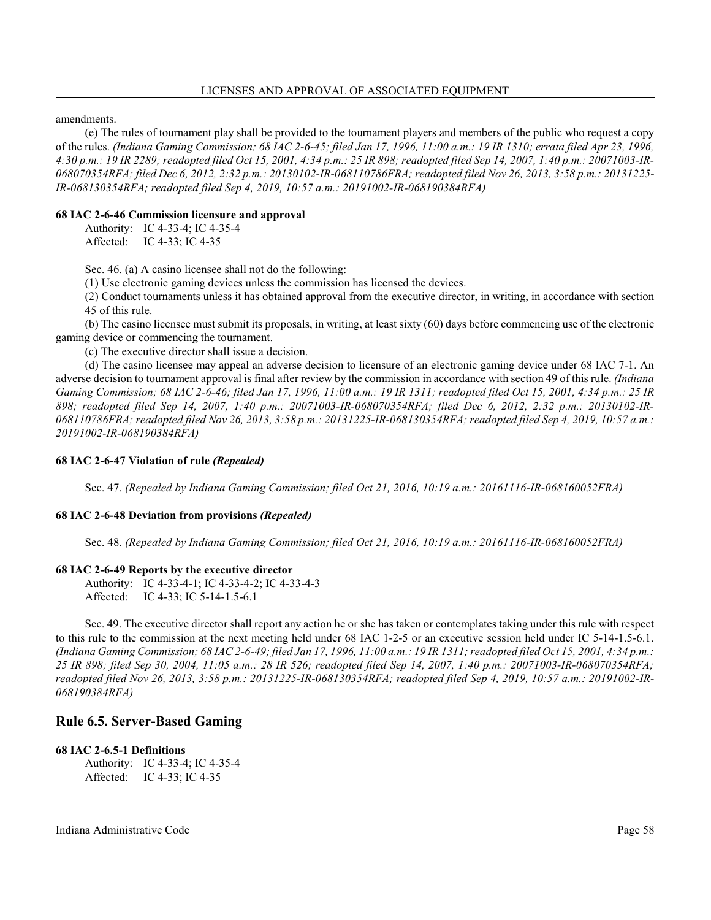amendments.

(e) The rules of tournament play shall be provided to the tournament players and members of the public who request a copy of the rules. *(Indiana Gaming Commission; 68 IAC 2-6-45; filed Jan 17, 1996, 11:00 a.m.: 19 IR 1310; errata filed Apr 23, 1996, 4:30 p.m.: 19 IR 2289; readopted filed Oct 15, 2001, 4:34 p.m.: 25 IR 898; readopted filed Sep 14, 2007, 1:40 p.m.: 20071003-IR-068070354RFA; filed Dec 6, 2012, 2:32 p.m.: 20130102-IR-068110786FRA; readopted filed Nov 26, 2013, 3:58 p.m.: 20131225- IR-068130354RFA; readopted filed Sep 4, 2019, 10:57 a.m.: 20191002-IR-068190384RFA)*

## **68 IAC 2-6-46 Commission licensure and approval**

Authority: IC 4-33-4; IC 4-35-4 Affected: IC 4-33; IC 4-35

Sec. 46. (a) A casino licensee shall not do the following:

(1) Use electronic gaming devices unless the commission has licensed the devices.

(2) Conduct tournaments unless it has obtained approval from the executive director, in writing, in accordance with section 45 of this rule.

(b) The casino licensee must submit its proposals, in writing, at least sixty (60) days before commencing use of the electronic gaming device or commencing the tournament.

(c) The executive director shall issue a decision.

(d) The casino licensee may appeal an adverse decision to licensure of an electronic gaming device under 68 IAC 7-1. An adverse decision to tournament approval is final after review by the commission in accordance with section 49 of this rule. *(Indiana Gaming Commission; 68 IAC 2-6-46; filed Jan 17, 1996, 11:00 a.m.: 19 IR 1311; readopted filed Oct 15, 2001, 4:34 p.m.: 25 IR 898; readopted filed Sep 14, 2007, 1:40 p.m.: 20071003-IR-068070354RFA; filed Dec 6, 2012, 2:32 p.m.: 20130102-IR-068110786FRA; readopted filed Nov 26, 2013, 3:58 p.m.: 20131225-IR-068130354RFA; readopted filed Sep 4, 2019, 10:57 a.m.: 20191002-IR-068190384RFA)*

## **68 IAC 2-6-47 Violation of rule** *(Repealed)*

Sec. 47. *(Repealed by Indiana Gaming Commission; filed Oct 21, 2016, 10:19 a.m.: 20161116-IR-068160052FRA)*

## **68 IAC 2-6-48 Deviation from provisions** *(Repealed)*

Sec. 48. *(Repealed by Indiana Gaming Commission; filed Oct 21, 2016, 10:19 a.m.: 20161116-IR-068160052FRA)*

## **68 IAC 2-6-49 Reports by the executive director**

Authority: IC 4-33-4-1; IC 4-33-4-2; IC 4-33-4-3 Affected: IC 4-33; IC 5-14-1.5-6.1

Sec. 49. The executive director shall report any action he or she has taken or contemplates taking under this rule with respect to this rule to the commission at the next meeting held under 68 IAC 1-2-5 or an executive session held under IC 5-14-1.5-6.1. *(Indiana Gaming Commission; 68 IAC 2-6-49; filed Jan 17, 1996, 11:00 a.m.: 19 IR 1311; readopted filed Oct 15, 2001, 4:34 p.m.: 25 IR 898; filed Sep 30, 2004, 11:05 a.m.: 28 IR 526; readopted filed Sep 14, 2007, 1:40 p.m.: 20071003-IR-068070354RFA; readopted filed Nov 26, 2013, 3:58 p.m.: 20131225-IR-068130354RFA; readopted filed Sep 4, 2019, 10:57 a.m.: 20191002-IR-068190384RFA)*

# **Rule 6.5. Server-Based Gaming**

## **68 IAC 2-6.5-1 Definitions**

Authority: IC 4-33-4; IC 4-35-4 Affected: IC 4-33; IC 4-35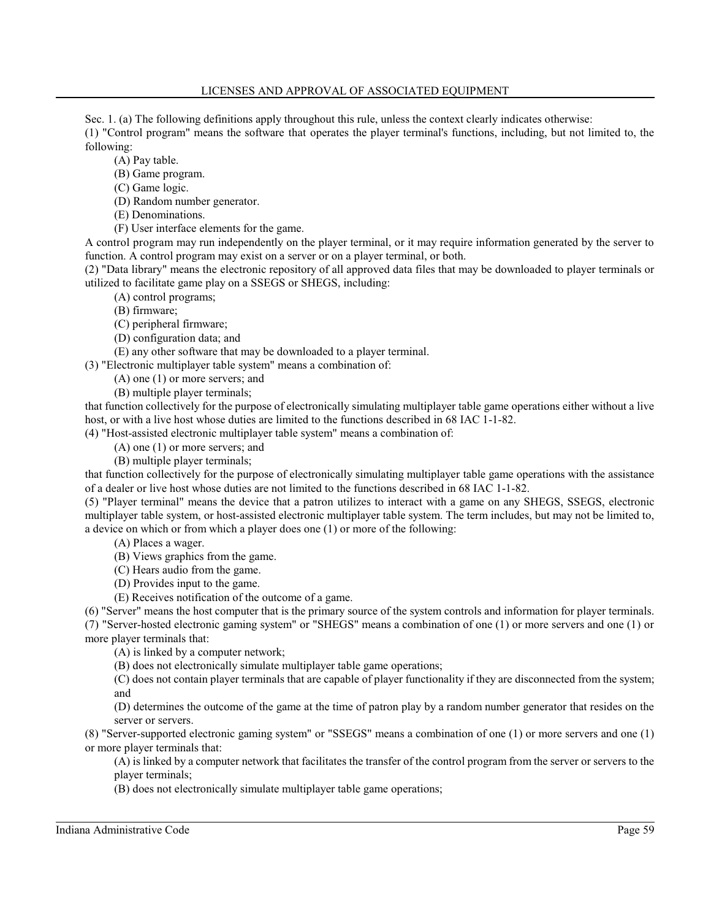### LICENSES AND APPROVAL OF ASSOCIATED EQUIPMENT

Sec. 1. (a) The following definitions apply throughout this rule, unless the context clearly indicates otherwise: (1) "Control program" means the software that operates the player terminal's functions, including, but not limited to, the following:

(A) Pay table.

- (B) Game program.
- (C) Game logic.
- (D) Random number generator.
- (E) Denominations.
- (F) User interface elements for the game.

A control program may run independently on the player terminal, or it may require information generated by the server to function. A control program may exist on a server or on a player terminal, or both.

(2) "Data library" means the electronic repository of all approved data files that may be downloaded to player terminals or utilized to facilitate game play on a SSEGS or SHEGS, including:

- (A) control programs;
- (B) firmware;
- (C) peripheral firmware;
- (D) configuration data; and
- (E) any other software that may be downloaded to a player terminal.

(3) "Electronic multiplayer table system" means a combination of:

- (A) one (1) or more servers; and
- (B) multiple player terminals;

that function collectively for the purpose of electronically simulating multiplayer table game operations either without a live host, or with a live host whose duties are limited to the functions described in 68 IAC 1-1-82.

(4) "Host-assisted electronic multiplayer table system" means a combination of:

(A) one (1) or more servers; and

(B) multiple player terminals;

that function collectively for the purpose of electronically simulating multiplayer table game operations with the assistance of a dealer or live host whose duties are not limited to the functions described in 68 IAC 1-1-82.

(5) "Player terminal" means the device that a patron utilizes to interact with a game on any SHEGS, SSEGS, electronic multiplayer table system, or host-assisted electronic multiplayer table system. The term includes, but may not be limited to, a device on which or from which a player does one (1) or more of the following:

- (A) Places a wager.
- (B) Views graphics from the game.
- (C) Hears audio from the game.
- (D) Provides input to the game.

(E) Receives notification of the outcome of a game.

(6) "Server" means the host computer that is the primary source of the system controls and information for player terminals. (7) "Server-hosted electronic gaming system" or "SHEGS" means a combination of one (1) or more servers and one (1) or more player terminals that:

(A) is linked by a computer network;

(B) does not electronically simulate multiplayer table game operations;

(C) does not contain player terminals that are capable of player functionality if they are disconnected from the system; and

(D) determines the outcome of the game at the time of patron play by a random number generator that resides on the server or servers.

(8) "Server-supported electronic gaming system" or "SSEGS" means a combination of one (1) or more servers and one (1) or more player terminals that:

(A) is linked by a computer network that facilitates the transfer of the control program from the server or servers to the player terminals;

(B) does not electronically simulate multiplayer table game operations;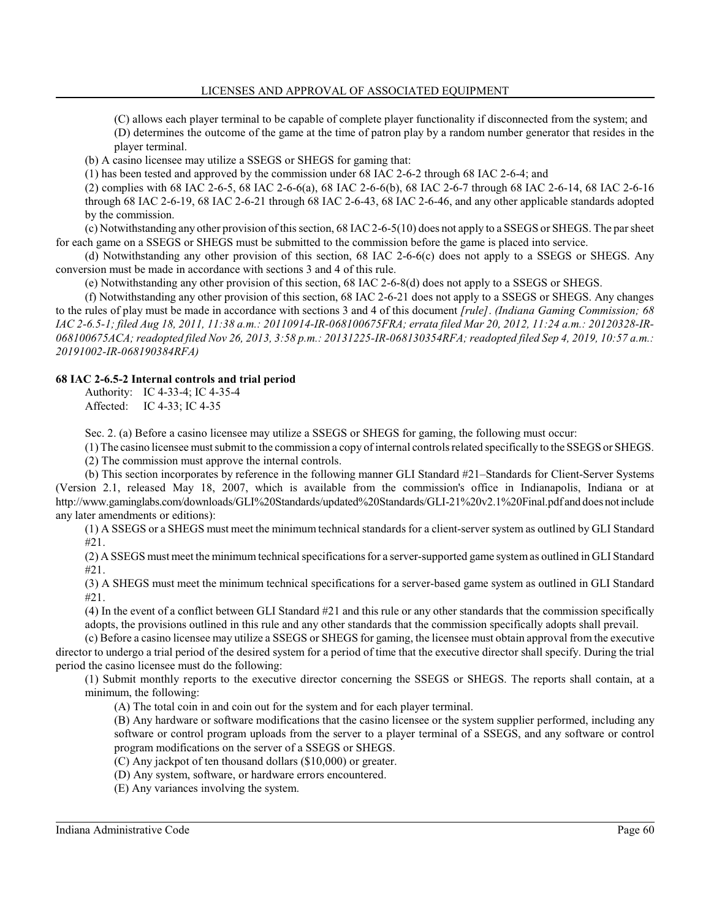(C) allows each player terminal to be capable of complete player functionality if disconnected from the system; and (D) determines the outcome of the game at the time of patron play by a random number generator that resides in the player terminal.

(b) A casino licensee may utilize a SSEGS or SHEGS for gaming that:

(1) has been tested and approved by the commission under 68 IAC 2-6-2 through 68 IAC 2-6-4; and

(2) complies with 68 IAC 2-6-5, 68 IAC 2-6-6(a), 68 IAC 2-6-6(b), 68 IAC 2-6-7 through 68 IAC 2-6-14, 68 IAC 2-6-16 through 68 IAC 2-6-19, 68 IAC 2-6-21 through 68 IAC 2-6-43, 68 IAC 2-6-46, and any other applicable standards adopted by the commission.

(c) Notwithstanding any other provision of this section, 68 IAC 2-6-5(10) does not apply to a SSEGS or SHEGS. The par sheet for each game on a SSEGS or SHEGS must be submitted to the commission before the game is placed into service.

(d) Notwithstanding any other provision of this section, 68 IAC 2-6-6(c) does not apply to a SSEGS or SHEGS. Any conversion must be made in accordance with sections 3 and 4 of this rule.

(e) Notwithstanding any other provision of this section, 68 IAC 2-6-8(d) does not apply to a SSEGS or SHEGS.

(f) Notwithstanding any other provision of this section, 68 IAC 2-6-21 does not apply to a SSEGS or SHEGS. Any changes to the rules of play must be made in accordance with sections 3 and 4 of this document *[rule]*. *(Indiana Gaming Commission; 68 IAC 2-6.5-1; filed Aug 18, 2011, 11:38 a.m.: 20110914-IR-068100675FRA; errata filed Mar 20, 2012, 11:24 a.m.: 20120328-IR-068100675ACA; readopted filed Nov 26, 2013, 3:58 p.m.: 20131225-IR-068130354RFA; readopted filed Sep 4, 2019, 10:57 a.m.: 20191002-IR-068190384RFA)*

#### **68 IAC 2-6.5-2 Internal controls and trial period**

Authority: IC 4-33-4; IC 4-35-4 Affected: IC 4-33; IC 4-35

Sec. 2. (a) Before a casino licensee may utilize a SSEGS or SHEGS for gaming, the following must occur:

(1) The casino licensee must submit to the commission a copy ofinternal controls related specifically to the SSEGS or SHEGS. (2) The commission must approve the internal controls.

(b) This section incorporates by reference in the following manner GLI Standard #21–Standards for Client-Server Systems (Version 2.1, released May 18, 2007, which is available from the commission's office in Indianapolis, Indiana or at http://www.gaminglabs.com/downloads/GLI%20Standards/updated%20Standards/GLI-21%20v2.1%20Final.pdf and does notinclude any later amendments or editions):

(1) A SSEGS or a SHEGS must meet the minimum technical standards for a client-server system as outlined by GLI Standard #21.

(2) A SSEGS must meet the minimum technical specifications for a server-supported game systemas outlined in GLI Standard #21.

(3) A SHEGS must meet the minimum technical specifications for a server-based game system as outlined in GLI Standard #21.

(4) In the event of a conflict between GLI Standard #21 and this rule or any other standards that the commission specifically adopts, the provisions outlined in this rule and any other standards that the commission specifically adopts shall prevail.

(c) Before a casino licensee may utilize a SSEGS or SHEGS for gaming, the licensee must obtain approval from the executive director to undergo a trial period of the desired system for a period of time that the executive director shall specify. During the trial period the casino licensee must do the following:

(1) Submit monthly reports to the executive director concerning the SSEGS or SHEGS. The reports shall contain, at a minimum, the following:

(A) The total coin in and coin out for the system and for each player terminal.

(B) Any hardware or software modifications that the casino licensee or the system supplier performed, including any software or control program uploads from the server to a player terminal of a SSEGS, and any software or control program modifications on the server of a SSEGS or SHEGS.

(C) Any jackpot of ten thousand dollars (\$10,000) or greater.

(D) Any system, software, or hardware errors encountered.

(E) Any variances involving the system.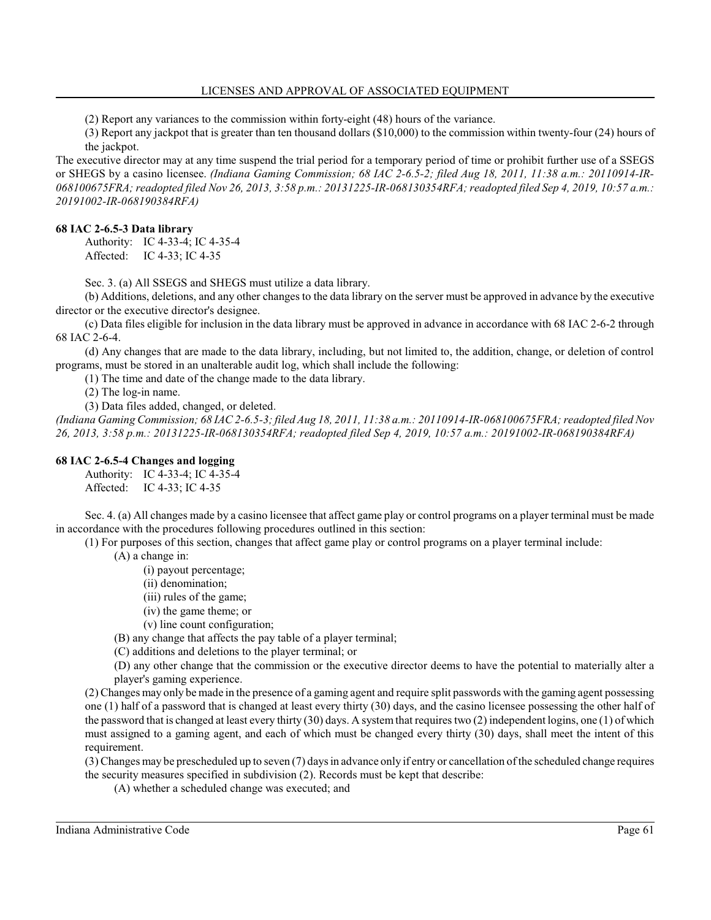(2) Report any variances to the commission within forty-eight (48) hours of the variance.

(3) Report any jackpot that is greater than ten thousand dollars (\$10,000) to the commission within twenty-four (24) hours of the jackpot.

The executive director may at any time suspend the trial period for a temporary period of time or prohibit further use of a SSEGS or SHEGS by a casino licensee. *(Indiana Gaming Commission; 68 IAC 2-6.5-2; filed Aug 18, 2011, 11:38 a.m.: 20110914-IR-068100675FRA; readopted filed Nov 26, 2013, 3:58 p.m.: 20131225-IR-068130354RFA; readopted filed Sep 4, 2019, 10:57 a.m.: 20191002-IR-068190384RFA)*

#### **68 IAC 2-6.5-3 Data library**

Authority: IC 4-33-4; IC 4-35-4 Affected: IC 4-33; IC 4-35

Sec. 3. (a) All SSEGS and SHEGS must utilize a data library.

(b) Additions, deletions, and any other changes to the data library on the server must be approved in advance by the executive director or the executive director's designee.

(c) Data files eligible for inclusion in the data library must be approved in advance in accordance with 68 IAC 2-6-2 through 68 IAC 2-6-4.

(d) Any changes that are made to the data library, including, but not limited to, the addition, change, or deletion of control programs, must be stored in an unalterable audit log, which shall include the following:

(1) The time and date of the change made to the data library.

(2) The log-in name.

(3) Data files added, changed, or deleted.

*(Indiana Gaming Commission; 68 IAC 2-6.5-3; filed Aug 18, 2011, 11:38 a.m.: 20110914-IR-068100675FRA; readopted filed Nov 26, 2013, 3:58 p.m.: 20131225-IR-068130354RFA; readopted filed Sep 4, 2019, 10:57 a.m.: 20191002-IR-068190384RFA)*

#### **68 IAC 2-6.5-4 Changes and logging**

Authority: IC 4-33-4; IC 4-35-4 Affected: IC 4-33; IC 4-35

Sec. 4. (a) All changes made by a casino licensee that affect game play or control programs on a player terminal must be made in accordance with the procedures following procedures outlined in this section:

(1) For purposes of this section, changes that affect game play or control programs on a player terminal include:

(A) a change in:

(i) payout percentage;

- (ii) denomination;
- (iii) rules of the game;
- (iv) the game theme; or
- (v) line count configuration;
- (B) any change that affects the pay table of a player terminal;
- (C) additions and deletions to the player terminal; or

(D) any other change that the commission or the executive director deems to have the potential to materially alter a player's gaming experience.

(2) Changes may only be made in the presence of a gaming agent and require split passwords with the gaming agent possessing one (1) half of a password that is changed at least every thirty (30) days, and the casino licensee possessing the other half of the password that is changed at least every thirty (30) days. A system that requires two (2) independent logins, one (1) of which must assigned to a gaming agent, and each of which must be changed every thirty (30) days, shall meet the intent of this requirement.

(3) Changes may be prescheduled up to seven (7) days in advance only if entry or cancellation ofthe scheduled change requires the security measures specified in subdivision (2). Records must be kept that describe:

(A) whether a scheduled change was executed; and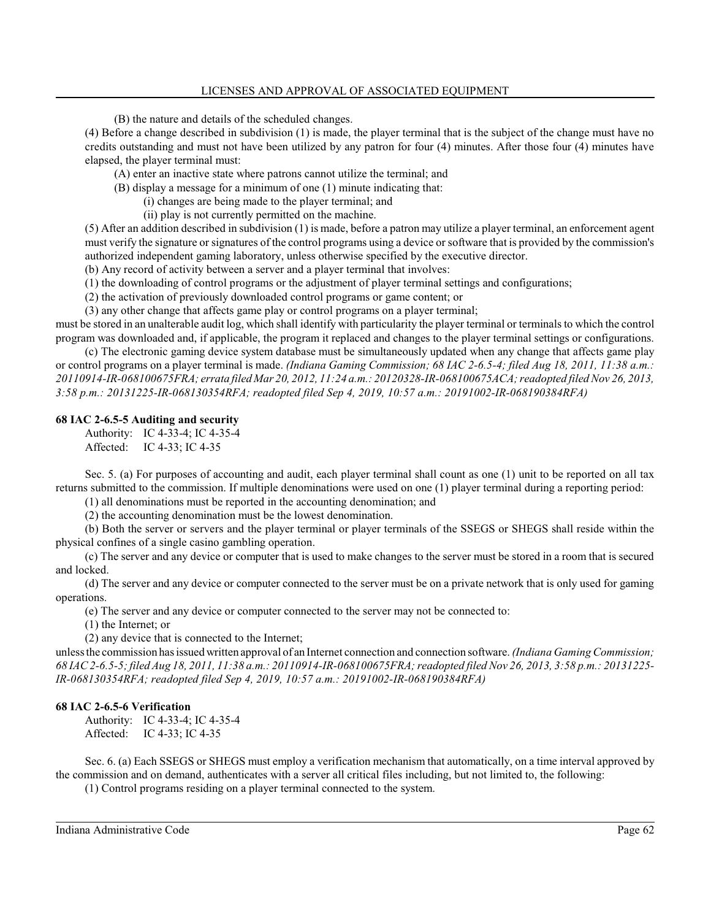(B) the nature and details of the scheduled changes.

(4) Before a change described in subdivision (1) is made, the player terminal that is the subject of the change must have no credits outstanding and must not have been utilized by any patron for four (4) minutes. After those four (4) minutes have elapsed, the player terminal must:

(A) enter an inactive state where patrons cannot utilize the terminal; and

(B) display a message for a minimum of one (1) minute indicating that:

(i) changes are being made to the player terminal; and

(ii) play is not currently permitted on the machine.

(5) After an addition described in subdivision (1) is made, before a patron may utilize a player terminal, an enforcement agent must verify the signature or signatures of the control programs using a device or software that is provided by the commission's authorized independent gaming laboratory, unless otherwise specified by the executive director.

(b) Any record of activity between a server and a player terminal that involves:

(1) the downloading of control programs or the adjustment of player terminal settings and configurations;

(2) the activation of previously downloaded control programs or game content; or

(3) any other change that affects game play or control programs on a player terminal;

must be stored in an unalterable audit log, which shall identify with particularity the player terminal or terminals to which the control program was downloaded and, if applicable, the program it replaced and changes to the player terminal settings or configurations.

(c) The electronic gaming device system database must be simultaneously updated when any change that affects game play or control programs on a player terminal is made. *(Indiana Gaming Commission; 68 IAC 2-6.5-4; filed Aug 18, 2011, 11:38 a.m.: 20110914-IR-068100675FRA; errata filed Mar 20, 2012, 11:24 a.m.: 20120328-IR-068100675ACA; readopted filedNov 26, 2013, 3:58 p.m.: 20131225-IR-068130354RFA; readopted filed Sep 4, 2019, 10:57 a.m.: 20191002-IR-068190384RFA)*

#### **68 IAC 2-6.5-5 Auditing and security**

Authority: IC 4-33-4; IC 4-35-4 Affected: IC 4-33; IC 4-35

Sec. 5. (a) For purposes of accounting and audit, each player terminal shall count as one (1) unit to be reported on all tax returns submitted to the commission. If multiple denominations were used on one (1) player terminal during a reporting period:

(1) all denominations must be reported in the accounting denomination; and

(2) the accounting denomination must be the lowest denomination.

(b) Both the server or servers and the player terminal or player terminals of the SSEGS or SHEGS shall reside within the physical confines of a single casino gambling operation.

(c) The server and any device or computer that is used to make changes to the server must be stored in a room that is secured and locked.

(d) The server and any device or computer connected to the server must be on a private network that is only used for gaming operations.

(e) The server and any device or computer connected to the server may not be connected to:

(1) the Internet; or

(2) any device that is connected to the Internet;

unless the commission has issued written approval of an Internet connection and connection software. *(Indiana GamingCommission; 68 IAC 2-6.5-5; filed Aug 18, 2011, 11:38 a.m.: 20110914-IR-068100675FRA; readopted filed Nov 26, 2013, 3:58 p.m.: 20131225- IR-068130354RFA; readopted filed Sep 4, 2019, 10:57 a.m.: 20191002-IR-068190384RFA)*

## **68 IAC 2-6.5-6 Verification**

Authority: IC 4-33-4; IC 4-35-4 Affected: IC 4-33; IC 4-35

Sec. 6. (a) Each SSEGS or SHEGS must employ a verification mechanism that automatically, on a time interval approved by the commission and on demand, authenticates with a server all critical files including, but not limited to, the following:

(1) Control programs residing on a player terminal connected to the system.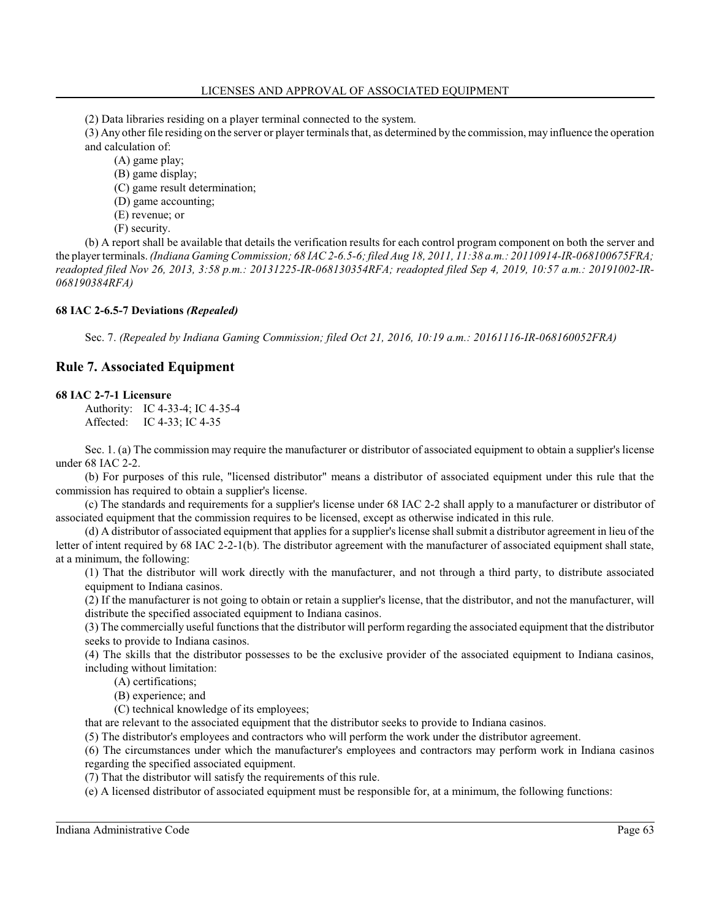(2) Data libraries residing on a player terminal connected to the system.

(3) Any other file residing on the server or player terminals that, as determined by the commission, may influence the operation and calculation of:

(A) game play;

(B) game display;

(C) game result determination;

(D) game accounting;

(E) revenue; or

(F) security.

(b) A report shall be available that details the verification results for each control program component on both the server and the player terminals. *(Indiana GamingCommission; 68 IAC 2-6.5-6; filed Aug 18, 2011, 11:38 a.m.: 20110914-IR-068100675FRA; readopted filed Nov 26, 2013, 3:58 p.m.: 20131225-IR-068130354RFA; readopted filed Sep 4, 2019, 10:57 a.m.: 20191002-IR-068190384RFA)*

#### **68 IAC 2-6.5-7 Deviations** *(Repealed)*

Sec. 7. *(Repealed by Indiana Gaming Commission; filed Oct 21, 2016, 10:19 a.m.: 20161116-IR-068160052FRA)*

# **Rule 7. Associated Equipment**

#### **68 IAC 2-7-1 Licensure**

Authority: IC 4-33-4; IC 4-35-4 Affected: IC 4-33; IC 4-35

Sec. 1. (a) The commission may require the manufacturer or distributor of associated equipment to obtain a supplier's license under 68 IAC 2-2.

(b) For purposes of this rule, "licensed distributor" means a distributor of associated equipment under this rule that the commission has required to obtain a supplier's license.

(c) The standards and requirements for a supplier's license under 68 IAC 2-2 shall apply to a manufacturer or distributor of associated equipment that the commission requires to be licensed, except as otherwise indicated in this rule.

(d) A distributor of associated equipment that applies for a supplier's license shall submit a distributor agreement in lieu of the letter of intent required by 68 IAC 2-2-1(b). The distributor agreement with the manufacturer of associated equipment shall state, at a minimum, the following:

(1) That the distributor will work directly with the manufacturer, and not through a third party, to distribute associated equipment to Indiana casinos.

(2) If the manufacturer is not going to obtain or retain a supplier's license, that the distributor, and not the manufacturer, will distribute the specified associated equipment to Indiana casinos.

(3) The commercially useful functions that the distributor will perform regarding the associated equipment that the distributor seeks to provide to Indiana casinos.

(4) The skills that the distributor possesses to be the exclusive provider of the associated equipment to Indiana casinos, including without limitation:

(A) certifications;

(B) experience; and

(C) technical knowledge of its employees;

that are relevant to the associated equipment that the distributor seeks to provide to Indiana casinos.

(5) The distributor's employees and contractors who will perform the work under the distributor agreement.

(6) The circumstances under which the manufacturer's employees and contractors may perform work in Indiana casinos regarding the specified associated equipment.

(7) That the distributor will satisfy the requirements of this rule.

(e) A licensed distributor of associated equipment must be responsible for, at a minimum, the following functions: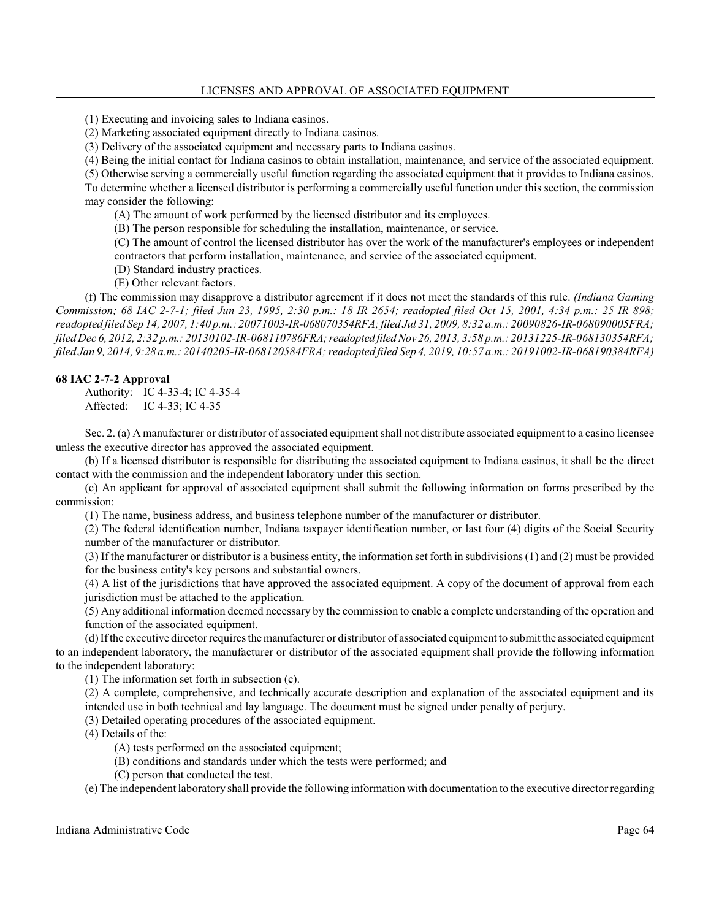(1) Executing and invoicing sales to Indiana casinos.

(2) Marketing associated equipment directly to Indiana casinos.

(3) Delivery of the associated equipment and necessary parts to Indiana casinos.

(4) Being the initial contact for Indiana casinos to obtain installation, maintenance, and service of the associated equipment.

(5) Otherwise serving a commercially useful function regarding the associated equipment that it provides to Indiana casinos. To determine whether a licensed distributor is performing a commercially useful function under this section, the commission may consider the following:

(A) The amount of work performed by the licensed distributor and its employees.

(B) The person responsible for scheduling the installation, maintenance, or service.

(C) The amount of control the licensed distributor has over the work of the manufacturer's employees or independent contractors that perform installation, maintenance, and service of the associated equipment.

(D) Standard industry practices.

(E) Other relevant factors.

(f) The commission may disapprove a distributor agreement if it does not meet the standards of this rule. *(Indiana Gaming Commission; 68 IAC 2-7-1; filed Jun 23, 1995, 2:30 p.m.: 18 IR 2654; readopted filed Oct 15, 2001, 4:34 p.m.: 25 IR 898; readopted filed Sep 14, 2007, 1:40 p.m.: 20071003-IR-068070354RFA;filed Jul 31, 2009, 8:32 a.m.: 20090826-IR-068090005FRA; filedDec 6, 2012, 2:32 p.m.: 20130102-IR-068110786FRA;readopted filedNov 26, 2013, 3:58 p.m.: 20131225-IR-068130354RFA; filed Jan 9, 2014, 9:28 a.m.: 20140205-IR-068120584FRA; readopted filed Sep 4, 2019, 10:57 a.m.: 20191002-IR-068190384RFA)*

## **68 IAC 2-7-2 Approval**

Authority: IC 4-33-4; IC 4-35-4 Affected: IC 4-33; IC 4-35

Sec. 2. (a) A manufacturer or distributor of associated equipment shall not distribute associated equipment to a casino licensee unless the executive director has approved the associated equipment.

(b) If a licensed distributor is responsible for distributing the associated equipment to Indiana casinos, it shall be the direct contact with the commission and the independent laboratory under this section.

(c) An applicant for approval of associated equipment shall submit the following information on forms prescribed by the commission:

(1) The name, business address, and business telephone number of the manufacturer or distributor.

(2) The federal identification number, Indiana taxpayer identification number, or last four (4) digits of the Social Security number of the manufacturer or distributor.

(3) If the manufacturer or distributor is a business entity, the information set forth in subdivisions (1) and (2) must be provided for the business entity's key persons and substantial owners.

(4) A list of the jurisdictions that have approved the associated equipment. A copy of the document of approval from each jurisdiction must be attached to the application.

(5) Any additional information deemed necessary by the commission to enable a complete understanding of the operation and function of the associated equipment.

(d) Ifthe executive director requires the manufacturer or distributor of associated equipment to submit the associated equipment to an independent laboratory, the manufacturer or distributor of the associated equipment shall provide the following information to the independent laboratory:

(1) The information set forth in subsection (c).

(2) A complete, comprehensive, and technically accurate description and explanation of the associated equipment and its intended use in both technical and lay language. The document must be signed under penalty of perjury.

(3) Detailed operating procedures of the associated equipment.

(4) Details of the:

- (A) tests performed on the associated equipment;
- (B) conditions and standards under which the tests were performed; and
- (C) person that conducted the test.

(e) The independent laboratory shall provide the following information with documentation to the executive director regarding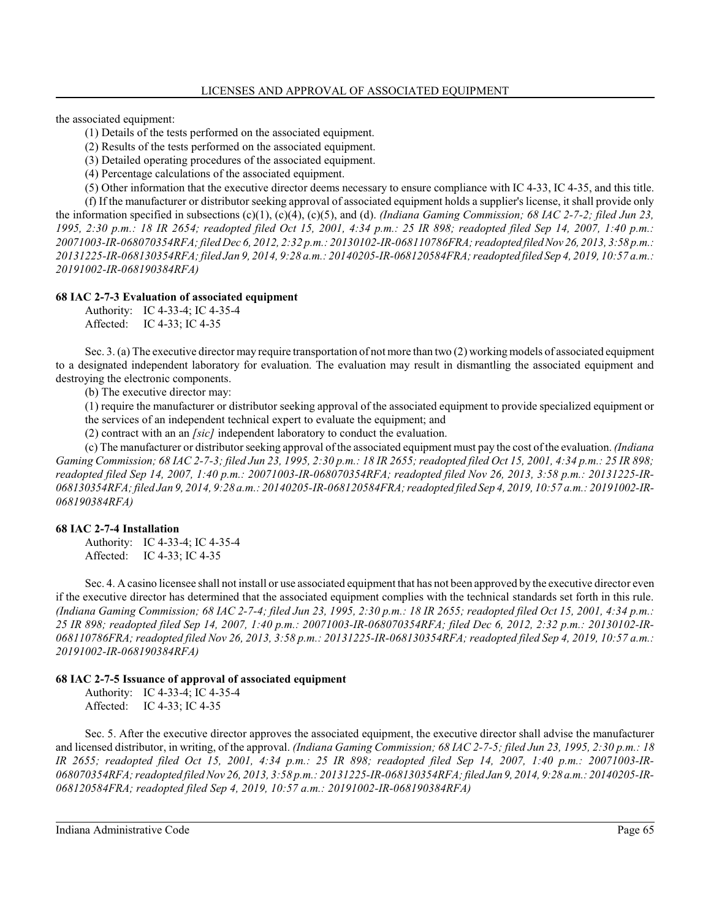the associated equipment:

(1) Details of the tests performed on the associated equipment.

(2) Results of the tests performed on the associated equipment.

(3) Detailed operating procedures of the associated equipment.

(4) Percentage calculations of the associated equipment.

(5) Other information that the executive director deems necessary to ensure compliance with IC 4-33, IC 4-35, and this title.

(f) If the manufacturer or distributor seeking approval of associated equipment holds a supplier's license, it shall provide only the information specified in subsections (c)(1), (c)(4), (c)(5), and (d). *(Indiana Gaming Commission; 68 IAC 2-7-2; filed Jun 23, 1995, 2:30 p.m.: 18 IR 2654; readopted filed Oct 15, 2001, 4:34 p.m.: 25 IR 898; readopted filed Sep 14, 2007, 1:40 p.m.: 20071003-IR-068070354RFA; filed Dec 6, 2012, 2:32 p.m.: 20130102-IR-068110786FRA; readopted filedNov 26, 2013, 3:58 p.m.: 20131225-IR-068130354RFA; filed Jan 9, 2014, 9:28 a.m.: 20140205-IR-068120584FRA; readopted filed Sep 4, 2019, 10:57 a.m.: 20191002-IR-068190384RFA)*

#### **68 IAC 2-7-3 Evaluation of associated equipment**

Authority: IC 4-33-4; IC 4-35-4 Affected: IC 4-33; IC 4-35

Sec. 3. (a) The executive director may require transportation of not more than two (2) working models of associated equipment to a designated independent laboratory for evaluation. The evaluation may result in dismantling the associated equipment and destroying the electronic components.

(b) The executive director may:

(1) require the manufacturer or distributor seeking approval of the associated equipment to provide specialized equipment or

the services of an independent technical expert to evaluate the equipment; and

(2) contract with an an *[sic]* independent laboratory to conduct the evaluation.

(c) The manufacturer or distributor seeking approval of the associated equipment must pay the cost of the evaluation. *(Indiana Gaming Commission; 68 IAC 2-7-3; filed Jun 23, 1995, 2:30 p.m.: 18 IR 2655; readopted filed Oct 15, 2001, 4:34 p.m.: 25 IR 898; readopted filed Sep 14, 2007, 1:40 p.m.: 20071003-IR-068070354RFA; readopted filed Nov 26, 2013, 3:58 p.m.: 20131225-IR-068130354RFA; filed Jan 9, 2014, 9:28 a.m.: 20140205-IR-068120584FRA; readopted filed Sep 4, 2019, 10:57 a.m.: 20191002-IR-068190384RFA)*

#### **68 IAC 2-7-4 Installation**

Authority: IC 4-33-4; IC 4-35-4 Affected: IC 4-33; IC 4-35

Sec. 4. A casino licensee shall not install or use associated equipment that has not been approved by the executive director even if the executive director has determined that the associated equipment complies with the technical standards set forth in this rule. *(Indiana Gaming Commission; 68 IAC 2-7-4; filed Jun 23, 1995, 2:30 p.m.: 18 IR 2655; readopted filed Oct 15, 2001, 4:34 p.m.: 25 IR 898; readopted filed Sep 14, 2007, 1:40 p.m.: 20071003-IR-068070354RFA; filed Dec 6, 2012, 2:32 p.m.: 20130102-IR-068110786FRA; readopted filed Nov 26, 2013, 3:58 p.m.: 20131225-IR-068130354RFA; readopted filed Sep 4, 2019, 10:57 a.m.: 20191002-IR-068190384RFA)*

#### **68 IAC 2-7-5 Issuance of approval of associated equipment**

Authority: IC 4-33-4; IC 4-35-4 Affected: IC 4-33; IC 4-35

Sec. 5. After the executive director approves the associated equipment, the executive director shall advise the manufacturer and licensed distributor, in writing, of the approval. *(Indiana Gaming Commission; 68 IAC 2-7-5; filed Jun 23, 1995, 2:30 p.m.: 18 IR 2655; readopted filed Oct 15, 2001, 4:34 p.m.: 25 IR 898; readopted filed Sep 14, 2007, 1:40 p.m.: 20071003-IR-068070354RFA; readopted filedNov 26, 2013, 3:58 p.m.: 20131225-IR-068130354RFA; filed Jan 9, 2014, 9:28 a.m.: 20140205-IR-068120584FRA; readopted filed Sep 4, 2019, 10:57 a.m.: 20191002-IR-068190384RFA)*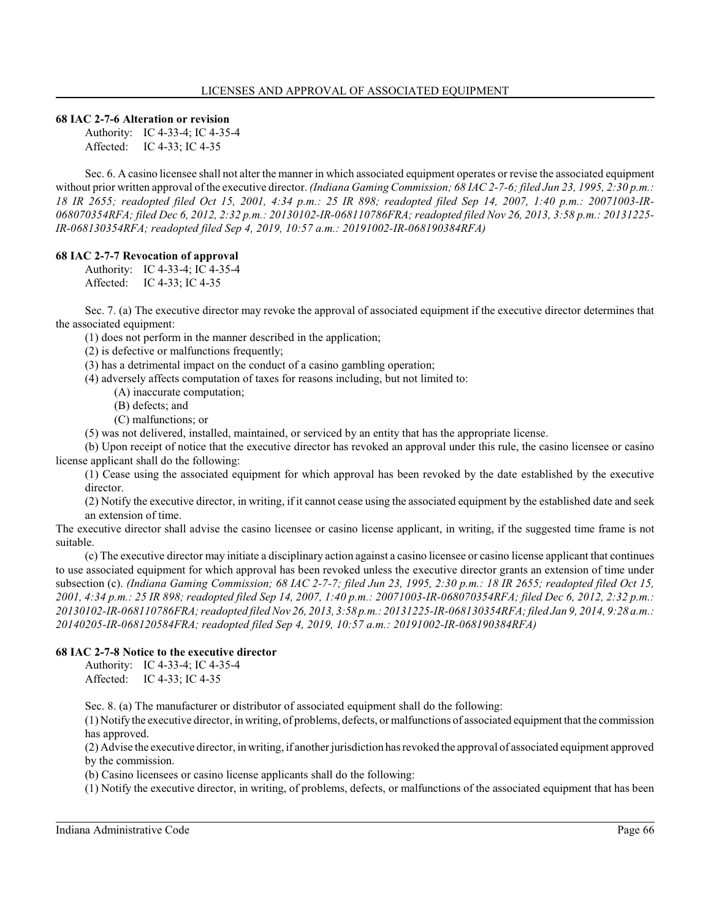### **68 IAC 2-7-6 Alteration or revision**

Authority: IC 4-33-4; IC 4-35-4 Affected: IC 4-33; IC 4-35

Sec. 6. A casino licensee shall not alter the manner in which associated equipment operates or revise the associated equipment without prior written approval of the executive director. *(Indiana Gaming Commission; 68 IAC 2-7-6; filed Jun 23, 1995, 2:30 p.m.: 18 IR 2655; readopted filed Oct 15, 2001, 4:34 p.m.: 25 IR 898; readopted filed Sep 14, 2007, 1:40 p.m.: 20071003-IR-068070354RFA; filed Dec 6, 2012, 2:32 p.m.: 20130102-IR-068110786FRA; readopted filed Nov 26, 2013, 3:58 p.m.: 20131225- IR-068130354RFA; readopted filed Sep 4, 2019, 10:57 a.m.: 20191002-IR-068190384RFA)*

## **68 IAC 2-7-7 Revocation of approval**

Authority: IC 4-33-4; IC 4-35-4 Affected: IC 4-33; IC 4-35

Sec. 7. (a) The executive director may revoke the approval of associated equipment if the executive director determines that the associated equipment:

(1) does not perform in the manner described in the application;

(2) is defective or malfunctions frequently;

(3) has a detrimental impact on the conduct of a casino gambling operation;

(4) adversely affects computation of taxes for reasons including, but not limited to:

- (A) inaccurate computation;
- (B) defects; and
- (C) malfunctions; or

(5) was not delivered, installed, maintained, or serviced by an entity that has the appropriate license.

(b) Upon receipt of notice that the executive director has revoked an approval under this rule, the casino licensee or casino license applicant shall do the following:

(1) Cease using the associated equipment for which approval has been revoked by the date established by the executive director.

(2) Notify the executive director, in writing, if it cannot cease using the associated equipment by the established date and seek an extension of time.

The executive director shall advise the casino licensee or casino license applicant, in writing, if the suggested time frame is not suitable.

(c) The executive director may initiate a disciplinary action against a casino licensee or casino license applicant that continues to use associated equipment for which approval has been revoked unless the executive director grants an extension of time under subsection (c). *(Indiana Gaming Commission; 68 IAC 2-7-7; filed Jun 23, 1995, 2:30 p.m.: 18 IR 2655; readopted filed Oct 15, 2001, 4:34 p.m.: 25 IR 898; readopted filed Sep 14, 2007, 1:40 p.m.: 20071003-IR-068070354RFA; filed Dec 6, 2012, 2:32 p.m.: 20130102-IR-068110786FRA; readopted filedNov 26, 2013, 3:58 p.m.: 20131225-IR-068130354RFA; filed Jan 9, 2014, 9:28 a.m.: 20140205-IR-068120584FRA; readopted filed Sep 4, 2019, 10:57 a.m.: 20191002-IR-068190384RFA)*

#### **68 IAC 2-7-8 Notice to the executive director**

Authority: IC 4-33-4; IC 4-35-4 Affected: IC 4-33; IC 4-35

Sec. 8. (a) The manufacturer or distributor of associated equipment shall do the following:

(1) Notify the executive director, in writing, of problems, defects, or malfunctions of associated equipment that the commission has approved.

(2) Advise the executive director, in writing, if another jurisdiction has revoked the approval of associated equipment approved by the commission.

(b) Casino licensees or casino license applicants shall do the following:

(1) Notify the executive director, in writing, of problems, defects, or malfunctions of the associated equipment that has been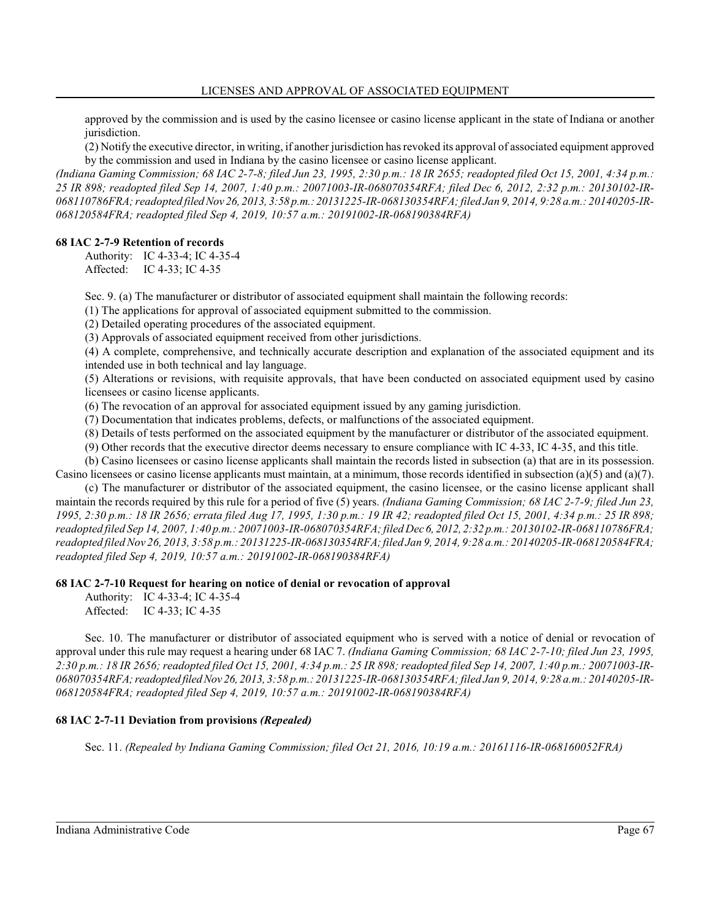approved by the commission and is used by the casino licensee or casino license applicant in the state of Indiana or another jurisdiction.

(2) Notify the executive director, in writing, if another jurisdiction has revoked its approval of associated equipment approved by the commission and used in Indiana by the casino licensee or casino license applicant.

*(Indiana Gaming Commission; 68 IAC 2-7-8; filed Jun 23, 1995, 2:30 p.m.: 18 IR 2655; readopted filed Oct 15, 2001, 4:34 p.m.: 25 IR 898; readopted filed Sep 14, 2007, 1:40 p.m.: 20071003-IR-068070354RFA; filed Dec 6, 2012, 2:32 p.m.: 20130102-IR-068110786FRA; readopted filedNov 26, 2013, 3:58 p.m.: 20131225-IR-068130354RFA; filed Jan 9, 2014, 9:28 a.m.: 20140205-IR-068120584FRA; readopted filed Sep 4, 2019, 10:57 a.m.: 20191002-IR-068190384RFA)*

#### **68 IAC 2-7-9 Retention of records**

Authority: IC 4-33-4; IC 4-35-4 Affected: IC 4-33; IC 4-35

Sec. 9. (a) The manufacturer or distributor of associated equipment shall maintain the following records:

(1) The applications for approval of associated equipment submitted to the commission.

(2) Detailed operating procedures of the associated equipment.

(3) Approvals of associated equipment received from other jurisdictions.

(4) A complete, comprehensive, and technically accurate description and explanation of the associated equipment and its intended use in both technical and lay language.

(5) Alterations or revisions, with requisite approvals, that have been conducted on associated equipment used by casino licensees or casino license applicants.

(6) The revocation of an approval for associated equipment issued by any gaming jurisdiction.

(7) Documentation that indicates problems, defects, or malfunctions of the associated equipment.

(8) Details of tests performed on the associated equipment by the manufacturer or distributor of the associated equipment.

(9) Other records that the executive director deems necessary to ensure compliance with IC 4-33, IC 4-35, and this title.

(b) Casino licensees or casino license applicants shall maintain the records listed in subsection (a) that are in its possession. Casino licensees or casino license applicants must maintain, at a minimum, those records identified in subsection (a)(5) and (a)(7).

(c) The manufacturer or distributor of the associated equipment, the casino licensee, or the casino license applicant shall maintain the records required by this rule for a period of five (5) years. *(Indiana Gaming Commission; 68 IAC 2-7-9; filed Jun 23, 1995, 2:30 p.m.: 18 IR 2656; errata filed Aug 17, 1995, 1:30 p.m.: 19 IR 42; readopted filed Oct 15, 2001, 4:34 p.m.: 25 IR 898; readopted filed Sep 14, 2007, 1:40 p.m.: 20071003-IR-068070354RFA; filed Dec 6, 2012, 2:32 p.m.: 20130102-IR-068110786FRA; readopted filedNov 26, 2013, 3:58 p.m.: 20131225-IR-068130354RFA;filed Jan 9, 2014, 9:28 a.m.: 20140205-IR-068120584FRA; readopted filed Sep 4, 2019, 10:57 a.m.: 20191002-IR-068190384RFA)*

#### **68 IAC 2-7-10 Request for hearing on notice of denial or revocation of approval**

Authority: IC 4-33-4; IC 4-35-4 Affected: IC 4-33; IC 4-35

Sec. 10. The manufacturer or distributor of associated equipment who is served with a notice of denial or revocation of approval under this rule may request a hearing under 68 IAC 7. *(Indiana Gaming Commission; 68 IAC 2-7-10; filed Jun 23, 1995, 2:30 p.m.: 18 IR 2656; readopted filed Oct 15, 2001, 4:34 p.m.: 25 IR 898; readopted filed Sep 14, 2007, 1:40 p.m.: 20071003-IR-068070354RFA;readopted filedNov 26, 2013, 3:58 p.m.: 20131225-IR-068130354RFA; filed Jan 9, 2014, 9:28 a.m.: 20140205-IR-068120584FRA; readopted filed Sep 4, 2019, 10:57 a.m.: 20191002-IR-068190384RFA)*

## **68 IAC 2-7-11 Deviation from provisions** *(Repealed)*

Sec. 11. *(Repealed by Indiana Gaming Commission; filed Oct 21, 2016, 10:19 a.m.: 20161116-IR-068160052FRA)*